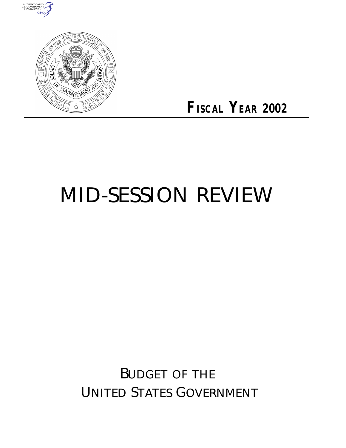

## *FISCAL YEAR 2002*

# MID-SESSION REVIEW

BUDGET OF THE UNITED STATES GOVERNMENT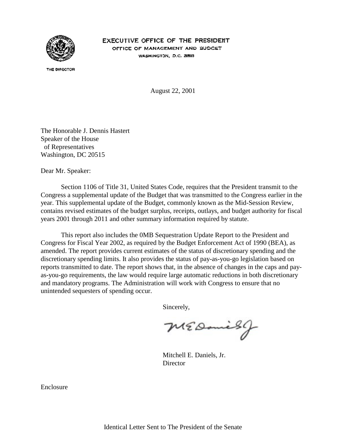

EXECUTIVE OFFICE OF THE PRESIDENT OFFICE OF MANAGEMENT AND BUDGET WASHINGTON, D.C. 20503

THE DIRECTOR

August 22, 2001

The Honorable J. Dennis Hastert Speaker of the House of Representatives Washington, DC 20515

Dear Mr. Speaker:

Section 1106 of Title 31, United States Code, requires that the President transmit to the Congress a supplemental update of the Budget that was transmitted to the Congress earlier in the year. This supplemental update of the Budget, commonly known as the Mid-Session Review, contains revised estimates of the budget surplus, receipts, outlays, and budget authority for fiscal years 2001 through 2011 and other summary information required by statute.

This report also includes the 0MB Sequestration Update Report to the President and Congress for Fiscal Year 2002, as required by the Budget Enforcement Act of 1990 (BEA), as amended. The report provides current estimates of the status of discretionary spending and the discretionary spending limits. It also provides the status of pay-as-you-go legislation based on reports transmitted to date. The report shows that, in the absence of changes in the caps and payas-you-go requirements, the law would require large automatic reductions in both discretionary and mandatory programs. The Administration will work with Congress to ensure that no unintended sequesters of spending occur.

Sincerely,

MEDanisy

Mitchell E. Daniels, Jr. **Director** 

Enclosure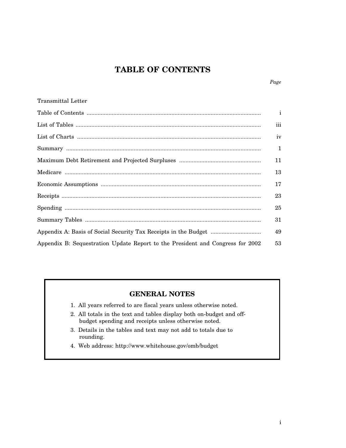## **TABLE OF CONTENTS**

| Transmittal Letter                                                             |              |
|--------------------------------------------------------------------------------|--------------|
|                                                                                | $\mathbf{i}$ |
|                                                                                | iii          |
|                                                                                | iv           |
|                                                                                | $\mathbf{1}$ |
|                                                                                | 11           |
|                                                                                | 13           |
|                                                                                | 17           |
|                                                                                | 23           |
|                                                                                | 25           |
|                                                                                | 31           |
|                                                                                | 49           |
| Appendix B: Sequestration Update Report to the President and Congress for 2002 | 53           |

### **GENERAL NOTES**

- 1. All years referred to are fiscal years unless otherwise noted.
- 2. All totals in the text and tables display both on-budget and offbudget spending and receipts unless otherwise noted.
- 3. Details in the tables and text may not add to totals due to rounding.
- 4. Web address: http://www.whitehouse.gov/omb/budget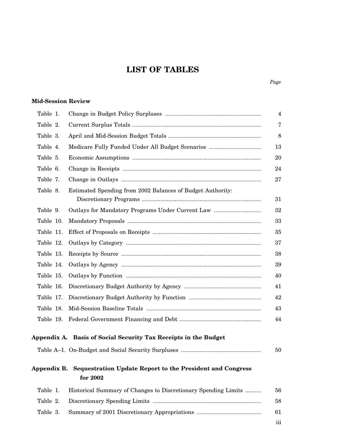## **LIST OF TABLES**

### **Mid-Session Review**

| Table 1.  |                                                                                   | $\overline{4}$ |
|-----------|-----------------------------------------------------------------------------------|----------------|
| Table 2.  |                                                                                   | $\overline{7}$ |
| Table 3.  |                                                                                   | 8              |
| Table 4.  |                                                                                   | 13             |
| Table 5.  |                                                                                   | 20             |
| Table 6.  |                                                                                   | 24             |
| Table 7.  |                                                                                   | 27             |
| Table 8.  | Estimated Spending from 2002 Balances of Budget Authority:                        | 31             |
| Table 9.  | Outlays for Mandatory Programs Under Current Law                                  | 32             |
| Table 10. |                                                                                   | 33             |
| Table 11. |                                                                                   | 35             |
| Table 12. |                                                                                   | 37             |
| Table 13. |                                                                                   | 38             |
| Table 14. |                                                                                   | 39             |
| Table 15. |                                                                                   | 40             |
| Table 16. |                                                                                   | 41             |
| Table 17. |                                                                                   | 42             |
| Table 18. |                                                                                   | 43             |
| Table 19. |                                                                                   | 44             |
|           | Appendix A. Basis of Social Security Tax Receipts in the Budget                   |                |
|           |                                                                                   | 50             |
|           | Appendix B. Sequestration Update Report to the President and Congress<br>for 2002 |                |
| Table 1.  | Historical Summary of Changes to Discretionary Spending Limits                    | 56             |
| Table 2.  |                                                                                   | 58             |
| Table 3.  |                                                                                   | 61             |
|           |                                                                                   |                |

iii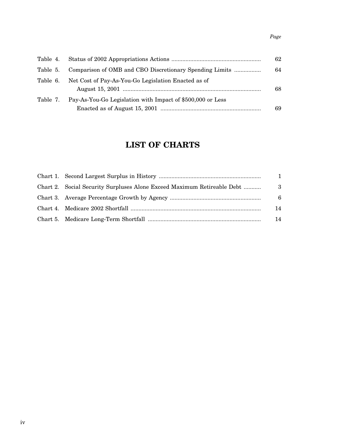|          |                                                            | 62 |
|----------|------------------------------------------------------------|----|
| Table 5. | Comparison of OMB and CBO Discretionary Spending Limits    | 64 |
| Table 6. | Net Cost of Pay-As-You-Go Legislation Enacted as of        | 68 |
| Table 7. | Pay-As-You-Go Legislation with Impact of \$500,000 or Less | 69 |

## **LIST OF CHARTS**

|                                                                         | -1  |
|-------------------------------------------------------------------------|-----|
| Chart 2. Social Security Surpluses Alone Exceed Maximum Retireable Debt | - 3 |
|                                                                         | - 6 |
|                                                                         | 14  |
|                                                                         | 14  |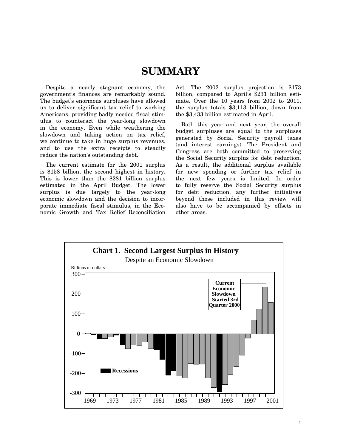## **SUMMARY**

<span id="page-5-0"></span>Despite a nearly stagnant economy, the government's finances are remarkably sound. The budget's enormous surpluses have allowed us to deliver significant tax relief to working Americans, providing badly needed fiscal stimulus to counteract the year-long slowdown in the economy. Even while weathering the slowdown and taking action on tax relief, we continue to take in huge surplus revenues, and to use the extra receipts to steadily reduce the nation's outstanding debt.

The current estimate for the 2001 surplus is \$158 billion, the second highest in history. This is lower than the \$281 billion surplus estimated in the April Budget. The lower surplus is due largely to the year-long economic slowdown and the decision to incorporate immediate fiscal stimulus, in the Economic Growth and Tax Relief Reconciliation

Act. The 2002 surplus projection is \$173 billion, compared to April's \$231 billion estimate. Over the 10 years from 2002 to 2011, the surplus totals \$3,113 billion, down from the \$3,433 billion estimated in April.

Both this year and next year, the overall budget surpluses are equal to the surpluses generated by Social Security payroll taxes (and interest earnings). The President and Congress are both committed to preserving the Social Security surplus for debt reduction. As a result, the additional surplus available for new spending or further tax relief in the next few years is limited. In order to fully reserve the Social Security surplus for debt reduction, any further initiatives beyond those included in this review will also have to be accompanied by offsets in other areas.

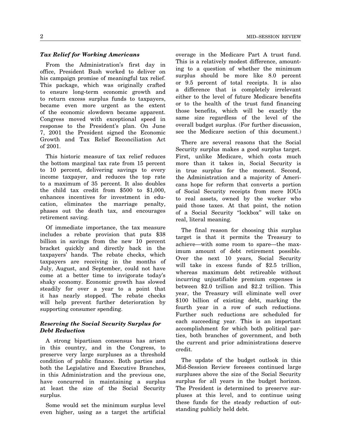### *Tax Relief for Working Americans*

From the Administration's first day in office, President Bush worked to deliver on his campaign promise of meaningful tax relief. This package, which was originally crafted to ensure long-term economic growth and to return excess surplus funds to taxpayers, became even more urgent as the extent of the economic slowdown became apparent. Congress moved with exceptional speed in response to the President's plan. On June 7, 2001 the President signed the Economic Growth and Tax Relief Reconciliation Act of 2001.

This historic measure of tax relief reduces the bottom marginal tax rate from 15 percent to 10 percent, delivering savings to every income taxpayer, and reduces the top rate to a maximum of 35 percent. It also doubles the child tax credit from \$500 to \$1,000, enhances incentives for investment in education, eliminates the marriage penalty, phases out the death tax, and encourages retirement saving.

Of immediate importance, the tax measure includes a rebate provision that puts \$38 billion in savings from the new 10 percent bracket quickly and directly back in the taxpayers' hands. The rebate checks, which taxpayers are receiving in the months of July, August, and September, could not have come at a better time to invigorate today's shaky economy. Economic growth has slowed steadily for over a year to a point that it has nearly stopped. The rebate checks will help prevent further deterioration by supporting consumer spending.

### *Reserving the Social Security Surplus for Debt Reduction*

A strong bipartisan consensus has arisen in this country, and in the Congress, to preserve very large surpluses as a threshold condition of public finance. Both parties and both the Legislative and Executive Branches, in this Administration and the previous one, have concurred in maintaining a surplus at least the size of the Social Security surplus.

Some would set the minimum surplus level even higher, using as a target the artificial

overage in the Medicare Part A trust fund. This is a relatively modest difference, amounting to a question of whether the minimum surplus should be more like 8.0 percent or 9.5 percent of total receipts. It is also a difference that is completely irrelevant either to the level of future Medicare benefits or to the health of the trust fund financing those benefits, which will be exactly the same size regardless of the level of the overall budget surplus. (For further discussion, see the Medicare section of this document.)

There are several reasons that the Social Security surplus makes a good surplus target. First, unlike Medicare, which costs much more than it takes in, Social Security is in true surplus for the moment. Second, the Administration and a majority of Americans hope for reform that converts a portion of Social Security receipts from mere IOUs to real assets, owned by the worker who paid those taxes. At that point, the notion of a Social Security ''lockbox'' will take on real, literal meaning.

The final reason for choosing this surplus target is that it permits the Treasury to achieve—with some room to spare—the maximum amount of debt retirement possible. Over the next 10 years, Social Security will take in excess funds of \$2.5 trillion. whereas maximum debt retireable without incurring unjustifiable premium expenses is between \$2.0 trillion and \$2.2 trillion. This year, the Treasury will eliminate well over \$100 billion of existing debt, marking the fourth year in a row of such reductions. Further such reductions are scheduled for each succeeding year. This is an important accomplishment for which both political parties, both branches of government, and both the current and prior administrations deserve credit.

The update of the budget outlook in this Mid-Session Review foresees continued large surpluses above the size of the Social Security surplus for all years in the budget horizon. The President is determined to preserve surpluses at this level, and to continue using these funds for the steady reduction of outstanding publicly held debt.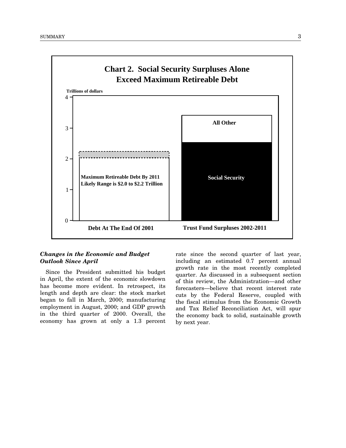<span id="page-7-0"></span>

### *Changes in the Economic and Budget Outlook Since April*

Since the President submitted his budget in April, the extent of the economic slowdown has become more evident. In retrospect, its length and depth are clear: the stock market began to fall in March, 2000; manufacturing employment in August, 2000; and GDP growth in the third quarter of 2000. Overall, the economy has grown at only a 1.3 percent rate since the second quarter of last year, including an estimated 0.7 percent annual growth rate in the most recently completed quarter. As discussed in a subsequent section of this review, the Administration—and other forecasters—believe that recent interest rate cuts by the Federal Reserve, coupled with the fiscal stimulus from the Economic Growth and Tax Relief Reconciliation Act, will spur the economy back to solid, sustainable growth by next year.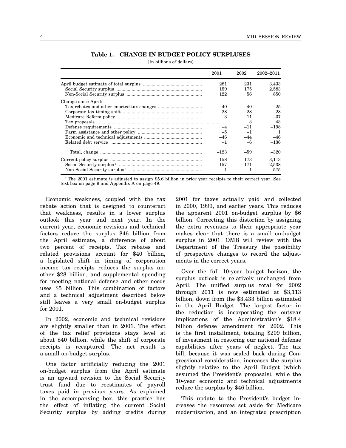### **Table 1. CHANGE IN BUDGET POLICY SURPLUSES**

(In billions of dollars)

<span id="page-8-0"></span>

|                     | 2001   | 2002  | 2002-2011 |
|---------------------|--------|-------|-----------|
|                     | 281    | 231   | 3,433     |
|                     | 159    | 175   | 2,583     |
|                     | 122    | 56    | 850       |
| Change since April: |        |       |           |
|                     | $-40$  | $-40$ | 25        |
|                     | $-28$  | 28    | 28        |
|                     | 3      | 11    | $-37$     |
|                     |        | 3     | 43        |
|                     | $-4$   | $-11$ | $-198$    |
|                     | $-5$   | $-1$  | 1         |
|                     | $-46$  | $-44$ | $-46$     |
|                     | $-1$   | $-6$  | $-136$    |
|                     | $-123$ | $-59$ | $-320$    |
|                     | 158    | 173   | 3,113     |
|                     | 157    | 171   | 2,538     |
|                     |        |       | 575       |

1The 2001 estimate is adjusted to assign \$5.6 billion in prior year receipts to their correct year. See text box on page 9 and Appendix A on page 49.

Economic weakness, coupled with the tax rebate action that is designed to counteract that weakness, results in a lower surplus outlook this year and next year. In the current year, economic revisions and technical factors reduce the surplus \$46 billion from the April estimate, a difference of about two percent of receipts. Tax rebates and related provisions account for \$40 billion, a legislated shift in timing of corporation income tax receipts reduces the surplus another \$28 billion, and supplemental spending for meeting national defense and other needs uses \$5 billion. This combination of factors and a technical adjustment described below still leaves a very small on-budget surplus for 2001.

In 2002, economic and technical revisions are slightly smaller than in 2001. The effect of the tax relief provisions stays level at about \$40 billion, while the shift of corporate receipts is recaptured. The net result is a small on-budget surplus.

One factor artificially reducing the 2001 on-budget surplus from the April estimate is an upward revision to the Social Security trust fund due to reestimates of payroll taxes paid in previous years. As explained in the accompanying box, this practice has the effect of inflating the current Social Security surplus by adding credits during

2001 for taxes actually paid and collected in 2000, 1999, and earlier years. This reduces the apparent 2001 on-budget surplus by \$6 billion. Correcting this distortion by assigning the extra revenues to their appropriate year makes clear that there is a small on-budget surplus in 2001. OMB will review with the Department of the Treasury the possibility of prospective changes to record the adjustments in the correct years.

Over the full 10-year budget horizon, the surplus outlook is relatively unchanged from April. The unified surplus total for 2002 through 2011 is now estimated at \$3,113 billion, down from the \$3,433 billion estimated in the April Budget. The largest factor in the reduction is incorporating the outyear implications of the Administration's \$18.4 billion defense amendment for 2002. This is the first installment, totaling \$209 billion, of investment in restoring our national defense capabilities after years of neglect. The tax bill, because it was scaled back during Congressional consideration, increases the surplus slightly relative to the April Budget (which assumed the President's proposals), while the 10-year economic and technical adjustments reduce the surplus by \$46 billion.

This update to the President's budget increases the resources set aside for Medicare modernization, and an integrated prescription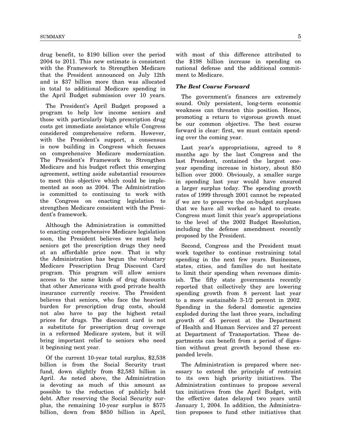drug benefit, to \$190 billion over the period 2004 to 2011. This new estimate is consistent with the Framework to Strengthen Medicare that the President announced on July 12th and is \$37 billion more than was allocated in total to additional Medicare spending in the April Budget submission over 10 years.

The President's April Budget proposed a program to help low income seniors and those with particularly high prescription drug costs get immediate assistance while Congress considered comprehensive reform. However, with the President's support, a consensus is now building in Congress which focuses on comprehensive Medicare modernization. The President's Framework to Strengthen Medicare and his budget reflect this emerging agreement, setting aside substantial resources to meet this objective which could be implemented as soon as 2004. The Administration is committed to continuing to work with the Congress on enacting legislation to strengthen Medicare consistent with the President's framework.

Although the Administration is committed to enacting comprehensive Medicare legislation soon, the President believes we must help seniors get the prescription drugs they need at an affordable price now. That is why the Administration has begun the voluntary Medicare Prescription Drug Discount Card program. This program will allow seniors access to the same kinds of drug discounts that other Americans with good private health insurance currently receive. The President believes that seniors, who face the heaviest burden for prescription drug costs, should not also have to pay the highest retail prices for drugs. The discount card is not a substitute for prescription drug coverage in a reformed Medicare system, but it will bring important relief to seniors who need it beginning next year.

Of the current 10-year total surplus, \$2,538 billion is from the Social Security trust fund, down slightly from \$2,583 billion in April. As noted above, the Administration is devoting as much of this amount as possible to the reduction of publicly held debt. After reserving the Social Security surplus, the remaining 10-year surplus is \$575 billion, down from \$850 billion in April,

with most of this difference attributed to the \$198 billion increase in spending on national defense and the additional commitment to Medicare.

### *The Best Course Forward*

The government's finances are extremely sound. Only persistent, long-term economic weakness can threaten this position. Hence, promoting a return to vigorous growth must be our common objective. The best course forward is clear: first, we must contain spending over the coming year.

Last year's appropriations, agreed to 8 months ago by the last Congress and the last President, contained the largest oneyear spending increase in history, about \$50 billion over 2000. Obviously, a smaller surge in spending last year would have ensured a larger surplus today. The spending growth rates of 1999 through 2001 cannot be repeated if we are to preserve the on-budget surpluses that we have all worked so hard to create. Congress must limit this year's appropriations to the level of the 2002 Budget Resolution, including the defense amendment recently proposed by the President.

Second, Congress and the President must work together to continue restraining total spending in the next few years. Businesses, states, cities, and families do not hesitate to limit their spending when revenues diminish. The fifty state governments recently reported that collectively they are lowering spending growth from 8 percent last year to a more sustainable 3-1/2 percent in 2002. Spending in the federal domestic agencies exploded during the last three years, including growth of 45 percent at the Department of Health and Human Services and 27 percent at Department of Transportation. These departments can benefit from a period of digestion without great growth beyond these expanded levels.

The Administration is prepared where necessary to extend the principle of restraint to its own high priority initiatives. The Administration continues to propose several tax initiatives from the April Budget, with the effective dates delayed two years until January 1, 2004. In addition, the Administration proposes to fund other initiatives that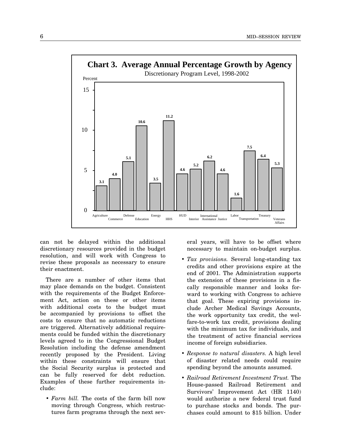<span id="page-10-0"></span>

can not be delayed within the additional discretionary resources provided in the budget resolution, and will work with Congress to revise these proposals as necessary to ensure their enactment.

There are a number of other items that may place demands on the budget. Consistent with the requirements of the Budget Enforcement Act, action on these or other items with additional costs to the budget must be accompanied by provisions to offset the costs to ensure that no automatic reductions are triggered. Alternatively additional requirements could be funded within the discretionary levels agreed to in the Congressional Budget Resolution including the defense amendment recently proposed by the President. Living within these constraints will ensure that the Social Security surplus is protected and can be fully reserved for debt reduction. Examples of these further requirements include:

• *Farm bill.* The costs of the farm bill now moving through Congress, which restructures farm programs through the next several years, will have to be offset where necessary to maintain on-budget surplus.

- *Tax provisions.* Several long-standing tax credits and other provisions expire at the end of 2001. The Administration supports the extension of these provisions in a fiscally responsible manner and looks forward to working with Congress to achieve that goal. These expiring provisions include Archer Medical Savings Accounts, the work opportunity tax credit, the welfare-to-work tax credit, provisions dealing with the minimum tax for individuals, and the treatment of active financial services income of foreign subsidiaries.
- *Response to natural disasters.* A high level of disaster related needs could require spending beyond the amounts assumed.
- *Railroad Retirement Investment Trust.* The House-passed Railroad Retirement and Survivors' Improvement Act (HR 1140) would authorize a new federal trust fund to purchase stocks and bonds. The purchases could amount to \$15 billion. Under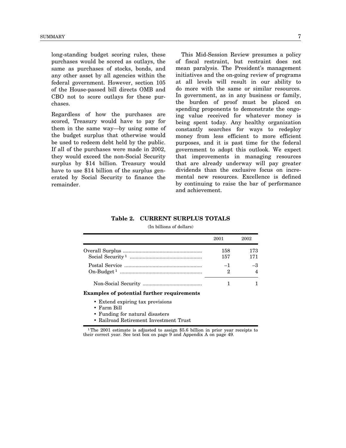<span id="page-11-0"></span>long-standing budget scoring rules, these purchases would be scored as outlays, the same as purchases of stocks, bonds, and any other asset by all agencies within the federal government. However, section 105 of the House-passed bill directs OMB and CBO not to score outlays for these purchases.

Regardless of how the purchases are scored, Treasury would have to pay for them in the same way—by using some of the budget surplus that otherwise would be used to redeem debt held by the public. If all of the purchases were made in 2002, they would exceed the non-Social Security surplus by \$14 billion. Treasury would have to use \$14 billion of the surplus generated by Social Security to finance the remainder.

This Mid-Session Review presumes a policy of fiscal restraint, but restraint does not mean paralysis. The President's management initiatives and the on-going review of programs at all levels will result in our ability to do more with the same or similar resources. In government, as in any business or family, the burden of proof must be placed on spending proponents to demonstrate the ongoing value received for whatever money is being spent today. Any healthy organization constantly searches for ways to redeploy money from less efficient to more efficient purposes, and it is past time for the federal government to adopt this outlook. We expect that improvements in managing resources that are already underway will pay greater dividends than the exclusive focus on incremental new resources. Excellence is defined by continuing to raise the bar of performance and achievement.

### **Table 2. CURRENT SURPLUS TOTALS**

(In billions of dollars)

| 2001       | 2002       |
|------------|------------|
| 158<br>157 | 173<br>171 |
| — I        |            |
|            |            |

### **Examples of potential further requirements**

• Extend expiring tax provisions

• Farm Bill

- Funding for natural disasters
- Railroad Retirement Investment Trust

<sup>1</sup>The 2001 estimate is adjusted to assign \$5.6 billion in prior year receipts to their correct year. See text box on page 9 and Appendix A on page 49.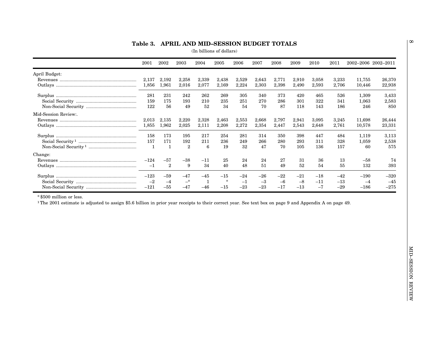| (In billions of dollars) |  |
|--------------------------|--|
|                          |  |

<span id="page-12-0"></span>

|                                                                                                                                                                                                                                                                                                                                                                                                                                                                                                                                                                                                  | 2001         | 2002             | 2003  | 2004         | $\,2005\,$ | 2006   | 2007  | 2008  | 2009  | 2010  | 2011  | 2002-2006 2002-2011 |        |
|--------------------------------------------------------------------------------------------------------------------------------------------------------------------------------------------------------------------------------------------------------------------------------------------------------------------------------------------------------------------------------------------------------------------------------------------------------------------------------------------------------------------------------------------------------------------------------------------------|--------------|------------------|-------|--------------|------------|--------|-------|-------|-------|-------|-------|---------------------|--------|
| April Budget:                                                                                                                                                                                                                                                                                                                                                                                                                                                                                                                                                                                    |              |                  |       |              |            |        |       |       |       |       |       |                     |        |
|                                                                                                                                                                                                                                                                                                                                                                                                                                                                                                                                                                                                  | 2,137        | 2,192            | 2,258 | 2,339        | 2,438      | 2,529  | 2,643 | 2,771 | 2,910 | 3,058 | 3,233 | 11,755              | 26,370 |
|                                                                                                                                                                                                                                                                                                                                                                                                                                                                                                                                                                                                  | 1,856        | 1,961            | 2,016 | 2,077        | 2,169      | 2,224  | 2,303 | 2,398 | 2,490 | 2,593 | 2,706 | 10,446              | 22,938 |
|                                                                                                                                                                                                                                                                                                                                                                                                                                                                                                                                                                                                  | 281          | 231              | 242   | 262          | 269        | 305    | 340   | 373   | 420   | 465   | 526   | 1,309               | 3,433  |
|                                                                                                                                                                                                                                                                                                                                                                                                                                                                                                                                                                                                  | 159          | 175              | 193   | 210          | 235        | 251    | 270   | 286   | 301   | 322   | 341   | 1,063               | 2,583  |
|                                                                                                                                                                                                                                                                                                                                                                                                                                                                                                                                                                                                  | 122          | 56               | 49    | 52           | 34         | 54     | 70    | 87    | 118   | 143   | 186   | 246                 | 850    |
| Mid-Session Review:.                                                                                                                                                                                                                                                                                                                                                                                                                                                                                                                                                                             |              |                  |       |              |            |        |       |       |       |       |       |                     |        |
|                                                                                                                                                                                                                                                                                                                                                                                                                                                                                                                                                                                                  | 2,013        | 2,135            | 2,220 | 2,328        | 2,463      | 2,553  | 2,668 | 2,797 | 2,941 | 3,095 | 3,245 | 11,698              | 26,444 |
| $\label{eq:outdays} {\bf Outlays} \begin{minipage}{.4\linewidth} \centering \begin{minipage}{0.4\linewidth} \centering \end{minipage} \begin{minipage}{.4\linewidth} \centering \begin{minipage}{.4\linewidth} \centering \end{minipage} \begin{minipage}{.4\linewidth} \centering \end{minipage} \begin{minipage}{.4\linewidth} \centering \end{minipage} \begin{minipage}{.4\linewidth} \centering \begin{minipage}{.4\linewidth} \centering \end{minipage} \begin{minipage}{.4\linewidth} \centering \end{minipage} \begin{minipage}{.4\linewidth} \centering \end{minipage} \begin{minipage$ | 1,855        | 1,962            | 2,025 | 2,111        | 2,208      | 2,272  | 2,354 | 2,447 | 2,543 | 2,648 | 2,761 | 10,578              | 23,331 |
|                                                                                                                                                                                                                                                                                                                                                                                                                                                                                                                                                                                                  | 158          | 173              | 195   | 217          | 254        | 281    | 314   | 350   | 398   | 447   | 484   | 1,119               | 3,113  |
|                                                                                                                                                                                                                                                                                                                                                                                                                                                                                                                                                                                                  | 157          | 171              | 192   | 211          | 236        | 249    | 266   | 280   | 293   | 311   | 328   | 1,059               | 2,538  |
|                                                                                                                                                                                                                                                                                                                                                                                                                                                                                                                                                                                                  | $\mathbf{1}$ | $\mathbf{1}$     | $\,2$ | $\,6$        | 19         | $32\,$ | 47    | 70    | 105   | 136   | 157   | 60                  | 575    |
| Change:                                                                                                                                                                                                                                                                                                                                                                                                                                                                                                                                                                                          |              |                  |       |              |            |        |       |       |       |       |       |                     |        |
|                                                                                                                                                                                                                                                                                                                                                                                                                                                                                                                                                                                                  | $-124$       | $-57$            | $-38$ | $^{-11}$     | 25         | 24     | 24    | 27    | 31    | 36    | 13    | $-58$               | 74     |
|                                                                                                                                                                                                                                                                                                                                                                                                                                                                                                                                                                                                  | $-1$         | $\boldsymbol{2}$ | 9     | 34           | 40         | 48     | 51    | 49    | 52    | 54    | 55    | 132                 | 393    |
|                                                                                                                                                                                                                                                                                                                                                                                                                                                                                                                                                                                                  | $-123$       | $-59$            | $-47$ | $-45$        | $^{-15}$   | $-24$  | $-26$ | $-22$ | $-21$ | $-18$ | $-42$ | $-190$              | $-320$ |
|                                                                                                                                                                                                                                                                                                                                                                                                                                                                                                                                                                                                  | $-2$         | $-4$             | $-$ * | $\mathbf{1}$ | $\ast$     | $-1$   | $-3$  | $-6$  | $-8$  | $-11$ | $-13$ | $-4$                | $-45$  |
|                                                                                                                                                                                                                                                                                                                                                                                                                                                                                                                                                                                                  | $-121$       | $-55$            | $-47$ | $-46$        | $-15$      | $-23$  | $-23$ | $-17$ | $-13$ | $-7$  | $-29$ | $-186$              | $-275$ |
| <sup>1</sup> The 2001 estimate is adjusted to assign \$5.6 billion in prior year receipts to their correct year. See text box on page 9 and Appendix A on page 49.                                                                                                                                                                                                                                                                                                                                                                                                                               |              |                  |       |              |            |        |       |       |       |       |       |                     |        |
|                                                                                                                                                                                                                                                                                                                                                                                                                                                                                                                                                                                                  |              |                  |       |              |            |        |       |       |       |       |       |                     |        |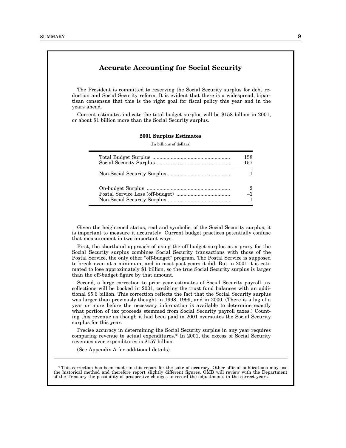### **Accurate Accounting for Social Security**

The President is committed to reserving the Social Security surplus for debt reduction and Social Security reform. It is evident that there is a widespread, bipartisan consensus that this is the right goal for fiscal policy this year and in the years ahead.

Current estimates indicate the total budget surplus will be \$158 billion in 2001, or about \$1 billion more than the Social Security surplus.

**2001 Surplus Estimates**

(In billions of dollars)

| 158            |
|----------------|
| 157            |
| 1              |
| $\overline{2}$ |
| $-1$           |
| 1              |

Given the heightened status, real and symbolic, of the Social Security surplus, it is important to measure it accurately. Current budget practices potentially confuse that measurement in two important ways.

First, the shorthand approach of using the off-budget surplus as a proxy for the Social Security surplus combines Social Security transactions with those of the Postal Service, the only other "off-budget" program. The Postal Service is supposed to break even at a minimum, and in most past years it did. But in 2001 it is estimated to lose approximately \$1 billion, so the true Social Security surplus is larger than the off-budget figure by that amount.

Second, a large correction to prior year estimates of Social Security payroll tax collections will be booked in 2001, crediting the trust fund balances with an additional \$5.6 billion. This correction reflects the fact that the Social Security surplus was larger than previously thought in 1998, 1999, and in 2000. (There is a lag of a year or more before the necessary information is available to determine exactly what portion of tax proceeds stemmed from Social Security payroll taxes.) Counting this revenue as though it had been paid in 2001 overstates the Social Security surplus for this year.

Precise accuracy in determining the Social Security surplus in any year requires comparing revenue to actual expenditures.\* In 2001, the excess of Social Security revenues over expenditures is \$157 billion.

(See Appendix A for additional details).

\* This correction has been made in this report for the sake of accuracy. Other official publications may use the historical method and therefore report slightly different figures. OMB will review with the Department of the Treasury the possibility of prospective changes to record the adjustments in the correct years.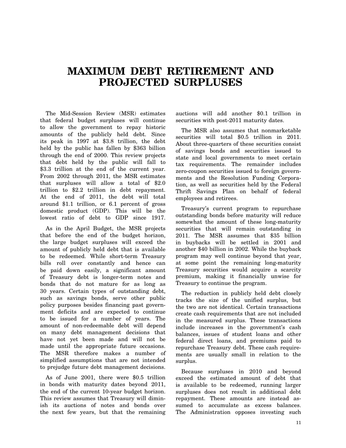## **MAXIMUM DEBT RETIREMENT AND PROJECTED SURPLUSES**

The Mid-Session Review (MSR) estimates that federal budget surpluses will continue to allow the government to repay historic amounts of the publicly held debt. Since its peak in 1997 at \$3.8 trillion, the debt held by the public has fallen by \$363 billion through the end of 2000. This review projects that debt held by the public will fall to \$3.3 trillion at the end of the current year. From 2002 through 2011, the MSR estimates that surpluses will allow a total of \$2.0 trillion to \$2.2 trillion in debt repayment. At the end of 2011, the debt will total around \$1.1 trillion, or 6.1 percent of gross domestic product (GDP). This will be the lowest ratio of debt to GDP since 1917.

As in the April Budget, the MSR projects that before the end of the budget horizon, the large budget surpluses will exceed the amount of publicly held debt that is available to be redeemed. While short-term Treasury bills roll over constantly and hence can be paid down easily, a significant amount of Treasury debt is longer-term notes and bonds that do not mature for as long as 30 years. Certain types of outstanding debt, such as savings bonds, serve other public policy purposes besides financing past government deficits and are expected to continue to be issued for a number of years. The amount of non-redeemable debt will depend on many debt management decisions that have not yet been made and will not be made until the appropriate future occasions. The MSR therefore makes a number of simplified assumptions that are not intended to prejudge future debt management decisions.

As of June 2001, there were \$0.5 trillion in bonds with maturity dates beyond 2011, the end of the current 10-year budget horizon. This review assumes that Treasury will diminish its auctions of notes and bonds over the next few years, but that the remaining

auctions will add another \$0.1 trillion in securities with post-2011 maturity dates.

The MSR also assumes that nonmarketable securities will total \$0.5 trillion in 2011. About three-quarters of these securities consist of savings bonds and securities issued to state and local governments to meet certain tax requirements. The remainder includes zero-coupon securities issued to foreign governments and the Resolution Funding Corporation, as well as securities held by the Federal Thrift Savings Plan on behalf of federal employees and retirees.

Treasury's current program to repurchase outstanding bonds before maturity will reduce somewhat the amount of these long-maturity securities that will remain outstanding in 2011. The MSR assumes that \$35 billion in buybacks will be settled in 2001 and another \$40 billion in 2002. While the buyback program may well continue beyond that year, at some point the remaining long-maturity Treasury securities would acquire a scarcity premium, making it financially unwise for Treasury to continue the program.

The reduction in publicly held debt closely tracks the size of the unified surplus, but the two are not identical. Certain transactions create cash requirements that are not included in the measured surplus. These transactions include increases in the government's cash balances, issues of student loans and other federal direct loans, and premiums paid to repurchase Treasury debt. These cash requirements are usually small in relation to the surplus.

Because surpluses in 2010 and beyond exceed the estimated amount of debt that is available to be redeemed, running larger surpluses does not result in additional debt repayment. These amounts are instead assumed to accumulate as excess balances. The Administration opposes investing such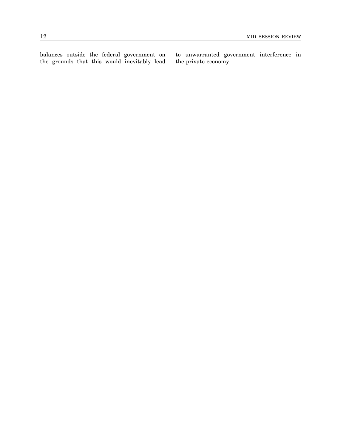balances outside the federal government on the grounds that this would inevitably lead to unwarranted government interference in the private economy.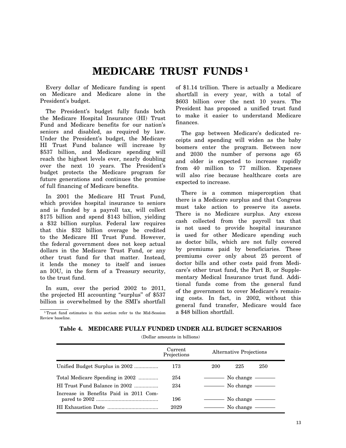## **MEDICARE TRUST FUNDS1**

<span id="page-16-0"></span>Every dollar of Medicare funding is spent on Medicare and Medicare alone in the President's budget.

The President's budget fully funds both the Medicare Hospital Insurance (HI) Trust Fund and Medicare benefits for our nation's seniors and disabled, as required by law. Under the President's budget, the Medicare HI Trust Fund balance will increase by \$537 billion, and Medicare spending will reach the highest levels ever, nearly doubling over the next 10 years. The President's budget protects the Medicare program for future generations and continues the promise of full financing of Medicare benefits.

In 2001 the Medicare HI Trust Fund, which provides hospital insurance to seniors and is funded by a payroll tax, will collect \$175 billion and spend \$143 billion, yielding a \$32 billion surplus. Federal law requires that this \$32 billion overage be credited to the Medicare HI Trust Fund. However, the federal government does not keep actual dollars in the Medicare Trust Fund, or any other trust fund for that matter. Instead, it lends the money to itself and issues an IOU, in the form of a Treasury security, to the trust fund.

In sum, over the period 2002 to 2011, the projected HI accounting "surplus" of \$537 billion is overwhelmed by the SMI's shortfall

1Trust fund estimates in this section refer to the Mid-Session Review baseline.

of \$1.14 trillion. There is actually a Medicare shortfall in every year, with a total of \$603 billion over the next 10 years. The President has proposed a unified trust fund to make it easier to understand Medicare finances.

The gap between Medicare's dedicated receipts and spending will widen as the baby boomers enter the program. Between now and 2030 the number of persons age 65 and older is expected to increase rapidly from 40 million to 77 million. Expenses will also rise because healthcare costs are expected to increase.

There is a common misperception that there is a Medicare surplus and that Congress must take action to preserve its assets. There is no Medicare surplus. Any excess cash collected from the payroll tax that is not used to provide hospital insurance is used for other Medicare spending such as doctor bills, which are not fully covered by premiums paid by beneficiaries. These premiums cover only about 25 percent of doctor bills and other costs paid from Medicare's other trust fund, the Part B, or Supplementary Medical Insurance trust fund. Additional funds come from the general fund of the government to cover Medicare's remaining costs. In fact, in 2002, without this general fund transfer, Medicare would face a \$48 billion shortfall.

|  |  |  | Table 4. MEDICARE FULLY FUNDED UNDER ALL BUDGET SCENARIOS |
|--|--|--|-----------------------------------------------------------|
|  |  |  |                                                           |

(Dollar amounts in billions)

|                                        | Current<br>Projections | <b>Alternative Projections</b>                                                |     |     |  |  |
|----------------------------------------|------------------------|-------------------------------------------------------------------------------|-----|-----|--|--|
| Unified Budget Surplus in 2002         | 173                    | 200                                                                           | 225 | 250 |  |  |
| Total Medicare Spending in 2002        | 254                    | No change ——                                                                  |     |     |  |  |
| HI Trust Fund Balance in 2002          | 234                    | $\frac{1}{\sqrt{1-\frac{1}{2}}}\$ No change $\frac{1}{\sqrt{1-\frac{1}{2}}}\$ |     |     |  |  |
| Increase in Benefits Paid in 2011 Com- | 196                    |                                                                               |     |     |  |  |
|                                        | 2029                   | No change                                                                     |     |     |  |  |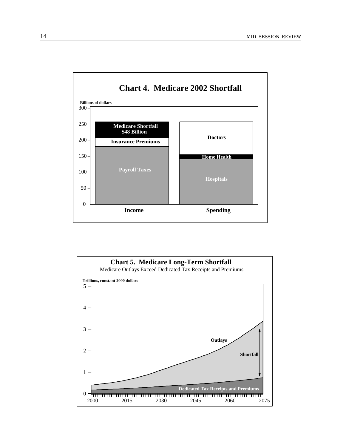<span id="page-17-0"></span>

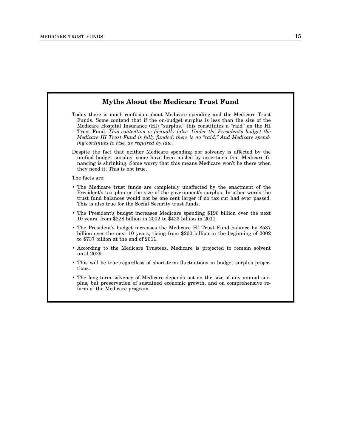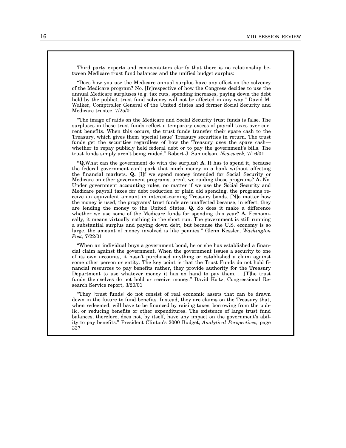Third party experts and commentators clarify that there is no relationship between Medicare trust fund balances and the unified budget surplus:

''Does how you use the Medicare annual surplus have any effect on the solvency of the Medicare program? No. [Ir]respective of how the Congress decides to use the annual Medicare surpluses (e.g. tax cuts, spending increases, paying down the debt held by the public), trust fund solvency will not be affected in any way.'' David M. Walker, Comptroller General of the United States and former Social Security and Medicare trustee, 7/25/01

''The image of raids on the Medicare and Social Security trust funds is false. The surpluses in these trust funds reflect a temporary excess of payroll taxes over current benefits. When this occurs, the trust funds transfer their spare cash to the Treasury, which gives them 'special issue' Treasury securities in return. The trust funds get the securities regardless of how the Treasury uses the spare cash whether to repay publicly held federal debt or to pay the government's bills. The trust funds simply aren't being raided.'' Robert J. Samuelson, *Newsweek,* 7/16/01

**''Q.**What can the government do with the surplus? **A.** It has to spend it, because the federal government can't park that much money in a bank without affecting the financial markets. **Q.** [I]f we spend money intended for Social Security or Medicare on other government programs, aren't we raiding those programs? **A.** No. Under government accounting rules, no matter if we use the Social Security and Medicare payroll taxes for debt reduction or plain old spending, the programs receive an equivalent amount in interest-earning Treasury bonds. [N]o matter how the money is used, the programs' trust funds are unaffected because, in effect, they are lending the money to the United States. **Q.** So does it make a difference whether we use some of the Medicare funds for spending this year? **A.** Economically, it means virtually nothing in the short run. The government is still running a substantial surplus and paying down debt, but because the U.S. economy is so large, the amount of money involved is like pennies.'' Glenn Kessler, *Washington Post,* 7/22/01

''When an individual buys a government bond, he or she has established a financial claim against the government. When the government issues a security to one of its own accounts, it hasn't purchased anything or established a claim against some other person or entity. The key point is that the Trust Funds do not hold financial resources to pay benefits rather, they provide authority for the Treasury Department to use whatever money it has on hand to pay them. . . .[T]he trust funds themselves do not hold or receive money.'' David Koitz, Congressional Research Service report, 3/20/01

''They [trust funds] do not consist of real economic assets that can be drawn down in the future to fund benefits. Instead, they are claims on the Treasury that, when redeemed, will have to be financed by raising taxes, borrowing from the public, or reducing benefits or other expenditures. The existence of large trust fund balances, therefore, does not, by itself, have any impact on the government's ability to pay benefits.'' President Clinton's 2000 Budget, *Analytical Perspectives,* page 337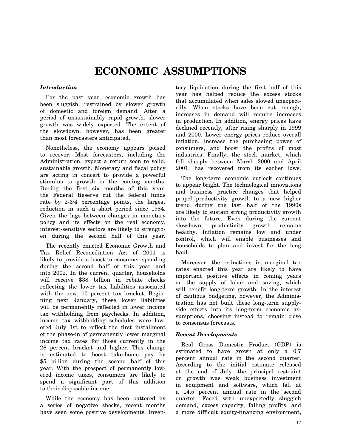## **ECONOMIC ASSUMPTIONS**

### *Introduction*

For the past year, economic growth has been sluggish, restrained by slower growth of domestic and foreign demand. After a period of unsustainably rapid growth, slower growth was widely expected. The extent of the slowdown, however, has been greater than most forecasters anticipated.

Nonetheless, the economy appears poised to recover. Most forecasters, including the Administration, expect a return soon to solid, sustainable growth. Monetary and fiscal policy are acting in concert to provide a powerful stimulus to growth in the coming months. During the first six months of this year, the Federal Reserve cut the federal funds rate by 2-3/4 percentage points, the largest reduction in such a short period since 1984. Given the lags between changes in monetary policy and its effects on the real economy, interest-sensitive sectors are likely to strengthen during the second half of this year.

The recently enacted Economic Growth and Tax Relief Reconciliation Act of 2001 is likely to provide a boost to consumer spending during the second half of this year and into 2002. In the current quarter, households will receive \$38 billion in rebate checks reflecting the lower tax liabilities associated with the new, 10 percent tax bracket. Beginning next January, these lower liabilities will be permanently reflected in lower income tax withholding from paychecks. In addition, income tax withholding schedules were lowered July 1st to reflect the first installment of the phase-in of permanently lower marginal income tax rates for those currently in the 28 percent bracket and higher. This change is estimated to boost take-home pay by \$5 billion during the second half of this year. With the prospect of permanently lowered income taxes, consumers are likely to spend a significant part of this addition to their disposable income.

While the economy has been battered by a series of negative shocks, recent months have seen some positive developments. Inven-

tory liquidation during the first half of this year has helped reduce the excess stocks that accumulated when sales slowed unexpectedly. When stocks have been cut enough, increases in demand will require increases in production. In addition, energy prices have declined recently, after rising sharply in 1999 and 2000. Lower energy prices reduce overall inflation, increase the purchasing power of consumers, and boost the profits of most industries. Finally, the stock market, which fell sharply between March 2000 and April 2001, has recovered from its earlier lows.

The long-term economic outlook continues to appear bright. The technological innovations and business practice changes that helped propel productivity growth to a new higher trend during the last half of the 1990s are likely to sustain strong productivity growth into the future. Even during the current slowdown, productivity growth remains healthy. Inflation remains low and under control, which will enable businesses and households to plan and invest for the long haul.

Moreover, the reductions in marginal tax rates enacted this year are likely to have important positive effects in coming years on the supply of labor and saving, which will benefit long-term growth. In the interest of cautious budgeting, however, the Administration has not built these long-term supplyside effects into its long-term economic assumptions, choosing instead to remain close to consensus forecasts.

### *Recent Developments*

Real Gross Domestic Product (GDP) is estimated to have grown at only a 0.7 percent annual rate in the second quarter. According to the initial estimate released at the end of July, the principal restraint on growth was weak business investment in equipment and software, which fell at a 14.5 percent annual rate in the second quarter. Faced with unexpectedly sluggish demand, excess capacity, falling profits, and a more difficult equity-financing environment,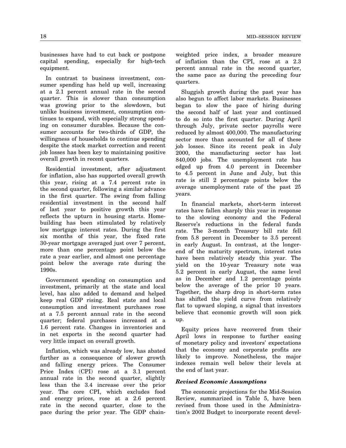businesses have had to cut back or postpone capital spending, especially for high-tech equipment.

In contrast to business investment, consumer spending has held up well, increasing at a 2.1 percent annual rate in the second quarter. This is slower than consumption was growing prior to the slowdown, but unlike business investment, consumption continues to expand, with especially strong spending on consumer durables. Because the consumer accounts for two-thirds of GDP, the willingness of households to continue spending despite the stock market correction and recent job losses has been key to maintaining positive overall growth in recent quarters.

Residential investment, after adjustment for inflation, also has supported overall growth this year, rising at a 7.4 percent rate in the second quarter, following a similar advance in the first quarter. The swing from falling residential investment in the second half of last year to positive growth this year reflects the upturn in housing starts. Homebuilding has been stimulated by relatively low mortgage interest rates. During the first six months of this year, the fixed rate 30-year mortgage averaged just over 7 percent, more than one percentage point below the rate a year earlier, and almost one percentage point below the average rate during the 1990s.

Government spending on consumption and investment, primarily at the state and local level, has also added to demand and helped keep real GDP rising. Real state and local consumption and investment purchases rose at a 7.5 percent annual rate in the second quarter; federal purchases increased at a 1.6 percent rate. Changes in inventories and in net exports in the second quarter had very little impact on overall growth.

Inflation, which was already low, has abated further as a consequence of slower growth and falling energy prices. The Consumer Price Index (CPI) rose at a 3.1 percent annual rate in the second quarter, slightly less than the 3.4 increase over the prior year. The core CPI, which excludes food and energy prices, rose at a 2.6 percent rate in the second quarter, close to the pace during the prior year. The GDP chainweighted price index, a broader measure of inflation than the CPI, rose at a 2.3 percent annual rate in the second quarter, the same pace as during the preceding four quarters.

Sluggish growth during the past year has also begun to affect labor markets. Businesses began to slow the pace of hiring during the second half of last year and continued to do so into the first quarter. During April through July, private sector payrolls were reduced by almost 400,000. The manufacturing sector more than accounted for all of these job losses. Since its recent peak in July 2000, the manufacturing sector has lost 840,000 jobs. The unemployment rate has edged up from 4.0 percent in December to 4.5 percent in June and July, but this rate is still 2 percentage points below the average unemployment rate of the past 25 years.

In financial markets, short-term interest rates have fallen sharply this year in response to the slowing economy and the Federal Reserve's reductions in the federal funds rate. The 3-month Treasury bill rate fell from 5.8 percent in December to 3.5 percent in early August. In contrast, at the longerend of the maturity spectrum, interest rates have been relatively steady this year. The yield on the 10-year Treasury note was 5.2 percent in early August, the same level as in December and 1.2 percentage points below the average of the prior 10 years. Together, the sharp drop in short-term rates has shifted the yield curve from relatively flat to upward sloping, a signal that investors believe that economic growth will soon pick up.

Equity prices have recovered from their April lows in response to further easing of monetary policy and investors' expectations that the economy and corporate profits are likely to improve. Nonetheless, the major indexes remain well below their levels at the end of last year.

### *Revised Economic Assumptions*

The economic projections for the Mid-Session Review, summarized in Table 5, have been revised from those used in the Administration's 2002 Budget to incorporate recent devel-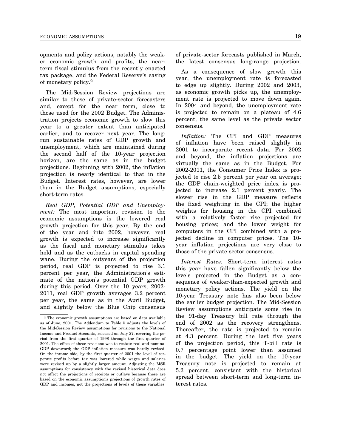opments and policy actions, notably the weaker economic growth and profits, the nearterm fiscal stimulus from the recently enacted tax package, and the Federal Reserve's easing of monetary policy.2

The Mid-Session Review projections are similar to those of private-sector forecasters and, except for the near term, close to those used for the 2002 Budget. The Administration projects economic growth to slow this year to a greater extent than anticipated earlier, and to recover next year. The longrun sustainable rates of GDP growth and unemployment, which are maintained during the second half of the 10-year projection horizon, are the same as in the budget projections. Beginning with 2002, the inflation projection is nearly identical to that in the Budget. Interest rates, however, are lower than in the Budget assumptions, especially short-term rates.

*Real GDP, Potential GDP and Unemployment:* The most important revision to the economic assumptions is the lowered real growth projection for this year. By the end of the year and into 2002, however, real growth is expected to increase significantly as the fiscal and monetary stimulus takes hold and as the cutbacks in capital spending wane. During the outyears of the projection period, real GDP is projected to rise 3.1 percent per year, the Administration's estimate of the nation's potential GDP growth during this period. Over the 10 years, 2002- 2011, real GDP growth averages 3.2 percent per year, the same as in the April Budget, and slightly below the Blue Chip consensus of private-sector forecasts published in March, the latest consensus long-range projection.

As a consequence of slow growth this year, the unemployment rate is forecasted to edge up slightly. During 2002 and 2003, as economic growth picks up, the unemployment rate is projected to move down again. In 2004 and beyond, the unemployment rate is projected to remain on a plateau of 4.6 percent, the same level as the private sector consensus.

*Inflation:* The CPI and GDP measures of inflation have been raised slightly in 2001 to incorporate recent data. For 2002 and beyond, the inflation projections are virtually the same as in the Budget. For 2002-2011, the Consumer Price Index is projected to rise 2.5 percent per year on average; the GDP chain-weighted price index is projected to increase 2.1 percent yearly. The slower rise in the GDP measure reflects the fixed weighting in the CPI; the higher weights for housing in the CPI combined with a relatively faster rise projected for housing prices; and the lower weight for computers in the CPI combined with a projected decline in computer prices. The 10 year inflation projections are very close to those of the private sector consensus.

*Interest Rates:* Short-term interest rates this year have fallen significantly below the levels projected in the Budget as a consequence of weaker-than-expected growth and monetary policy actions. The yield on the 10-year Treasury note has also been below the earlier budget projection. The Mid-Session Review assumptions anticipate some rise in the 91-day Treasury bill rate through the end of 2002 as the recovery strengthens. Thereafter, the rate is projected to remain at 4.3 percent. During the last five years of the projection period, this T-bill rate is 0.7 percentage point lower than assumed in the budget. The yield on the 10-year Treasury note is projected to remain at 5.2 percent, consistent with the historical spread between short-term and long-term interest rates.

<sup>2</sup> The economic growth assumptions are based on data available as of June, 2001. The Addendum to Table 5 adjusts the levels of the Mid-Session Review assumptions for revisions to the National Income and Product Accounts, released on July 27, covering the period from the first quarter of 1998 through the first quarter of 2001. The effect of these revisions was to restate real and nominal GDP downward; the GDP inflation measure was hardly revised. On the income side, by the first quarter of 2001 the level of corporate profits before tax was lowered while wages and salaries were revised up by a slightly larger amount. Adjusting the MSR assumptions for consistency with the revised historical data does not affect the projections of receipts or outlays because these are based on the economic assumption's projections of growth rates of GDP and incomes, not the projections of levels of these variables.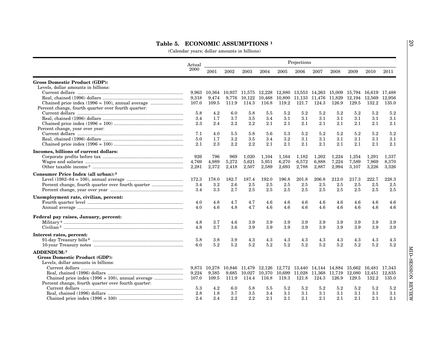### **Table 5. ECONOMIC ASSUMPTIONS 1**

(Calendar years; dollar amounts in billions)

<span id="page-23-0"></span>

|                                                     | Actual | Projections |               |               |        |            |                                                 |         |        |         |               |        |
|-----------------------------------------------------|--------|-------------|---------------|---------------|--------|------------|-------------------------------------------------|---------|--------|---------|---------------|--------|
|                                                     | 2000   | 2001        | 2002          | 2003          | 2004   | 2005       | 2006                                            | 2007    | 2008   | 2009    | 2010          | 2011   |
| <b>Gross Domestic Product (GDP):</b>                |        |             |               |               |        |            |                                                 |         |        |         |               |        |
| Levels, dollar amounts in billions:                 |        |             |               |               |        |            |                                                 |         |        |         |               |        |
|                                                     | 9.963  |             | 10,364 10,937 | 11,575        | 12,228 |            | 12,880 13,553 14,263 15,009 15,794 16,619       |         |        |         |               | 17.488 |
|                                                     | 9,318  | 9,474       | 9,776         | 10,122        | 10,468 | $10{,}800$ | 11,133                                          | 11,476  | 11,829 |         | 12,194 12,569 | 12,956 |
|                                                     | 107.0  | 109.5       | 111.9         | 114.3         | 116.8  | 119.2      | 121.7                                           | 124.3   | 126.9  | 129.5   | 132.2         | 135.0  |
| Percent change, fourth quarter over fourth quarter: |        |             |               |               |        |            |                                                 |         |        |         |               |        |
|                                                     | 5.8    | 4.2         | 6.0           | 5.8           | 5.5    | 5.2        | 5.2                                             | $5.2\,$ | 5.2    | 5.2     | 5.2           | 5.2    |
|                                                     | 3.4    | 1.7         | 3.7           | 3.5           | 3.4    | 3.1        | 3.1                                             | 3.1     | 3.1    | 3.1     | 3.1           | 3.1    |
|                                                     | 2.3    | 2.4         | $2.2\,$       | $2.2\,$       | 2.1    | 2.1        | 2.1                                             | 2.1     | 2.1    | 2.1     | 2.1           | 2.1    |
| Percent change, year over year:                     |        |             |               |               |        |            |                                                 |         |        |         |               |        |
|                                                     | 7.1    | 4.0         | 5.5           | 5.8           | 5.6    | 5.3        | 5.2                                             | $5.2\,$ | 5.2    | 5.2     | 5.2           | 5.2    |
|                                                     | 5.0    | 1.7         | $3.2\,$       | 3.5           | 3.4    | 3.2        | 3.1                                             | 3.1     | 3.1    | 3.1     | $3.1\,$       | 3.1    |
|                                                     | 2.1    | 2.3         | $2.2\,$       | 2.2           | 2.1    | 2.1        | 2.1                                             | 2.1     | 2.1    | 2.1     | 2.1           | 2.1    |
|                                                     |        |             |               |               |        |            |                                                 |         |        |         |               |        |
| Incomes, billions of current dollars:               |        |             |               |               |        |            |                                                 |         |        |         |               |        |
|                                                     | 926    | 796         | 969           | 1,020         | 1,104  | 1,164      | 1,182                                           | 1,202   | 1,224  | 1,254   | 1,291         | 1,337  |
|                                                     | 4,769  | 4,989       | 5,272         | 5,621         | 5,951  | 6,270      | 6,572                                           | 6,888   | 7,224  | 7,589   | 7,969         | 8,370  |
|                                                     | 2,281  | 2,372       | 2,418         | 2,507         | 2,589  | 2,693      | 2,788                                           | 2,887   | 2,994  | 3,107   | 3,226         | 3,326  |
| Consumer Price Index (all urban): <sup>3</sup>      |        |             |               |               |        |            |                                                 |         |        |         |               |        |
|                                                     | 172.3  | 178.0       | 182.7         | 187.4         | 192.0  | 196.8      | 201.8                                           | 206.8   | 212.0  | 217.3   | 222.7         | 228.3  |
| Percent change, fourth quarter over fourth quarter  | 3.4    | 3.2         | 2.6           | $2.5\,$       | 2.5    | 2.5        | 2.5                                             | 2.5     | 2.5    | $2.5\,$ | 2.5           | 2.5    |
|                                                     | 3.4    | 3.3         | 2.7           | 2.5           | 2.5    | 2.5        | 2.5                                             | 2.5     | 2.5    | 2.5     | 2.5           | 2.5    |
| Unemployment rate, civilian, percent:               |        |             |               |               |        |            |                                                 |         |        |         |               |        |
|                                                     | 4.0    | 4.8         | 4.7           | 4.7           | 4.6    | 4.6        | 4.6                                             | 4.6     | 4.6    | 4.6     | 4.6           | 4.6    |
|                                                     | 4.0    | 4.6         | 4.8           | 4.7           | 4.6    | 4.6        | 4.6                                             | 4.6     | 4.6    | 4.6     | 4.6           | 4.6    |
|                                                     |        |             |               |               |        |            |                                                 |         |        |         |               |        |
| Federal pay raises, January, percent:               |        |             |               |               |        |            |                                                 |         |        |         |               |        |
|                                                     | 4.8    | 3.7         | 4.6           | 3.9           | 3.9    | 3.9        | 3.9                                             | 3.9     | 3.9    | 3.9     | 3.9           | 3.9    |
|                                                     | 4.8    | 3.7         | 3.6           | 3.9           | 3.9    | 3.9        | 3.9                                             | 3.9     | 3.9    | 3.9     | 3.9           | 3.9    |
| Interest rates, percent:                            |        |             |               |               |        |            |                                                 |         |        |         |               |        |
|                                                     | 5.8    | 3.8         | 3.9           | 4.3           | 4.3    | 4.3        | 4.3                                             | 4.3     | 4.3    | 4.3     | 4.3           | 4.3    |
|                                                     | 6.0    | 5.2         | 5.2           | 5.2           | 5.2    | 5.2        | 5.2                                             | 5.2     | 5.2    | 5.2     | 5.2           | 5.2    |
| <b>ADDENDUM:7</b>                                   |        |             |               |               |        |            |                                                 |         |        |         |               |        |
| <b>Gross Domestic Product (GDP):</b>                |        |             |               |               |        |            |                                                 |         |        |         |               |        |
|                                                     |        |             |               |               |        |            |                                                 |         |        |         |               |        |
| Levels, dollar amounts in billions:                 |        |             |               |               |        |            |                                                 |         |        |         |               |        |
|                                                     | 9,873  | 10,278      |               | 10,846 11,479 |        |            | 12, 126 12, 772 13, 440 14, 144 14, 884 15, 662 |         |        |         | 16,481        | 17,343 |
|                                                     | 9,224  | 9,385       | 9,685         | $10{,}027$    | 10,370 |            | 10,699 11,028 11,368 11,719                     |         |        | 12,080  | 12,451        | 12,835 |
|                                                     | 107.0  | 109.5       | 111.9         | 114.4         | 116.8  | 119.3      | 121.8                                           | 124.3   | 126.9  | 129.5   | 132.2         | 135.0  |
| Percent change, fourth quarter over fourth quarter: |        |             |               |               |        |            |                                                 |         |        |         |               |        |
|                                                     | 5.3    | 4.2         | 6.0           | 5.8           | 5.5    | 5.2        | 5.2                                             | 5.2     | 5.2    | 5.2     | 5.2           | 5.2    |
|                                                     | 2.8    | 1.8         | 3.7           | 3.5           | 3.4    | 3.1        | 3.1                                             | 3.1     | 3.1    | 3.1     | 3.1           | 3.1    |
|                                                     | 2.4    | 2.4         | 2.2           | 2.2           | 2.1    | 2.1        | 2.1                                             | 2.1     | 2.1    | 2.1     | 2.1           | 2.1    |

MID-SESSION REVIEW –SESSION REVIEW

20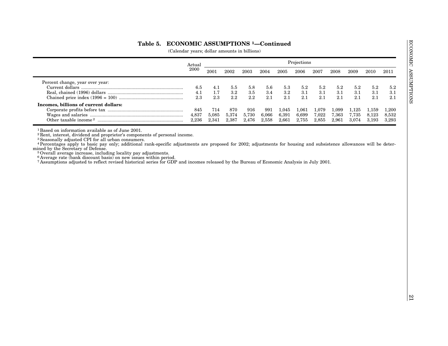|                                                                                                                                                                                                                                                                                                                                               | Actual                |                       |                           |                       |                       |                         | Projections             |                         |                           |                         |                         |                         |
|-----------------------------------------------------------------------------------------------------------------------------------------------------------------------------------------------------------------------------------------------------------------------------------------------------------------------------------------------|-----------------------|-----------------------|---------------------------|-----------------------|-----------------------|-------------------------|-------------------------|-------------------------|---------------------------|-------------------------|-------------------------|-------------------------|
|                                                                                                                                                                                                                                                                                                                                               | 2000                  | 2001                  | $\,2002\,$                | $\,2003\,$            | 2004                  | 2005                    | 2006                    | 2007                    | 2008                      | 2009                    | 2010                    | 2011                    |
| Percent change, year over year:                                                                                                                                                                                                                                                                                                               | 6.5<br>4.1<br>$2.3\,$ | 4.1<br>1.7<br>2.3     | 5.5<br>$3.2\,$<br>$2.2\,$ | 5.8<br>3.5<br>2.2     | 5.6<br>3.4<br>2.1     | 5.3<br>3.2<br>2.1       | 5.2<br>3.1<br>2.1       | 5.2<br>3.1<br>2.1       | $5.2\,$<br>3.1<br>$2.1\,$ | 5.2<br>3.1<br>2.1       | $5.2\,$<br>3.1<br>2.1   | 5.2<br>3.1<br>$2.1\,$   |
| Incomes, billions of current dollars:                                                                                                                                                                                                                                                                                                         | 845<br>4,837<br>2,236 | 714<br>5,085<br>2,341 | 870<br>5,374<br>2,387     | 916<br>5,730<br>2,476 | 991<br>6,066<br>2,558 | 1,045<br>6,391<br>2,661 | 1,061<br>6,699<br>2,755 | 1,079<br>7,022<br>2,855 | 1,099<br>7,363<br>2,961   | 1,125<br>7,735<br>3,074 | 1,159<br>8,123<br>3,193 | 1,200<br>8,532<br>3,293 |
| mined by the Secretary of Defense.<br><sup>5</sup> Overall average increase, including locality pay adjustments.<br><sup>6</sup> Average rate (bank discount basis) on new issues within period.<br>7 Assumptions adjusted to reflect revised historical series for GDP and incomes released by the Bureau of Economic Analysis in July 2001. |                       |                       |                           |                       |                       |                         |                         |                         |                           |                         |                         |                         |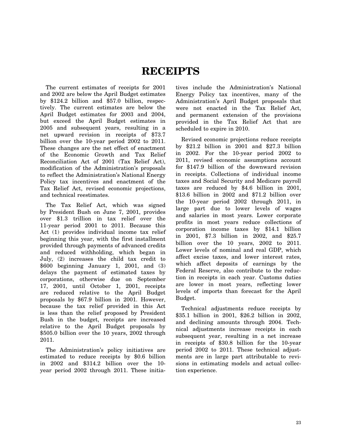## **RECEIPTS**

The current estimates of receipts for 2001 and 2002 are below the April Budget estimates by \$124.2 billion and \$57.0 billion, respectively. The current estimates are below the April Budget estimates for 2003 and 2004, but exceed the April Budget estimates in 2005 and subsequent years, resulting in a net upward revision in receipts of \$73.7 billion over the 10-year period 2002 to 2011. These changes are the net effect of enactment of the Economic Growth and Tax Relief Reconciliation Act of 2001 (Tax Relief Act), modification of the Administration's proposals to reflect the Administration's National Energy Policy tax incentives and enactment of the Tax Relief Act, revised economic projections, and technical reestimates.

The Tax Relief Act, which was signed by President Bush on June 7, 2001, provides over \$1.3 trillion in tax relief over the 11-year period 2001 to 2011. Because this Act (1) provides individual income tax relief beginning this year, with the first installment provided through payments of advanced credits and reduced withholding, which began in July, (2) increases the child tax credit to \$600 beginning January 1, 2001, and (3) delays the payment of estimated taxes by corporations, otherwise due on September 17, 2001, until October 1, 2001, receipts are reduced relative to the April Budget proposals by \$67.9 billion in 2001. However, because the tax relief provided in this Act is less than the relief proposed by President Bush in the budget, receipts are increased relative to the April Budget proposals by \$505.0 billion over the 10 years, 2002 through 2011.

The Administration's policy initiatives are estimated to reduce receipts by \$0.6 billion in 2002 and \$314.2 billion over the 10 year period 2002 through 2011. These initia-

tives include the Administration's National Energy Policy tax incentives, many of the Administration's April Budget proposals that were not enacted in the Tax Relief Act, and permanent extension of the provisions provided in the Tax Relief Act that are scheduled to expire in 2010.

Revised economic projections reduce receipts by \$21.2 billion in 2001 and \$27.3 billion in 2002. For the 10-year period 2002 to 2011, revised economic assumptions account for \$147.9 billion of the downward revision in receipts. Collections of individual income taxes and Social Security and Medicare payroll taxes are reduced by \$4.6 billion in 2001, \$13.6 billion in 2002 and \$71.2 billion over the 10-year period 2002 through 2011, in large part due to lower levels of wages and salaries in most years. Lower corporate profits in most years reduce collections of corporation income taxes by \$14.1 billion in 2001, \$7.3 billion in 2002, and \$25.7 billion over the 10 years, 2002 to 2011. Lower levels of nominal and real GDP, which affect excise taxes, and lower interest rates, which affect deposits of earnings by the Federal Reserve, also contribute to the reduction in receipts in each year. Customs duties are lower in most years, reflecting lower levels of imports than forecast for the April Budget.

Technical adjustments reduce receipts by \$35.1 billion in 2001, \$26.2 billion in 2002, and declining amounts through 2004. Technical adjustments increase receipts in each subsequent year, resulting in a net increase in receipts of \$30.8 billion for the 10-year period 2002 to 2011. These technical adjustments are in large part attributable to revisions in estimating models and actual collection experience.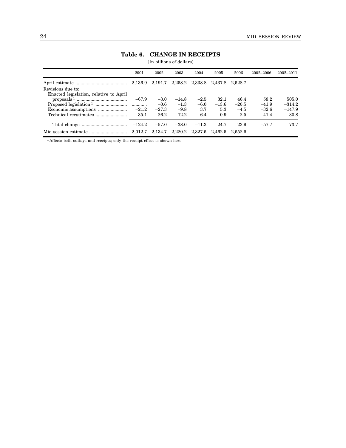<span id="page-26-0"></span>

|                                        | 2001     | 2002    | 2003    | 2004            | 2005    | 2006    | 2002-2006 | 2002-2011 |
|----------------------------------------|----------|---------|---------|-----------------|---------|---------|-----------|-----------|
|                                        |          |         |         |                 |         |         |           |           |
| Revisions due to:                      |          |         |         |                 |         |         |           |           |
| Enacted legislation, relative to April |          |         |         |                 |         |         |           |           |
|                                        | $-67.9$  | $-3.0$  | $-14.8$ | $-2.5$          | 32.1    | 46.4    | 58.2      | 505.0     |
|                                        |          | $-0.6$  | $-1.3$  | $-6.0$          | $-13.6$ | $-20.5$ | $-41.9$   | $-314.2$  |
|                                        | $-21.2$  | $-27.3$ | $-9.8$  | 3.7             | 5.3     | $-4.5$  | $-32.6$   | $-147.9$  |
|                                        | $-35.1$  | $-26.2$ | $-12.2$ | $-6.4$          | 0.9     | 2.5     | $-41.4$   | 30.8      |
|                                        | $-124.2$ | $-57.0$ | $-38.0$ | $-11.3$         | 24.7    | 23.9    | $-57.7$   | 73.7      |
|                                        |          | 2,134.7 |         | 2,220.2 2,327.5 | 2.462.5 | 2.552.6 |           |           |

### **Table 6. CHANGE IN RECEIPTS**

(In billions of dollars)

 $^{\rm 1}$  Affects both outlays and receipts; only the receipt effect is shown here.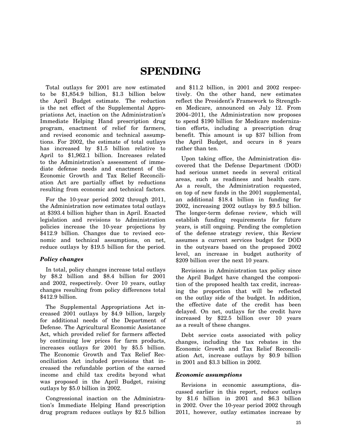## **SPENDING**

Total outlays for 2001 are now estimated to be \$1,854.9 billion, \$1.3 billion below the April Budget estimate. The reduction is the net effect of the Supplemental Appropriations Act, inaction on the Administration's Immediate Helping Hand prescription drug program, enactment of relief for farmers, and revised economic and technical assumptions. For 2002, the estimate of total outlays has increased by \$1.5 billion relative to April to \$1,962.1 billion. Increases related to the Administration's assessment of immediate defense needs and enactment of the Economic Growth and Tax Relief Reconciliation Act are partially offset by reductions resulting from economic and technical factors.

For the 10-year period 2002 through 2011, the Administration now estimates total outlays at \$393.4 billion higher than in April. Enacted legislation and revisions to Administration policies increase the 10-year projections by \$412.9 billion. Changes due to revised economic and technical assumptions, on net, reduce outlays by \$19.5 billion for the period.

### *Policy changes*

In total, policy changes increase total outlays by \$8.2 billion and \$8.4 billion for 2001 and 2002, respectively. Over 10 years, outlay changes resulting from policy differences total \$412.9 billion.

The Supplemental Appropriations Act increased 2001 outlays by \$4.9 billion, largely for additional needs of the Department of Defense. The Agricultural Economic Assistance Act, which provided relief for farmers affected by continuing low prices for farm products, increases outlays for 2001 by \$5.5 billion. The Economic Growth and Tax Relief Reconciliation Act included provisions that increased the refundable portion of the earned income and child tax credits beyond what was proposed in the April Budget, raising outlays by \$5.0 billion in 2002.

Congressional inaction on the Administration's Immediate Helping Hand prescription drug program reduces outlays by \$2.5 billion

and \$11.2 billion, in 2001 and 2002 respectively. On the other hand, new estimates reflect the President's Framework to Strengthen Medicare, announced on July 12. From 2004–2011, the Administration now proposes to spend \$190 billion for Medicare modernization efforts, including a prescription drug benefit. This amount is up \$37 billion from the April Budget, and occurs in 8 years rather than ten.

Upon taking office, the Administration discovered that the Defense Department (DOD) had serious unmet needs in several critical areas, such as readiness and health care. As a result, the Administration requested, on top of new funds in the 2001 supplemental, an additional \$18.4 billion in funding for 2002, increasing 2002 outlays by \$9.5 billion. The longer-term defense review, which will establish funding requirements for future years, is still ongoing. Pending the completion of the defense strategy review, this Review assumes a current services budget for DOD in the outyears based on the proposed 2002 level, an increase in budget authority of \$209 billion over the next 10 years.

Revisions in Administration tax policy since the April Budget have changed the composition of the proposed health tax credit, increasing the proportion that will be reflected on the outlay side of the budget. In addition, the effective date of the credit has been delayed. On net, outlays for the credit have increased by \$22.5 billion over 10 years as a result of these changes.

Debt service costs associated with policy changes, including the tax rebates in the Economic Growth and Tax Relief Reconciliation Act, increase outlays by \$0.9 billion in 2001 and \$3.3 billion in 2002.

### *Economic assumptions*

Revisions in economic assumptions, discussed earlier in this report, reduce outlays by \$1.6 billion in 2001 and \$6.3 billion in 2002. Over the 10-year period 2002 through 2011, however, outlay estimates increase by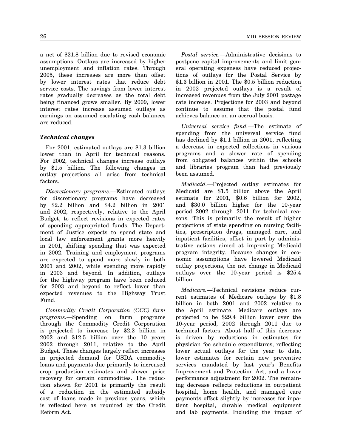a net of \$21.8 billion due to revised economic assumptions. Outlays are increased by higher unemployment and inflation rates. Through 2005, these increases are more than offset by lower interest rates that reduce debt service costs. The savings from lower interest rates gradually decreases as the total debt being financed grows smaller. By 2009, lower interest rates increase assumed outlays as earnings on assumed escalating cash balances are reduced.

### *Technical changes*

For 2001, estimated outlays are \$1.3 billion lower than in April for technical reasons. For 2002, technical changes increase outlays by \$1.5 billion. The following changes in outlay projections all arise from technical factors.

*Discretionary programs.*—Estimated outlays for discretionary programs have decreased by \$2.2 billion and \$4.2 billion in 2001 and 2002, respectively, relative to the April Budget, to reflect revisions in expected rates of spending appropriated funds. The Department of Justice expects to spend state and local law enforcement grants more heavily in 2001, shifting spending that was expected in 2002. Training and employment programs are expected to spend more slowly in both 2001 and 2002, while spending more rapidly in 2003 and beyond. In addition, outlays for the highway program have been reduced for 2003 and beyond to reflect lower than expected revenues to the Highway Trust Fund.

*Commodity Credit Corporation (CCC) farm programs.*—Spending on farm programs through the Commodity Credit Corporation is projected to increase by \$2.2 billion in 2002 and \$12.5 billion over the 10 years 2002 through 2011, relative to the April Budget. These changes largely reflect increases in projected demand for USDA commodity loans and payments due primarily to increased crop production estimates and slower price recovery for certain commodities. The reduction shown for 2001 is primarily the result of a reduction in the estimated subsidy cost of loans made in previous years, which is reflected here as required by the Credit Reform Act.

*Postal service.*—Administrative decisions to postpone capital improvements and limit general operating expenses have reduced projections of outlays for the Postal Service by \$1.3 billion in 2001. The \$0.5 billion reduction in 2002 projected outlays is a result of increased revenues from the July 2001 postage rate increase. Projections for 2003 and beyond continue to assume that the postal fund achieves balance on an accrual basis.

*Universal service fund.*—The estimate of spending from the universal service fund has declined by \$1.1 billion in 2001, reflecting a decrease in expected collections in various programs and a slower rate of spending from obligated balances within the schools and libraries program than had previously been assumed.

*Medicaid.*—Projected outlay estimates for Medicaid are \$1.5 billion above the April estimate for 2001, \$0.6 billion for 2002, and \$30.0 billion higher for the 10-year period 2002 through 2011 for technical reasons. This is primarily the result of higher projections of state spending on nursing facilities, prescription drugs, managed care, and inpatient facilities, offset in part by administrative actions aimed at improving Medicaid program integrity. Because changes in economic assumptions have lowered Medicaid outlay projections, the net change in Medicaid outlays over the 10-year period is \$25.4 billion.

*Medicare.—*Technical revisions reduce current estimates of Medicare outlays by \$1.8 billion in both 2001 and 2002 relative to the April estimate. Medicare outlays are projected to be \$29.4 billion lower over the 10-year period, 2002 through 2011 due to technical factors. About half of this decrease is driven by reductions in estimates for physician fee schedule expenditures, reflecting lower actual outlays for the year to date, lower estimates for certain new preventive services mandated by last year's Benefits Improvement and Protection Act, and a lower performance adjustment for 2002. The remaining decrease reflects reductions in outpatient hospital, home health, and managed care payments offset slightly by increases for inpatient hospital, durable medical equipment and lab payments. Including the impact of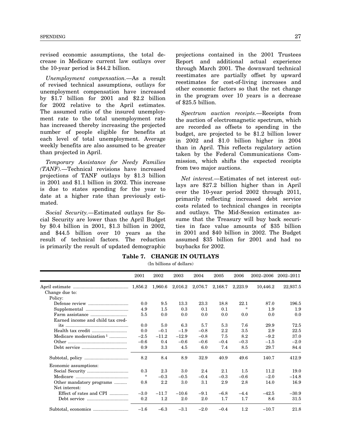<span id="page-29-0"></span>revised economic assumptions, the total decrease in Medicare current law outlays over the 10-year period is \$44.2 billion.

*Unemployment compensation.*—As a result of revised technical assumptions, outlays for unemployment compensation have increased by \$1.7 billion for 2001 and \$2.2 billion for 2002 relative to the April estimates. The assumed ratio of the insured unemployment rate to the total unemployment rate has increased thereby increasing the projected number of people eligible for benefits at each level of total unemployment. Average weekly benefits are also assumed to be greater than projected in April.

*Temporary Assistance for Needy Families (TANF).*—Technical revisions have increased projections of TANF outlays by \$1.3 billion in 2001 and \$1.1 billion in 2002. This increase is due to states spending for the year to date at a higher rate than previously estimated.

*Social Security.*—Estimated outlays for Social Security are lower than the April Budget by \$0.4 billion in 2001, \$1.3 billion in 2002, and \$44.5 billion over 10 years as the result of technical factors. The reduction is primarily the result of updated demographic

projections contained in the 2001 Trustees Report and additional actual experience through March 2001. The downward technical reestimates are partially offset by upward reestimates for cost-of-living increases and other economic factors so that the net change in the program over 10 years is a decrease of \$25.5 billion.

*Spectrum auction receipts.*—Receipts from the auction of electromagnetic spectrum, which are recorded as offsets to spending in the budget, are projected to be \$1.2 billion lower in 2002 and \$1.0 billion higher in 2004 than in April. This reflects regulatory action taken by the Federal Communications Commission, which shifts the expected receipts from two major auctions.

*Net interest.*—Estimates of net interest outlays are \$27.2 billion higher than in April over the 10-year period 2002 through 2011, primarily reflecting increased debt service costs related to technical changes in receipts and outlays. The Mid-Session estimates assume that the Treasury will buy back securities in face value amounts of \$35 billion in 2001 and \$40 billion in 2002. The Budget assumed \$35 billion for 2001 and had no buybacks for 2002.

**Table 7. CHANGE IN OUTLAYS**

|  |  | (In billions of dollars) |  |  |
|--|--|--------------------------|--|--|
|--|--|--------------------------|--|--|

|                                     | 2001    | 2002    | 2003    | 2004    | 2005    | 2006    | 2002-2006 | 2002-2011 |
|-------------------------------------|---------|---------|---------|---------|---------|---------|-----------|-----------|
|                                     |         | 1,960.6 | 2,016.2 | 2,076.7 | 2,168.7 | 2,223.9 | 10,446.2  | 22,937.5  |
| Change due to:                      |         |         |         |         |         |         |           |           |
| Policy:                             |         |         |         |         |         |         |           |           |
|                                     | 0.0     | 9.5     | 13.3    | 23.3    | 18.8    | 22.1    | 87.0      | 196.5     |
|                                     | 4.9     | $1.5\,$ | 0.3     | 0.1     | 0.1     | $\ast$  | 1.9       | 1.9       |
|                                     | 5.5     | 0.0     | 0.0     | 0.0     | 0.0     | 0.0     | 0.0       | 0.0       |
| Earned income and child tax cred-   |         |         |         |         |         |         |           |           |
|                                     | 0.0     | 5.0     | 6.3     | 5.7     | 5.3     | 7.6     | 29.9      | 72.5      |
|                                     | 0.0     | $-0.1$  | $-1.9$  | $-0.8$  | 2.2     | 3.5     | 2.9       | 22.5      |
| Medicare modernization <sup>1</sup> | $-2.5$  | $-11.2$ | $-12.9$ | $-0.8$  | 7.5     | 8.2     | $-9.2$    | 37.0      |
|                                     | $-0.6$  | 0.4     | $-0.6$  | $-0.6$  | $-0.4$  | $-0.3$  | $-1.5$    | $-2.0$    |
|                                     | 0.9     | 3.3     | 4.5     | 6.0     | 7.4     | 8.5     | 29.7      | 84.4      |
|                                     | 8.2     | 8.4     | 8.9     | 32.9    | 40.9    | 49.6    | 140.7     | 412.9     |
| Economic assumptions:               |         |         |         |         |         |         |           |           |
|                                     | 0.3     | 2.3     | 3.0     | 2.4     | 2.1     | 1.5     | 11.2      | 19.0      |
|                                     | $\ast$  | $-0.3$  | $-0.5$  | $-0.4$  | $-0.3$  | $-0.6$  | $-2.0$    | $-14.8$   |
| Other mandatory programs            | 0.8     | $2.2\,$ | 3.0     | 3.1     | 2.9     | 2.8     | 14.0      | 16.9      |
| Net interest:                       |         |         |         |         |         |         |           |           |
| Effect of rates and CPI             | $-3.0$  | $-11.7$ | $-10.6$ | $-9.1$  | $-6.8$  | $-4.4$  | $-42.5$   | $-30.9$   |
|                                     | $0.2\,$ | $1.2\,$ | 2.0     | 2.0     | 1.7     | 1.7     | 8.6       | 31.5      |
|                                     | $-1.6$  | $-6.3$  | $-3.1$  | $-2.0$  | $-0.4$  | $1.2\,$ | $-10.7$   | 21.8      |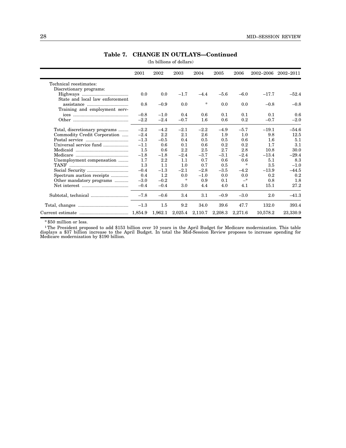|                                 | 2001   | 2002    | 2003             | 2004    | 2005    | 2006    | 2002-2006 | 2002-2011 |
|---------------------------------|--------|---------|------------------|---------|---------|---------|-----------|-----------|
| Technical reestimates:          |        |         |                  |         |         |         |           |           |
| Discretionary programs:         |        |         |                  |         |         |         |           |           |
|                                 | 0.0    | 0.0     | $-1.7$           | $-4.4$  | $-5.6$  | $-6.0$  | $-17.7$   | $-52.4$   |
| State and local law enforcement |        |         |                  |         |         |         |           |           |
|                                 | 0.8    | $-0.9$  | 0.0              | $\ast$  | 0.0     | 0.0     | $-0.8$    | $-0.8$    |
| Training and employment serv-   |        |         |                  |         |         |         |           |           |
|                                 | $-0.8$ | $-1.0$  | 0.4              | 0.6     | 0.1     | 0.1     | 0.1       | 0.6       |
|                                 | $-2.2$ | $-2.4$  | $-0.7$           | 1.6     | 0.6     | 0.2     | $-0.7$    | $-2.0$    |
| Total, discretionary programs   | $-2.2$ | $-4.2$  | $-2.1$           | $-2.2$  | $-4.9$  | $-5.7$  | $-19.1$   | $-54.6$   |
| Commodity Credit Corporation    | $-2.4$ | 2.2     | $2.1\,$          | 2.6     | 1.9     | 1.0     | 9.8       | 12.5      |
|                                 | $-1.3$ | $-0.5$  | 0.4              | 0.5     | 0.5     | 0.6     | 1.6       | 5.1       |
| Universal service fund          | $-1.1$ | 0.6     | 0.1              | 0.6     | 0.2     | 0.2     | 1.7       | 3.1       |
|                                 | 1.5    | 0.6     | $2.2\,$          | 2.5     | $2.7\,$ | 2.8     | 10.8      | 30.0      |
|                                 | $-1.8$ | $-1.8$  | $-2.4$           | $-3.7$  | $-3.1$  | $-2.4$  | $-13.4$   | $-29.4$   |
| Unemployment compensation       | 1.7    | 2.2     | 1.1              | 0.7     | 0.6     | 0.6     | 5.1       | 8.3       |
|                                 | 1.3    | 1.1     | 1.0              | 0.7     | $0.5\,$ | $\ast$  | 3.5       | $-1.0$    |
|                                 | $-0.4$ | $-1.3$  | $-2.1$           | $-2.8$  | $-3.5$  | $-4.2$  | $-13.9$   | $-44.5$   |
| Spectrum auction receipts       | 0.4    | $1.2\,$ | 0.0              | $-1.0$  | 0.0     | 0.0     | 0.2       | 0.2       |
| Other mandatory programs        | $-3.0$ | $-0.2$  | $\ast$           | 0.9     | 0.1     | —*      | 0.8       | 1.8       |
|                                 | $-0.4$ | $-0.4$  | $3.0\,$          | 4.4     | 4.0     | 4.1     | 15.1      | 27.2      |
|                                 | $-7.8$ | $-0.6$  | $3.4\phantom{0}$ | 3.1     | $-0.9$  | $-3.0$  | 2.0       | $-41.3$   |
|                                 | $-1.3$ | $1.5\,$ | 9.2              | 34.0    | 39.6    | 47.7    | 132.0     | 393.4     |
|                                 |        | 1,962.1 | 2,025.4          | 2,110.7 | 2,208.3 | 2,271.6 | 10,578.2  | 23,330.9  |

### **Table 7. CHANGE IN OUTLAYS—Continued**

(In billions of dollars)

\* \$50 million or less.

1The President proposed to add \$153 billion over 10 years in the April Budget for Medicare modernization. This table displays a \$37 billion increase to the April Budget. In total the Mid-Session Review proposes to increase spending for Medicare modernization by \$190 billion.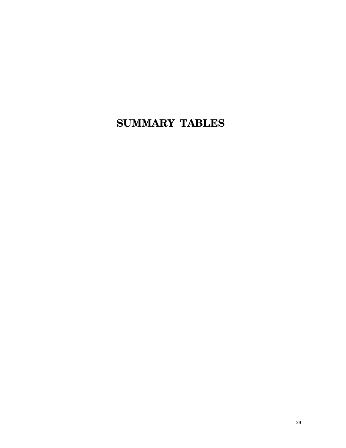## **SUMMARY TABLES**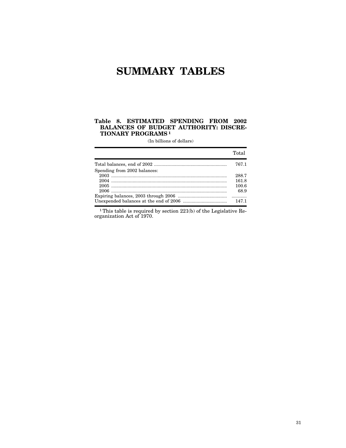## **SUMMARY TABLES**

### <span id="page-32-0"></span>**Table 8. ESTIMATED SPENDING FROM 2002 BALANCES OF BUDGET AUTHORITY: DISCRE-TIONARY PROGRAMS 1**

(In billions of dollars)

|                              | Total |
|------------------------------|-------|
|                              | 767.1 |
| Spending from 2002 balances: |       |
|                              | 288.7 |
|                              | 161.8 |
|                              | 100.6 |
|                              | 68.9  |
|                              |       |
|                              | 147.1 |

<sup>1</sup>This table is required by section 221(b) of the Legislative Reorganization Act of 1970.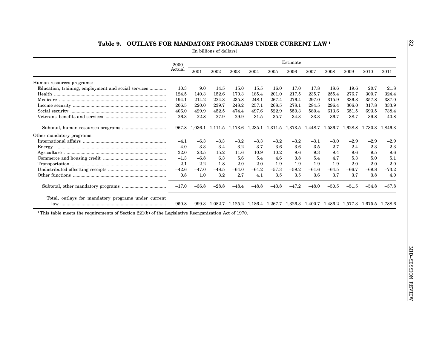<span id="page-33-0"></span>

|                                                                                                                   | 2000    |         |         |         |         |         | Estimate  |         |         |         |                                                                                               |         |
|-------------------------------------------------------------------------------------------------------------------|---------|---------|---------|---------|---------|---------|-----------|---------|---------|---------|-----------------------------------------------------------------------------------------------|---------|
|                                                                                                                   | Actual  | 2001    | 2002    | 2003    | 2004    | 2005    | 2006      | 2007    | 2008    | 2009    | 2010                                                                                          | 2011    |
| Human resources programs:                                                                                         |         |         |         |         |         |         |           |         |         |         |                                                                                               |         |
| Education, training, employment and social services                                                               | 10.3    | 9.0     | 14.5    | 15.0    | 15.5    | 16.0    | 17.0      | 17.8    | 18.6    | 19.6    | 20.7                                                                                          | 21.8    |
|                                                                                                                   | 124.5   | 140.3   | 152.6   | 170.3   | 185.4   | 201.0   | $217.5\,$ | 235.7   | 255.4   | 276.7   | 300.7                                                                                         | 324.4   |
|                                                                                                                   | 194.1   | 214.2   | 224.3   | 235.8   | 248.1   | 267.4   | 276.4     | 297.0   | 315.9   | 336.3   | 357.8                                                                                         | 387.0   |
|                                                                                                                   | 206.5   | 220.0   | 239.7   | 248.2   | 257.1   | 268.5   | 278.1     | 284.5   | 296.4   | 306.0   | 317.8                                                                                         | 333.9   |
|                                                                                                                   | 406.0   | 429.9   | 452.5   | 474.4   | 497.6   | 522.9   | 550.3     | 580.4   | 613.6   | 651.5   | 693.5                                                                                         | 738.4   |
|                                                                                                                   | 26.3    | 22.8    | 27.9    | 29.9    | 31.5    | 35.7    | 34.3      | 33.3    | 36.7    | 38.7    | 39.8                                                                                          | 40.8    |
|                                                                                                                   |         |         |         |         |         |         |           |         |         |         | 967.8 1,036.1 1,111.5 1,173.6 1,235.1 1,311.5 1,373.5 1,448.7 1,536.7 1,628.8 1,730.3 1,846.3 |         |
| Other mandatory programs:                                                                                         |         |         |         |         |         |         |           |         |         |         |                                                                                               |         |
|                                                                                                                   | $-4.1$  | $-6.3$  | $-3.3$  | $-3.2$  | $-3.3$  | $-3.2$  | $-3.2$    | $-3.1$  | $-3.0$  | $-2.9$  | $-2.9$                                                                                        | $-2.9$  |
|                                                                                                                   | $-4.0$  | $-3.3$  | $-3.4$  | $-3.2$  | $-3.7$  | $-3.6$  | $-3.6$    | $-3.5$  | $-2.7$  | $-2.4$  | $-2.3$                                                                                        | $-2.3$  |
|                                                                                                                   | 32.0    | 23.5    | 15.2    | 11.6    | 10.9    | 10.2    | 9.6       | 9.3     | 9.4     | 9.6     | 9.5                                                                                           | 9.6     |
|                                                                                                                   | $-1.3$  | $-6.8$  | 6.3     | 5.6     | 5.4     | 4.6     | 3.8       | 5.4     | 4.7     | 5.3     | 5.0                                                                                           | 5.1     |
|                                                                                                                   | 2.1     | 2.2     | 1.8     | 2.0     | 2.0     | 1.9     | 1.9       | 1.9     | 1.9     | 2.0     | 2.0                                                                                           | 2.0     |
|                                                                                                                   | $-42.6$ | $-47.0$ | $-48.5$ | $-64.0$ | $-64.2$ | $-57.3$ | $-59.2$   | $-61.6$ | -64.5   | $-66.7$ | $-69.8$                                                                                       | $-73.2$ |
|                                                                                                                   | 0.8     | 1.0     | 3.2     | 2.7     | 4.1     | $\!.5$  | $\!.5$    | 3.6     | 3.7     | 3.7     | 3.8                                                                                           | 4.0     |
|                                                                                                                   | $-17.0$ | $-36.8$ | $-28.8$ | $-48.4$ | $-48.8$ | $-43.8$ | $-47.2$   | $-48.0$ | $-50.5$ | $-51.5$ | $-54.8$                                                                                       | $-57.8$ |
| Total, outlays for mandatory programs under current                                                               |         |         |         |         |         |         |           |         |         |         |                                                                                               |         |
|                                                                                                                   | 950.8   |         |         |         |         |         |           |         |         |         | 999.3 1,082.7 1,125.2 1,186.4 1,267.7 1,326.3 1,400.7 1,486.2 1,577.3 1,675.5 1,788.6         |         |
| <sup>1</sup> This table meets the requirements of Section $221(b)$ of the Legislative Reorganization Act of 1970. |         |         |         |         |         |         |           |         |         |         |                                                                                               |         |
|                                                                                                                   |         |         |         |         |         |         |           |         |         |         |                                                                                               |         |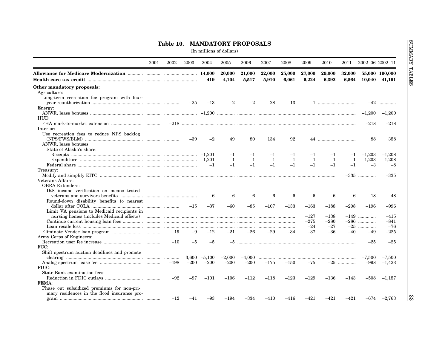<span id="page-34-0"></span>

| 2001<br>2002<br>2003<br>2004<br>2005<br>2006<br>20,000<br>21,000                                                                                                                                                                     | 2007<br>22,000<br>5,910      | 2008<br>25,000 | 2009         | 2010         | 2011         |          |                 |
|--------------------------------------------------------------------------------------------------------------------------------------------------------------------------------------------------------------------------------------|------------------------------|----------------|--------------|--------------|--------------|----------|-----------------|
|                                                                                                                                                                                                                                      |                              |                |              |              |              |          | 2002-06 2002-11 |
|                                                                                                                                                                                                                                      |                              |                | 27,000       | 29,000       | 32,000       |          | 55,000 190,000  |
| 419<br>4,104<br>5,517                                                                                                                                                                                                                |                              | 6,061          | 6,224        | 6,392        | 6,564        | 10,040   | 41,191          |
| Other mandatory proposals:                                                                                                                                                                                                           |                              |                |              |              |              |          |                 |
| Agriculture:                                                                                                                                                                                                                         |                              |                |              |              |              |          |                 |
| Long-term recreation fee program with four-                                                                                                                                                                                          |                              |                |              |              |              |          |                 |
| $-25$<br>$-2$<br>$-2$<br>$-13$                                                                                                                                                                                                       | 28                           | 13             |              |              |              |          | $-42$           |
| Energy:                                                                                                                                                                                                                              |                              |                |              |              |              |          |                 |
|                                                                                                                                                                                                                                      |                              |                |              |              |              | $-1,200$ | $-1,200$        |
| <b>HUD</b>                                                                                                                                                                                                                           |                              |                |              |              |              |          |                 |
|                                                                                                                                                                                                                                      |                              |                |              |              |              | $-218$   | $-218$          |
| Interior:                                                                                                                                                                                                                            |                              |                |              |              |              |          |                 |
| Use recreation fees to reduce NPS backlog                                                                                                                                                                                            |                              |                |              |              |              |          |                 |
| $-39$<br>$-2$<br>49<br>80                                                                                                                                                                                                            | 134                          | 92             |              | 44           |              | 88       | 358             |
| ANWR, lease bonuses:                                                                                                                                                                                                                 |                              |                |              |              |              |          |                 |
| State of Alaska's share:                                                                                                                                                                                                             |                              |                |              |              |              |          |                 |
| $-1$<br>$^{-1}$                                                                                                                                                                                                                      | $^{-1}$                      | $-1$           | $-1$         | $^{-1}$      | $^{-1}$      | $-1,203$ | $-1,208$        |
| $\mathbf{1}$                                                                                                                                                                                                                         | $\mathbf{1}$<br>$\mathbf{1}$ | $\mathbf{1}$   | $\mathbf{1}$ | $\mathbf{1}$ | $\mathbf{1}$ | 1,203    | 1,208           |
| $-1$<br>$-1$<br>$-1$                                                                                                                                                                                                                 | $-1$                         | $-1$           | $-1$         | $-1$         | $-1$         | $-3$     | $-8$            |
| Treasury:                                                                                                                                                                                                                            |                              |                |              |              |              |          |                 |
|                                                                                                                                                                                                                                      |                              |                |              |              |              | $-335$   | $-335$          |
| Veterans Affairs:                                                                                                                                                                                                                    |                              |                |              |              |              |          |                 |
| <b>OBRA</b> Extenders:                                                                                                                                                                                                               |                              |                |              |              |              |          |                 |
| IRS income verification on means tested                                                                                                                                                                                              |                              |                |              |              |              |          |                 |
| $-6$<br>$-6$<br>$-6$                                                                                                                                                                                                                 | -6                           | $-6$           | $-6$         | $-6$         | $-6$         | $-18$    | $-48$           |
| Round-down disability benefits to nearest                                                                                                                                                                                            |                              |                |              |              |              |          |                 |
| $-15$<br>$-37$<br>$-60$<br>$-85$                                                                                                                                                                                                     | $-107$                       | $-133$         | $-163$       | $-188$       | $-208$       | $-196$   | $-996$          |
| Limit VA pensions to Medicaid recipients in                                                                                                                                                                                          |                              |                |              |              |              |          |                 |
| nursing homes (includes Medicaid offsets) <b>manual contract of the contract of the contract of the contract of the contract of the contract of the contract of the contract of the contract of the contract of the contract of </b> |                              |                | $-127$       | $-138$       |              | $-149$   | $-415$          |
|                                                                                                                                                                                                                                      |                              |                | $-275$       | $-280$       |              | $-286$   | $-841$          |
|                                                                                                                                                                                                                                      |                              |                | $-24$        | $-27$        |              | $-25$    | $-76$           |
| $-9$<br>$-12$<br>$-21$<br>$-26$<br>19                                                                                                                                                                                                | $-29$                        | $-34$          | $-37$        | $-36$        | $-40$        | $-49$    | $-225$          |
| Army Corps of Engineers:                                                                                                                                                                                                             |                              |                |              |              |              |          |                 |
| $-10$<br>$-5$<br>$-5$                                                                                                                                                                                                                |                              |                |              |              |              | $-25$    | $-25$           |
| FCC:                                                                                                                                                                                                                                 |                              |                |              |              |              |          |                 |
| Shift spectrum auction deadlines and promote                                                                                                                                                                                         |                              |                |              |              |              |          |                 |
| $3,600 -5,100$<br>$-2,000$                                                                                                                                                                                                           |                              |                |              |              |              | $-7,500$ | $-7,500$        |
| $-198$<br>$-200$<br>$-200$<br>$-200$<br>$-200$                                                                                                                                                                                       | $-175$                       | $-150$         | $-75$        |              | $-25$        | $-998$   | $-1,423$        |
| FDIC:                                                                                                                                                                                                                                |                              |                |              |              |              |          |                 |
| State Bank examination fees:                                                                                                                                                                                                         |                              |                |              |              |              |          |                 |
| $-92$<br>$-97$<br>$-101$<br>$-106$<br>$-112$                                                                                                                                                                                         | $-118$                       | $-123$         | $-129$       | $-136$       | $-143$       | $-508$   | $-1,157$        |
| FEMA:                                                                                                                                                                                                                                |                              |                |              |              |              |          |                 |
| Phase out subsidized premiums for non-pri-                                                                                                                                                                                           |                              |                |              |              |              |          |                 |
| mary residences in the flood insurance pro-                                                                                                                                                                                          |                              |                |              |              |              |          |                 |
| $-334$<br>$-93$<br>$-194$<br>$-12$<br>$-41$                                                                                                                                                                                          | $-410$                       | $-416$         | $-421$       | $-421$       | $-421$       |          | $-674 -2,763$   |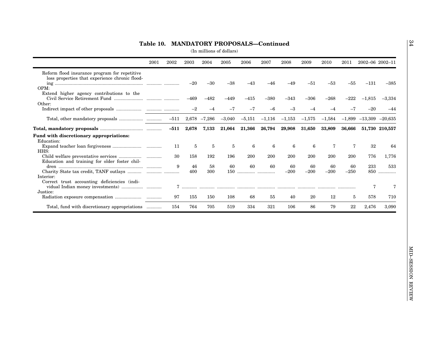| Table 10. MANDATORY PROPOSALS-Continued |  |
|-----------------------------------------|--|
|-----------------------------------------|--|

(In millions of dollars)

|                                                                                                         | 2001 | 2002   | 2003      | 2004      | 2005      | 2006     | 2007     | 2008         | 2009         | 2010          | 2011         | 2002-06 2002-11 |                |
|---------------------------------------------------------------------------------------------------------|------|--------|-----------|-----------|-----------|----------|----------|--------------|--------------|---------------|--------------|-----------------|----------------|
| Reform flood insurance program for repetitive<br>loss properties that experience chronic flood-<br>OPM: |      |        | $-20$     | -30       | $-38$     |          |          |              | -51          | -53           | -55          | $-131$          | $-385$         |
| Extend higher agency contributions to the<br>Other:                                                     |      |        | $-469$    | $-482$    | $-449$    | $-415$   | $-380$   | $-343$       | $-306$       | $-268$        | $-222$       | $-1,815$        | $-3,334$       |
|                                                                                                         |      |        |           |           | -7        |          | -6       | $-3$         |              |               |              | $-20$           |                |
|                                                                                                         |      | $-511$ | 2,678     | $-7.286$  | $-3,040$  | $-5,151$ | $-1,116$ | $-1,153$     | $-1,575$     | $-1.584$      | $-1,899$     | $-13.309$       | $-20.635$      |
|                                                                                                         |      | $-511$ | 2,678     | 7,133     | 21,064    | 21,366   | 26,794   | 29,908       | 31,650       | 33,809        | 36.666       |                 | 51,730 210,557 |
| Fund with discretionary appropriations:<br>Education:                                                   |      |        |           |           |           |          |          |              |              |               |              |                 |                |
| HHS:                                                                                                    |      | 11     | 5         | 5         | 5         | 6        | 6        | 6            | 6            |               |              | 32              | 64             |
| Education and training for older foster chil-                                                           |      | 30     | 158       | 192       | 196       | 200      | 200      | 200          | 200          | 200           | 200          | 776             | 1,776          |
| Interior:                                                                                               |      | 9      | 46<br>400 | 58<br>300 | 60<br>150 | 60       | 60       | 60<br>$-200$ | 60<br>$-200$ | -60<br>$-200$ | 60<br>$-250$ | 233<br>850      | 533<br>        |
| Correct trust accounting deficiencies (indi-                                                            |      |        |           |           |           |          |          |              |              |               |              |                 |                |
| Justice:                                                                                                |      | 97     | 155       | 150       | 108       | 68       | 55       | 40           | 20           | 12            | 5            | 578             | 710            |
| Total, fund with discretionary appropriations                                                           |      | 154    | 764       | 705       | 519       | 334      | 321      | 106          | 86           | 79            | 22           | 2,476           | 3.090          |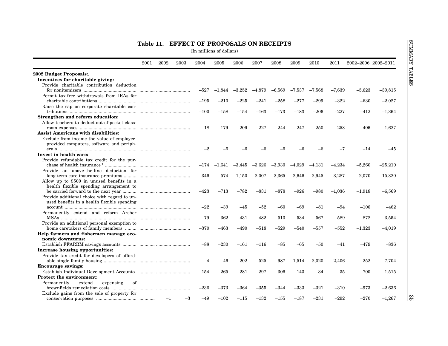<span id="page-36-0"></span>

|                                               |      |      |      | (In millions of dollars) |                   |           |           |          |          |          |          |                     |           |
|-----------------------------------------------|------|------|------|--------------------------|-------------------|-----------|-----------|----------|----------|----------|----------|---------------------|-----------|
|                                               | 2001 | 2002 | 2003 | 2004                     | 2005              | 2006      | 2007      | 2008     | 2009     | 2010     | 2011     | 2002-2006 2002-2011 |           |
| 2002 Budget Proposals:.                       |      |      |      |                          |                   |           |           |          |          |          |          |                     |           |
| Incentives for charitable giving:             |      |      |      |                          |                   |           |           |          |          |          |          |                     |           |
| Provide charitable contribution deduction     |      |      |      |                          |                   |           |           |          |          |          |          |                     |           |
|                                               |      |      |      | $-527$                   | $-1,844$          | $-3,252$  | $-4,879$  | $-6,569$ | $-7,537$ | $-7,568$ | $-7,639$ | $-5,623$            | $-39,815$ |
| Permit tax-free withdrawals from IRAs for     |      |      |      |                          |                   |           |           |          |          |          |          |                     |           |
|                                               |      |      |      | $-195$                   | $-210$            | $^{-225}$ | $^{-241}$ | $-258$   | $-277$   | $-299$   | $-322$   | –630                | $-2,027$  |
| Raise the cap on corporate charitable con-    |      |      |      |                          |                   |           |           |          |          |          |          |                     |           |
|                                               |      |      |      | $-100$                   | $-158$            | $-154$    | $-163$    | $-173$   | $-183$   | $-206$   | $-227$   | $-412$              | $-1,364$  |
| Strengthen and reform education:              |      |      |      |                          |                   |           |           |          |          |          |          |                     |           |
| Allow teachers to deduct out-of-pocket class- |      |      |      |                          |                   |           |           |          |          |          |          |                     |           |
|                                               |      |      |      | $-18$                    | $-179$            | $-209$    | $-227$    | $-244$   | $-247$   | $-250$   | $-253$   | $-406$              | $-1,627$  |
| <b>Assist Americans with disabilities:</b>    |      |      |      |                          |                   |           |           |          |          |          |          |                     |           |
| Exclude from income the value of employer-    |      |      |      |                          |                   |           |           |          |          |          |          |                     |           |
| provided computers, software and periph-      |      |      |      |                          |                   |           |           |          |          |          |          |                     |           |
|                                               |      |      |      | $-2$                     | -6                |           | -6        |          | $-6$     | $-6$     | $-7$     | $-14$               | $-45$     |
| Invest in health care:                        |      |      |      |                          |                   |           |           |          |          |          |          |                     |           |
| Provide refundable tax credit for the pur-    |      |      |      |                          |                   |           |           |          |          |          |          |                     |           |
|                                               |      |      |      | $-174$                   | $-1,641$ $-3,445$ |           | $-3,626$  | $-3,930$ | $-4,029$ | $-4,131$ | $-4,234$ | $-5,260$            | $-25,210$ |
| Provide an above-the-line deduction for       |      |      |      |                          |                   |           |           |          |          |          |          |                     |           |
|                                               |      |      |      | $-346$                   | –574              | $-1,150$  | $-2,007$  | $-2,365$ | $-2,646$ | $-2,945$ | $-3,287$ | $-2,070$            | $-15,320$ |
| Allow up to \$500 in unused benefits in a     |      |      |      |                          |                   |           |           |          |          |          |          |                     |           |
| health flexible spending arrangement to       |      |      |      |                          |                   |           |           |          |          |          |          |                     |           |
|                                               |      |      |      | $-423$                   | $-713$            | $-782$    | $-831$    | $-878$   | $-926$   | $-980$   | $-1,036$ | $-1,918$            | $-6,569$  |
| Provide additional choice with regard to un-  |      |      |      |                          |                   |           |           |          |          |          |          |                     |           |
| used benefits in a health flexible spending   |      |      |      |                          |                   |           |           |          |          |          |          |                     |           |
|                                               |      |      |      | $-22$                    | -39               | $-45$     | $-52$     | $-60$    | $-69$    | $-81$    | $-94$    | $-106$              | $-462$    |
| Permanently extend and reform Archer          |      |      |      |                          |                   |           |           |          |          |          |          |                     |           |
|                                               |      |      |      | $-79$                    | $-362$            | $-431$    | -482      | $-510$   | $-534$   | $-567$   | $-589$   | $-872$              | $-3,554$  |
| Provide an additional personal exemption to   |      |      |      |                          |                   |           |           |          |          |          |          |                     |           |
|                                               |      |      |      | $-370$                   | -463              | $-490$    | $-518$    | $-529$   | $-540$   | $-557$   | $-552$   | $-1,323$            | $-4,019$  |
| Help farmers and fishermen manage eco-        |      |      |      |                          |                   |           |           |          |          |          |          |                     |           |
| nomic downturns:                              |      |      |      |                          |                   |           |           |          |          |          |          |                     |           |
|                                               |      |      |      |                          |                   |           |           |          |          |          |          |                     |           |
|                                               |      |      |      | $-88$                    | $-230$            | $-161$    | $-116$    | $-85$    | $-65$    | $-50$    | $-41$    | $-479$              | $-836$    |
| Increase housing opportunities:               |      |      |      |                          |                   |           |           |          |          |          |          |                     |           |
| Provide tax credit for developers of afford-  |      |      |      |                          |                   |           |           |          |          |          |          |                     |           |
|                                               |      |      |      | $-4$                     | -46               | $-202$    | $-525$    | $-987$   | $-1,514$ | $-2,020$ | $-2,406$ | $-252$              | $-7,704$  |
| <b>Encourage savings:</b>                     |      |      |      |                          |                   |           |           |          |          |          |          |                     |           |
|                                               |      |      |      | $-154$                   | $-265$            | $-281$    | $-297$    | $-306$   | $-143$   | $-34$    | $-35$    | $-700$              | $-1,515$  |
| <b>Protect the environment:</b>               |      |      |      |                          |                   |           |           |          |          |          |          |                     |           |
| of<br>Permanently<br>extend<br>expensing      |      |      |      |                          |                   |           |           |          |          |          |          |                     |           |
|                                               |      |      |      | $-236$                   | –373              | –364      | –355      | –344     | –333     | $-321$   | $-310$   | -973                | $-2,636$  |
| Exclude gains from the sale of property for   |      |      |      |                          |                   |           |           |          |          |          |          |                     |           |
|                                               |      | $-1$ | $-3$ | $-49$                    | $-102$            | $-115$    | $-132$    | $-155$   | $-187$   | $-231$   | $-292$   | $-270$              | $-1.267$  |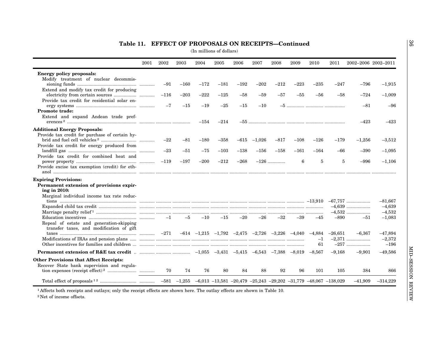### **Table 11. EFFECT OF PROPOSALS ON RECEIPTS—Continued**

### (In millions of dollars)

|                                                          | 2001 | 2002   | 2003   | 2004   | 2005   | 2006     | 2007     | 2008   | 2009   | 2010     | 2011      | 2002-2006 2002-2011 |            |
|----------------------------------------------------------|------|--------|--------|--------|--------|----------|----------|--------|--------|----------|-----------|---------------------|------------|
| <b>Energy policy proposals:</b>                          |      |        |        |        |        |          |          |        |        |          |           |                     |            |
| Modify treatment of nuclear decommis-                    |      |        |        |        |        |          |          |        |        |          |           |                     |            |
|                                                          |      | $-91$  | $-160$ | $-172$ | $-181$ | $-192$   | $-202$   | $-212$ | $-223$ | –235     | –247      | $-796$              | $-1,915$   |
| Extend and modify tax credit for producing               |      |        |        |        |        |          |          |        |        |          |           |                     |            |
| Provide tax credit for residential solar en-             |      | $-116$ | $-203$ | $-222$ | $-125$ | $-58$    | $-59$    | -57    | $-55$  | -56      | -58       | $-724$              | $-1,009$   |
|                                                          |      | $-7$   | $-15$  | $-19$  | $-25$  | $^{-15}$ | $-10$    |        |        |          |           | $-81$               | $-96$      |
| Promote trade:                                           |      |        |        |        |        |          |          |        |        |          |           |                     |            |
| Extend and expand Andean trade pref-                     |      |        |        |        |        |          |          |        |        |          |           |                     |            |
|                                                          |      |        |        | $-154$ | $-214$ |          |          |        |        |          |           | $-423$              | $-423$     |
| <b>Additional Energy Proposals:</b>                      |      |        |        |        |        |          |          |        |        |          |           |                     |            |
| Provide tax credit for purchase of certain hy-           |      |        |        |        |        |          |          |        |        |          |           |                     |            |
|                                                          |      | $-22$  | $-81$  | $-180$ | $-358$ | $-615$   | $-1,026$ | $-817$ | $-108$ | $-126$   | $-179$    | $-1,256$            | $-3,512$   |
| Provide tax credit for energy produced from              |      |        |        |        |        |          |          |        |        |          |           |                     |            |
|                                                          |      | $-23$  | $-51$  | $-75$  | $-103$ | $-138$   | $-156$   | $-158$ | $-161$ | $-164$   | -66       | $-390$              | $-1,095$   |
| Provide tax credit for combined heat and                 |      |        |        |        |        |          |          |        |        |          |           |                     |            |
|                                                          |      | $-119$ | $-197$ | $-200$ | $-212$ | $-268$   |          | $-126$ | 6      | 5        | 5         | $-996$              | $-1,106$   |
| Provide excise tax exemption (credit) for eth-           |      |        |        |        |        |          |          |        |        |          |           |                     |            |
|                                                          |      |        |        |        |        |          |          |        |        |          |           |                     |            |
| <b>Expiring Provisions:</b>                              |      |        |        |        |        |          |          |        |        |          |           |                     |            |
| Permanent extension of provisions expir-<br>ing in 2010: |      |        |        |        |        |          |          |        |        |          |           |                     |            |
| Marginal individual income tax rate reduc-               |      |        |        |        |        |          |          |        |        |          |           |                     |            |
|                                                          |      |        |        |        |        |          |          |        |        |          |           | $-67,757$           | $-81,667$  |
|                                                          |      |        |        |        |        |          |          |        |        |          |           |                     | $-4,639$   |
|                                                          |      |        |        |        |        |          |          |        |        |          |           | $-4,532$            | $-4,532$   |
|                                                          |      | $-1$   | $-5$   | $-10$  | $-15$  | $-20$    | $-26$    | $-32$  | $-39$  | $-45$    | $-890$    | $-51$               | $-1,083$   |
| Repeal of estate and generation-skipping                 |      |        |        |        |        |          |          |        |        |          |           |                     |            |
| transfer taxes, and modification of gift                 |      |        |        |        |        |          |          |        |        |          |           |                     |            |
|                                                          |      |        |        |        |        |          |          |        |        |          | $-26,651$ | $-6.367$            | $-47,894$  |
|                                                          |      |        |        |        |        |          |          |        |        | $-1$     |           |                     | $-2,372$   |
|                                                          |      |        |        |        |        |          |          |        |        | 61       |           | $-257$              | $-196$     |
|                                                          |      |        |        |        |        |          |          |        |        | $-8,567$ | $-9,168$  | $-9,901$            | $-49,586$  |
| <b>Other Provisions that Affect Receipts:</b>            |      |        |        |        |        |          |          |        |        |          |           |                     |            |
| Recover State bank supervision and regula-               |      |        |        |        |        |          |          |        |        |          |           |                     |            |
|                                                          |      | 70     | 74     | 76     | 80     | 84       | 88       | 92     | 96     | 101      | 105       | 384                 | 866        |
|                                                          |      |        |        |        |        |          |          |        |        |          |           | $-41,909$           | $-314,229$ |

1 Affects both receipts and outlays; only the receipt effects are shown here. The outlay effects are shown in Table 10.

2 Net of income offsets.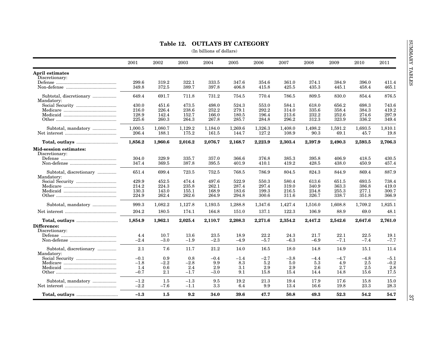<span id="page-38-0"></span>

|                                                 |                  |                  |                  | Table 12. OUTLAYS BY CATEGORY<br>(In billions of dollars) |                  |                  |                  |                 |                 |                 |                 |
|-------------------------------------------------|------------------|------------------|------------------|-----------------------------------------------------------|------------------|------------------|------------------|-----------------|-----------------|-----------------|-----------------|
|                                                 | 2001             | 2002             | 2003             | 2004                                                      | 2005             | 2006             | 2007             | 2008            | 2009            | 2010            | 2011            |
| April estimates                                 |                  |                  |                  |                                                           |                  |                  |                  |                 |                 |                 |                 |
| Discretionary:                                  |                  |                  |                  |                                                           |                  |                  |                  |                 |                 |                 |                 |
|                                                 | 299.6            | 319.2            | 322.1            | 333.5                                                     | 347.6            | 354.6            | 361.0            | 374.1           | 384.9           | 396.0           | 411.4           |
|                                                 | 349.8            | 372.5            | 389.7            | 397.8                                                     | 406.8            | 415.8            | 425.5            | 435.3           | 445.1           | 458.4           | 465.1           |
| Subtotal, discretionary<br>Mandatory:           | 649.4            | 691.7            | 711.8            | 731.2                                                     | 754.5            | 770.4            | 786.5            | 809.5           | 830.0           | 854.4           | 876.5           |
|                                                 | 430.0            | 451.6            | 473.5            | 498.0                                                     | 524.3            | 553.0            | 584.1            | 618.0           | 656.2           | 698.3           | 743.6           |
|                                                 | 216.0            | 226.4            | 238.6            | 252.2                                                     | 279.1            | 292.2            | 314.0            | 335.6           | 358.4           | 384.3           | 419.2           |
|                                                 | 128.9            | 142.4            | 152.7            | 166.0                                                     | 180.5            | 196.4            | 213.6            | 232.2           | 252.6           | 274.6           | 297.9           |
|                                                 | 225.6            | 260.3            | 264.3            | 267.8                                                     | 285.7            | 284.8            | 296.2            | 312.3           | 323.9           | 336.2           | 349.4           |
| Subtotal, mandatory                             | 1,000.5<br>206.4 | 1,080.7<br>188.1 | 1,129.2<br>175.2 | 1,184.0<br>161.5                                          | 1,269.6<br>144.7 | 1,326.3<br>127.2 | 1,408.0<br>108.9 | 1,498.2<br>90.3 | 1,591.2<br>69.1 | 1,693.5<br>45.7 | 1,810.1<br>19.8 |
|                                                 | 1,856.2          | 1,960.6          | 2,016.2          | 2,076.7                                                   | 2,168.7          | 2,223.9          | 2,303.4          | 2,397.9         | 2,490.3         | 2,593.5         | 2,706.3         |
| <b>Mid-session estimates:</b><br>Discretionary: |                  |                  |                  |                                                           |                  |                  |                  |                 |                 |                 |                 |
|                                                 | 304.0            | 329.9            | 335.7            | 357.0                                                     | 366.6            | 376.8            | 385.3            | 395.8           | 406.9           | 418.5           | 430.5           |
|                                                 | 347.4            | 369.5            | 387.8            | 395.5                                                     | 401.9            | 410.1            | 419.2            | 428.5           | 438.0           | 450.9           | 457.4           |
| Subtotal, discretionary<br>Mandatory:           | 651.4            | 699.4            | 723.5            | 752.5                                                     | 768.5            | 786.9            | 804.5            | 824.3           | 844.9           | 869.4           | 887.9           |
|                                                 | 429.9            | 452.5            | 474.4            | 497.6                                                     | 522.9            | 550.3            | 580.4            | 613.6           | 651.5           | 693.5           | 738.4           |
|                                                 | 214.2            | 224.3            | 235.8            | 262.1                                                     | 287.4            | 297.4            | 319.0            | 340.9           | 363.3           | 386.8           | 419.0           |
|                                                 | 130.3            | 143.0            | 155.1            | 168.9                                                     | 183.6            | 199.3            | 216.5            | 234.8           | 255.3           | 277.1           | 300.7           |
|                                                 | 224.9            | 262.4            | 262.6            | 264.9                                                     | 294.8            | 300.6            | 311.6            | 326.7           | 338.7           | 351.8           | 366.9           |
| Subtotal, mandatory                             | 999.3            | 1,082.2          | 1,127.8          | 1,193.5                                                   | 1,288.8          | 1,347.6          | 1,427.4          | 1,516.0         | 1,608.8         | 1,709.2         | 1,825.1         |
|                                                 | 204.2            | 180.5            | 174.1            | 164.8                                                     | 151.0            | 137.1            | 122.3            | 106.9           | 88.9            | 69.0            | 48.1            |
|                                                 | 1,854.9          | 1,962.1          | 2,025.4          | 2,110.7                                                   | 2,208.3          | 2,271.6          | 2,354.2          | 2,447.2         | 2,542.6         | 2,647.6         | 2,761.0         |
| Difference:                                     |                  |                  |                  |                                                           |                  |                  |                  |                 |                 |                 |                 |
| Discretionary:                                  |                  |                  |                  |                                                           |                  |                  |                  |                 |                 |                 |                 |
|                                                 | 4.4              | 10.7             | 13.6             | 23.5                                                      | 18.9             | 22.2             | 24.3             | 21.7            | 22.1            | 22.5            | 19.1            |
|                                                 | $-2.4$           | $-3.0$           | $-1.9$           | $-2.3$                                                    | $-4.9$           | $-5.7$           | $-6.3$           | $-6.9$          | $-7.1$          | $-7.4$          | $-7.7$          |
| Subtotal, discretionary<br>Mandatory:           | 2.1              | 7.6              | 11.7             | 21.2                                                      | 14.0             | 16.5             | 18.0             | 14.8            | 14.9            | 15.1            | 11.4            |
|                                                 | $-0.1$           | 0.9              | 0.8              | $-0.4$                                                    | $-1.4$           | $-2.7$           | $-3.8$           | $-4.4$          | $-4.7$          | $-4.8$          | $-5.1$          |
|                                                 | $-1.8$           | $-2.2$           | $-2.8$           | 9.9                                                       | 8.3              | 5.2              | 5.0              | 5.3             | 4.9             | 2.5             | $-0.2$          |
|                                                 | 1.4              | 0.6              | 2.4              | 2.9                                                       | 3.1              | 2.9              | 2.9              | 2.6             | 2.7             | 2.5             | 2.8             |
|                                                 | $-0.7$           | 2.1              | $-1.7$           | $-3.0$                                                    | 9.1              | 15.8             | 15.4             | 14.4            | 14.8            | 15.6            | 17.5            |
| Subtotal, mandatory                             | $-1.2$           | $1.5\,$          | $-1.3$           | 9.5                                                       | 19.2             | 21.3             | 19.4             | 17.9            | 17.6            | 15.8            | 15.0            |
|                                                 | $-2.2$           | $-7.6$           | $-1.1$           | 3.3                                                       | 6.4              | 9.9              | 13.4             | 16.6            | 19.8            | 23.3            | 28.3            |
|                                                 | $-1.3$           | 1.5              | 9.2              | 34.0                                                      | 39.6             | 47.7             | 50.8             | 49.3            | 52.3            | 54.2            | 54.7            |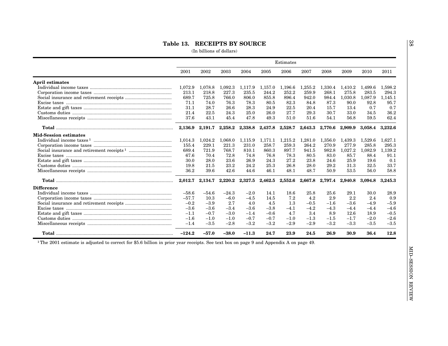### **Table 13. RECEIPTS BY SOURCE**

(In billions of dollars)

|                              |          |         |         |                          |                 | Estimates       |         |                 |         |         |         |
|------------------------------|----------|---------|---------|--------------------------|-----------------|-----------------|---------|-----------------|---------|---------|---------|
|                              | 2001     | 2002    | 2003    | 2004                     | 2005            | 2006            | 2007    | 2008            | 2009    | 2010    | 2011    |
| <b>April estimates</b>       |          |         |         |                          |                 |                 |         |                 |         |         |         |
|                              | 1.072.9  | 1.078.8 | 1.092.3 | 1,117.9                  | 1.157.0         | 1.196.6         | .255.2  | 1.330.4         | 1.410.2 | 1.499.6 | 1.598.2 |
|                              | 213.1    | 218.8   | 227.3   | 235.5                    | 244.2           | 252.2           | 259.9   | 268.1           | 275.8   | 283.5   | 294.3   |
|                              | 689.7    | 725.8   | 766.0   | 806.0                    | 855.8           | 896.4           | 942.0   | 984.4           | 1,030.8 | 1,087.9 | 1,145.1 |
|                              | 71.1     | 74.0    | 76.3    | 78.3                     | 80.5            | 82.3            | 84.8    | 87.3            | 90.0    | 92.8    | 95.7    |
|                              | 31.1     | 28.7    | 26.6    | 28.3                     | 24.9            | 22.5            | 20.4    | 15.7            | 13.4    | 0.7     | 0.7     |
|                              | 21.4     | 22.5    | 24.3    | 25.0                     | 26.0            | 27.7            | 29.3    | 30.7            | 33.0    | 34.5    | 36.2    |
|                              | 37.6     | 43.1    | 45.4    | 47.8                     | 49.3            | 51.0            | 51.6    | 54.1            | 56.8    | 59.5    | 62.4    |
|                              | 2.136.9  | 2.191.7 | 2,258.2 | $\boldsymbol{2,\!338.8}$ | 2,437.8 2,528.7 |                 |         | 2,643.3 2,770.6 | 2,909.9 | 3.058.4 | 3.232.6 |
| <b>Mid-Session estimates</b> |          |         |         |                          |                 |                 |         |                 |         |         |         |
|                              | 1,014.3  | 1,024.2 | 1.068.0 | 1,115.9                  | 1,171.1         | 1,215.2         | .281.0  | 1.356.0         | 1.439.3 | 1,529.6 | 1,627.1 |
|                              | 155.4    | 229.1   | 221.3   | 231.0                    | 258.7           | 259.3           | 264.2   | 270.9           | 277.9   | 285.8   | 295.3   |
|                              | 689.4    | 721.9   | 768.7   | 810.1                    | 860.3           | 897.7           | 941.5   | 982.8           | 1,027.2 | 1,082.9 | 1,139.2 |
|                              | 67.6     | 70.4    | 72.8    | 74.8                     | 76.8            | 78.3            | 80.5    | 83.0            | 85.7    | 88.4    | 91.1    |
|                              | 30.0     | 28.0    | 23.6    | 26.9                     | 24.3            | 27.2            | 23.8    | 24.6            | 25.9    | 19.6    | 0.1     |
|                              | 19.8     | 21.5    | 23.2    | 24.2                     | 25.3            | 26.8            | 28.0    | 29.2            | 31.3    | 32.5    | 33.7    |
|                              | 36.2     | 39.6    | 42.6    | 44.6                     | 46.1            | 48.1            | 48.7    | 50.9            | 53.5    | 56.0    | 58.8    |
|                              | 2,012.7  | 2,134.7 | 2,220.2 | 2,327.5                  | 2,462.5         | $\bf 2{,}552.6$ | 2,667.8 | 2,797.4         | 2,940.8 | 3,094.8 | 3.245.3 |
| <b>Difference</b>            |          |         |         |                          |                 |                 |         |                 |         |         |         |
|                              | $-58.6$  | $-54.6$ | $-24.3$ | $-2.0$                   | 14.1            | 18.6            | 25.8    | 25.6            | 29.1    | 30.0    | 28.9    |
|                              | $-57.7$  | 10.3    | $-6.0$  | $-4.5$                   | 14.5            | 7.2             | 4.2     | 2.9             | 2.2     | 2.4     | 0.9     |
|                              | $-0.2$   | $-3.9$  | 2.7     | 4.0                      | 4.5             | 1.3             | $-0.5$  | $-1.6$          | $-3.6$  | $-4.9$  | $-5.9$  |
|                              | $-3.6$   | $-3.6$  | $-3.4$  | $-3.6$                   | $-3.8$          | $-4.1$          | $-4.2$  | $-4.3$          | $-4.4$  | $-4.4$  | $-4.6$  |
|                              | $-1.1$   | $-0.7$  | $-3.0$  | $-1.4$                   | $-0.6$          | 4.7             | 3.4     | 8.9             | 12.6    | 18.9    | $-0.5$  |
|                              | $-1.6$   | $-1.0$  | $-1.0$  | $-0.7$                   | $-0.7$          | $-1.0$          | $-1.3$  | $-1.5$          | $-1.7$  | $-2.0$  | $-2.6$  |
|                              | $-1.4$   | $-3.5$  | $-2.8$  | $-3.2$                   | $-3.2$          | $-2.9$          | $-2.9$  | $-3.2$          | $-3.3$  | $-3.5$  | $-3.5$  |
|                              | $-124.2$ | $-57.0$ | -38.0   | $-11.3$                  | 24.7            | 23.9            | 24.5    | 26.9            | 30.9    | 36.4    | 12.8    |

<span id="page-39-0"></span><sup>1</sup>The 2001 estimate is adjusted to correct for \$5.6 billion in prior year receipts. See text box on page 9 and Appendix A on page 49.

38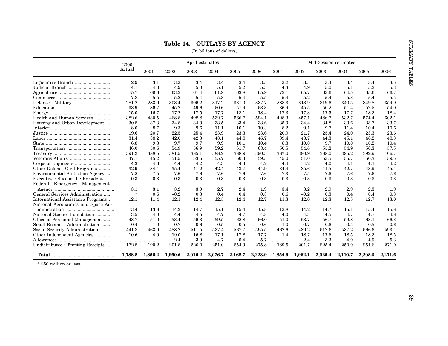<span id="page-40-0"></span>

|                                                                         | 2000     |          |          | April estimates |          |           |          |          |          |          | Mid-Session estimates |          |          |
|-------------------------------------------------------------------------|----------|----------|----------|-----------------|----------|-----------|----------|----------|----------|----------|-----------------------|----------|----------|
|                                                                         | Actual   | 2001     | 2002     | 2003            | 2004     | 2005      | 2006     | 2001     | 2002     | 2003     | 2004                  | 2005     | 2006     |
|                                                                         | 2.9      | 3.1      | 3.3      | 3.4             | 3.4      | 3.4       | $3.5\,$  | $3.2\,$  | 3.3      | 3.4      | 3.4                   | 3.4      | 3.5      |
|                                                                         | 4.1      | 4.3      | 4.9      | 5.0             | 5.1      | 5.2       | 5.3      | 4.3      | 4.9      | 5.0      | 5.1                   | 5.2      | 5.3      |
|                                                                         | 75.7     | 69.6     | 63.2     | 61.4            | 61.9     | 63.8      | 65.9     | 72.1     | 65.7     | 63.6     | 64.5                  | 65.6     | 66.7     |
|                                                                         | 7.8      | 5.5      | 5.2      | 5.4             | 5.3      | 5.4       | 5.5      | 5.4      | $5.2\,$  | 5.4      | 5.3                   | 5.4      | 5.5      |
|                                                                         | 281.2    | 283.9    | 303.4    | 306.2           | 317.2    | 331.0     | 337.7    | 288.3    | 313.9    | 319.6    | 340.5                 | 349.8    | 359.9    |
|                                                                         | 33.9     | 36.7     | 45.2     | 49.6            | 50.6     | 51.9      | 53.3     | 36.9     | 45.5     | 50.2     | 51.4                  | 52.5     | 54.0     |
|                                                                         | 15.0     | 16.7     | 17.2     | 17.5            | 17.7     | 18.1      | 18.4     | 17.3     | 17.3     | 17.5     | 17.7                  | 18.2     | 18.4     |
| Health and Human Services                                               | 382.6    | 430.5    | 468.8    | 498.8           | 532.7    | 566.7     | 594.1    | 428.3    | 457.1    | 486.7    | 532.7                 | 574.4    | 602.1    |
| Housing and Urban Development                                           | 30.8     | 37.3     | 34.8     | 34.9            | 33.5     | 33.4      | 33.6     | 35.9     | 34.4     | 34.8     | 33.6                  | 33.7     | 33.7     |
|                                                                         | 8.0      | 8.7      | 9.3      | 9.6             | 11.1     | 10.1      | 10.3     | 8.2      | 9.1      | 9.7      | 11.4                  | 10.4     | 10.6     |
|                                                                         | 19.6     | 20.7     | 22.5     | 25.4            | 23.9     | $^{23.3}$ | 23.6     | 20.9     | 21.7     | 25.4     | 24.0                  | 23.3     | 23.6     |
|                                                                         | 31.4     | 38.2     | 42.0     | 42.3            | 43.1     | 44.8      | 46.7     | 39.4     | 43.7     | 44.3     | 45.1                  | 46.2     | 48.3     |
| ${\bf State}\ _{111} \label{a}$                                         | 6.8      | 9.3      | 9.7      | 9.7             | 9.9      | 10.1      | 10.4     | 8.3      | 10.0     | 9.7      | 10.0                  | 10.2     | 10.4     |
|                                                                         | 46.0     | 50.6     | 54.9     | 56.9            | 59.2     | 61.7      | 63.4     | 50.5     | 54.6     | 55.2     | 54.9                  | 56.3     | 57.5     |
| $\begin{minipage}{.4\linewidth} \textbf{ Treasury} \end{minipage}$      | 391.2    | 388.5    | 381.5    | 385.1           | 388.2    | 388.9     | 390.3    | 387.0    | 380.9    | 388.0    | 395.2                 | 399.9    | 406.7    |
|                                                                         | 47.1     | 45.2     | 51.5     | 53.5            | 55.7     | 60.3      | 59.5     | 45.0     | 51.0     | 53.5     | 55.7                  | 60.3     | 59.5     |
|                                                                         | 4.3      | 4.6      | 4.4      | 4.2             | 4.3      | 4.3       | 4.2      | 4.4      | 4.2      | 4.0      | 4.1                   | 4.1      | 4.2      |
|                                                                         | 32.9     | 34.4     | 35.4     | 41.2            | 42.4     | 43.7      | 44.9     | 34.4     | 35.6     | 41.5     | 42.7                  | 43.9     | 45.1     |
| Other Defense Civil Programs                                            |          |          |          |                 |          |           |          |          |          |          |                       |          |          |
| Environmental Protection Agency                                         | 7.2      | 7.5      | 7.6      | 7.6             | 7.6      | 7.6       | 7.6      | 7.3      | 7.5      | 7.6      | 7.6                   | 7.6      | 7.6      |
| Executive Office of the President                                       | 0.3      | 0.3      | 0.3      | 0.3             | 0.3      | 0.3       | 0.3      | 0.3      | 0.3      | 0.3      | 0.3                   | 0.3      | 0.3      |
| Federal Emergency Management                                            |          |          |          |                 |          |           |          |          |          |          |                       |          |          |
|                                                                         | 3.1      | $3.1\,$  | 3.2      | $3.0\,$         | 2.7      | 2.4       | 1.9      | 3.4      | $3.2\,$  | 2.9      | 2.9                   | 2.3      | 1.9      |
| General Services Administration                                         | $\ast$   | 0.6      | $-0.2$   | $\rm 0.3$       | 0.4      | 0.4       | 0.3      | 0.6      | $-0.2$   | 0.3      | 0.4                   | 0.4      | 0.3      |
| International Assistance Programs<br>National Aeronautics and Space Ad- | 12.1     | 11.4     | 12.1     | 12.4            | 12.5     | 12.4      | 12.7     | 11.3     | 12.0     | 12.3     | 12.5                  | 12.7     | 13.0     |
|                                                                         | 13.4     | 13.8     | 14.2     | 14.7            | 15.1     | 15.4      | 15.8     | 13.8     | 14.2     | 14.7     | 15.1                  | 15.4     | 15.8     |
| National Science Foundation                                             | 3.5      | 4.0      | 4.4      | 4.5             | 4.7      | 4.7       | 4.8      | 4.0      | 4.3      | 4.5      | 4.7                   | 4.7      | 4.8      |
| Office of Personnel Management                                          | 48.7     | 51.0     | 53.4     | 56.3            | 59.5     | 62.8      | 66.0     | 51.0     | 53.7     | 56.7     | 59.8                  | 63.1     | 66.3     |
| Small Business Administration                                           | $-0.4$   | $-1.0$   | 0.7      | 0.6             | 0.5      | 0.5       | 0.6      | $-1.0$   | 0.7      | 0.6      | 0.5                   | 0.5      | 0.6      |
| Social Security Administration                                          | 441.8    | 463.0    | 488.2    | 511.5           | 537.4    | 567.7     | 595.5    | 462.6    | 489.2    | 512.6    | 537.2                 | 566.6    | 593.1    |
| Other Independent Agencies                                              | 10.6     | 4.9      | 19.0     | 16.8            | 17.1     | 17.8      | 17.7     | 1.4      | 18.7     | 17.6     | 18.5                  | 18.2     | 18.5     |
|                                                                         |          |          | 2.4      | 3.9             | 4.7      | 5.4       | $5.7$    | .        | 2.4      | 3.3      | 4.0                   | 4.9      | 5.3      |
|                                                                         | $-172.8$ | $-190.2$ | $-201.8$ | $-226.0$        | $-251.0$ | $-254.9$  | $-275.8$ | $-189.5$ | $-201.7$ | $-225.4$ | $-250.0$              | $-251.6$ | $-271.0$ |
|                                                                         | 1,788.8  | 1,856.2  | 1,960.6  | 2,016.2         | 2,076.7  | 2,168.7   | 2,223.9  | 1,854.9  | 1,962.1  | 2,025.4  | 2,110.7               | 2,208.3  | 2,271.6  |
| Undistributed Offsetting Receipts<br>* \$50 million or less.            |          |          |          |                 |          |           |          |          |          |          |                       |          |          |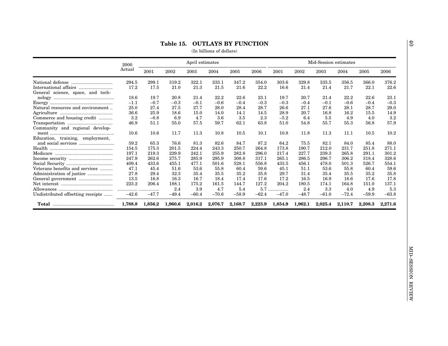### **Table 15. OUTLAYS BY FUNCTION**

(In billions of dollars)

<span id="page-41-0"></span>

|                                   | 2000      |         |         | April estimates |         |         |         |         |         | Mid-Session estimates |         |         |         |
|-----------------------------------|-----------|---------|---------|-----------------|---------|---------|---------|---------|---------|-----------------------|---------|---------|---------|
|                                   | Actual    | 2001    | 2002    | 2003            | 2004    | 2005    | 2006    | 2001    | 2002    | 2003                  | 2004    | 2005    | 2006    |
| National defense                  | 294.5     | 299.1   | 319.2   | 322.1           | 333.1   | 347.2   | 354.0   | 303.6   | 329.8   | 335.5                 | 356.5   | 366.0   | 376.2   |
| General science, space, and tech- | 17.2      | 17.5    | 21.0    | 21.3            | 21.5    | 21.6    | 22.2    | 16.6    | 21.4    | 21.4                  | 21.7    | 22.1    | 22.6    |
| nology                            | 18.6      | 19.7    | 20.8    | 21.4            | 22.2    | 22.6    | 23.1    | 19.7    | 20.7    | 21.4                  | 22.2    | 22.6    | 23.1    |
|                                   | $^{-1.1}$ | $-0.7$  | $-0.3$  | $-0.1$          | $-0.6$  | $-0.4$  | $-0.3$  | $-0.3$  | $-0.4$  | $-0.1$                | $-0.6$  | $-0.4$  | $-0.3$  |
| Natural resources and environment | 25.0      | 27.4    | 27.5    | 27.7            | 28.0    | 28.4    | 28.7    | 26.6    | 27.1    | 27.6                  | 28.1    | 28.7    | 29.0    |
|                                   | 36.6      | 25.9    | 18.6    | 15.0            | 14.0    | 14.1    | 14.5    | 28.9    | 20.7    | 16.8                  | 16.2    | 15.5    | 14.9    |
| Commerce and housing credit       | 3.2       | $-0.8$  | 6.9     | 4.7             | 3.6     | 3.5     | 2.3     | $-5.2$  | 6.4     | 5.5                   | 4.9     | 4.0     | 3.2     |
|                                   | 46.9      | 51.1    | 55.0    | 57.5            | 59.7    | 62.1    | 63.8    | 51.0    | 54.8    | 55.7                  | 55.3    | 56.8    | 57.9    |
| Community and regional develop-   |           |         |         |                 |         |         |         |         |         |                       |         |         |         |
|                                   | 10.6      | 10.6    | 11.7    | 11.3            | 10.8    | 10.5    | 10.1    | 10.8    | 11.8    | 11.3                  | 11.1    | 10.5    | 10.2    |
| Education, training, employment,  |           |         |         |                 |         |         |         |         |         |                       |         |         |         |
|                                   | 59.2      | 65.3    | 76.6    | 81.3            | 82.6    | 84.7    | 87.2    | 64.2    | 75.5    | 82.1                  | 84.0    | 85.4    | 88.0    |
| Health                            | 154.5     | 175.3   | 201.5   | 224.4           | 243.3   | 250.7   | 264.8   | 173.8   | 190.7   | 212.0                 | 231.7   | 251.8   | 271.1   |
|                                   | 197.1     | 219.3   | 229.9   | 242.1           | 255.9   | 282.8   | 296.0   | 217.4   | 227.7   | 239.3                 | 265.8   | 291.1   | 301.2   |
|                                   | 247.9     | 262.6   | 275.7   | 285.9           | 295.9   | 308.8   | 317.1   | 265.1   | 286.5   | 296.7                 | 306.2   | 318.4   | 328.6   |
|                                   | 409.4     | 433.6   | 455.1   | 477.1           | 501.6   | 528.1   | 556.8   | 433.5   | 456.1   | 478.0                 | 501.3   | 526.7   | 554.1   |
| Veterans benefits and services    | 47.1      | 45.4    | 51.6    | 53.6            | 55.8    | 60.4    | 59.6    | 45.1    | 51.1    | 53.6                  | 55.8    | 60.4    | 59.6    |
|                                   | 27.8      | 29.4    | 32.3    | 35.4            | 35.5    | 35.2    | 35.8    | 29.7    | 31.4    | 35.4                  | 35.5    | 35.2    | 35.8    |
|                                   | 13.5      | 16.8    | 16.3    | 16.7            | 18.4    | 17.4    | 17.6    | 17.2    | 16.5    | 16.9                  | 18.6    | 17.6    | 17.8    |
|                                   | 223.2     | 206.4   | 188.1   | 175.2           | 161.5   | 144.7   | 127.2   | 204.2   | 180.5   | 174.1                 | 164.8   | 151.0   | 137.1   |
|                                   |           |         | 2.4     | 3.9             | 4.7     | 5.4     | 5.7     |         | 2.4     | 3.3                   | 4.0     | 4.9     | 5.3     |
| Undistributed offsetting receipts | $-42.6$   | $-47.7$ | $-49.4$ | $-60.4$         | $-70.6$ | $-58.9$ | $-62.4$ | $-47.0$ | $-48.7$ | $-61.0$               | $-72.4$ | $-59.9$ | $-63.8$ |
|                                   | 1,788.8   | 1,856.2 | 1,960.6 | 2,016.2         | 2,076.7 | 2,168.7 | 2,223.9 | 1,854.9 | 1,962.1 | 2,025.4               | 2,110.7 | 2,208.3 | 2,271.6 |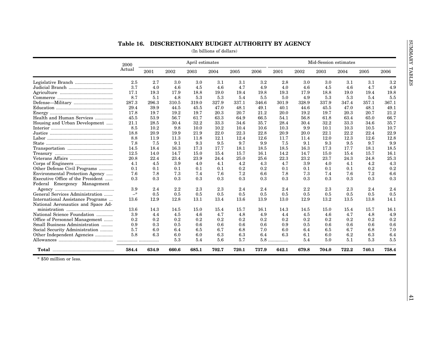<span id="page-42-0"></span>

| 2000<br>Actual<br>2.5<br>3.7<br>17.1<br>8.7<br>287.3<br>29.4<br>17.8<br>45.5<br>21.1<br>8.5<br>18.8<br>8.8<br>7.8<br>14.5 | 2001<br>2.7<br>4.0<br>19.3<br>5.1<br>296.3<br>39.9<br>19.7<br>53.9<br>28.5<br>10.2<br>20.9<br>11.9 | 2002<br>3.0<br>4.6<br>17.9<br>4.8<br>310.5<br>44.5<br>19.2<br>56.7<br>30.4<br>9.8 | 2003<br>3.0<br>4.5<br>18.8<br>5.3<br>319.0<br>45.5<br>19.7<br>61.7 | 2004<br>3.1<br>4.6<br>19.0<br>5.3<br>327.9<br>47.0<br>20.3 | 2005<br>3.1<br>4.7<br>19.4<br>5.4<br>337.1<br>48.1         | 2006<br>3.2<br>4.9<br>19.8<br>5.5<br>346.6                     | 2001<br>2.8<br>4.0<br>19.3<br>5.0<br>301.9                   | 2002<br>3.0<br>4.6<br>17.9<br>4.9<br>328.9                      | 2003<br>3.0<br>4.5<br>18.8<br>5.3<br>337.9    | 2004<br>3.1<br>4.6<br>19.0<br>5.3<br>347.4               | 2005<br>3.1<br>4.7<br>19.4<br>$5.4\,$                      | 2006<br>$3.2\,$<br>4.9<br>19.8<br>5.5                  |
|---------------------------------------------------------------------------------------------------------------------------|----------------------------------------------------------------------------------------------------|-----------------------------------------------------------------------------------|--------------------------------------------------------------------|------------------------------------------------------------|------------------------------------------------------------|----------------------------------------------------------------|--------------------------------------------------------------|-----------------------------------------------------------------|-----------------------------------------------|----------------------------------------------------------|------------------------------------------------------------|--------------------------------------------------------|
|                                                                                                                           |                                                                                                    |                                                                                   |                                                                    |                                                            |                                                            |                                                                |                                                              |                                                                 |                                               |                                                          |                                                            |                                                        |
|                                                                                                                           |                                                                                                    |                                                                                   |                                                                    |                                                            |                                                            |                                                                |                                                              |                                                                 |                                               |                                                          |                                                            |                                                        |
|                                                                                                                           |                                                                                                    |                                                                                   |                                                                    |                                                            |                                                            |                                                                |                                                              |                                                                 |                                               |                                                          |                                                            |                                                        |
|                                                                                                                           |                                                                                                    |                                                                                   |                                                                    |                                                            |                                                            |                                                                |                                                              |                                                                 |                                               |                                                          |                                                            |                                                        |
|                                                                                                                           |                                                                                                    |                                                                                   |                                                                    |                                                            |                                                            |                                                                |                                                              |                                                                 |                                               |                                                          |                                                            |                                                        |
|                                                                                                                           |                                                                                                    |                                                                                   |                                                                    |                                                            |                                                            |                                                                |                                                              |                                                                 |                                               |                                                          | 357.1                                                      | 367.1                                                  |
|                                                                                                                           |                                                                                                    |                                                                                   |                                                                    |                                                            |                                                            | 49.1                                                           | 40.1                                                         | 44.6                                                            | 45.5                                          | 47.0                                                     | 48.1                                                       | 49.1                                                   |
|                                                                                                                           |                                                                                                    |                                                                                   |                                                                    |                                                            | 20.7                                                       | 21.2                                                           | 20.0                                                         | 19.2                                                            | 19.7                                          | 20.3                                                     | 20.7                                                       | 21.2                                                   |
|                                                                                                                           |                                                                                                    |                                                                                   |                                                                    | 63.3                                                       | 64.9                                                       | 66.5                                                           | 54.1                                                         | 56.8                                                            | 61.8                                          | 63.4                                                     | 65.0                                                       | 66.7                                                   |
|                                                                                                                           |                                                                                                    |                                                                                   | 32.2                                                               | 33.3                                                       | 34.6                                                       | 35.7                                                           | 28.4                                                         | 30.4                                                            | 32.2                                          | 33.3                                                     | 34.6                                                       | 35.7                                                   |
|                                                                                                                           |                                                                                                    |                                                                                   | 10.0                                                               | 10.2                                                       | 10.4                                                       | 10.6                                                           | 10.3                                                         | 9.9                                                             | 10.1                                          | 10.3                                                     | 10.5                                                       | 10.7                                                   |
|                                                                                                                           |                                                                                                    | 19.9                                                                              | 21.9                                                               | 22.0                                                       | $22.3\,$                                                   | 22.8                                                           | 20.9                                                         | 20.0                                                            | 22.1                                          | 22.2                                                     | 22.4                                                       | 22.9                                                   |
|                                                                                                                           |                                                                                                    | 11.3                                                                              | 11.8                                                               | 12.1                                                       | 12.4                                                       | 12.6                                                           | 11.7                                                         | 11.4                                                            | 12.0                                          | 12.3                                                     | 12.6                                                       | 12.8                                                   |
|                                                                                                                           | 7.5                                                                                                | 9.1                                                                               | 9.3                                                                | 9.5                                                        | 9.7                                                        | 9.9                                                            | 7.5                                                          | 9.1                                                             | 9.3                                           | 9.5                                                      | 9.7                                                        | 9.9                                                    |
|                                                                                                                           |                                                                                                    |                                                                                   |                                                                    |                                                            |                                                            |                                                                |                                                              |                                                                 |                                               |                                                          |                                                            |                                                        |
|                                                                                                                           | 18.4                                                                                               | 16.3                                                                              | 17.3                                                               | 17.7                                                       | 18.1                                                       | 18.5                                                           | 18.5                                                         | 16.3                                                            | 17.3                                          | 17.7                                                     | 18.1                                                       | 18.5                                                   |
| 12.5                                                                                                                      | 14.0                                                                                               | 14.7                                                                              | 15.0                                                               | 15.4                                                       | 15.7                                                       | 16.1                                                           | 14.2                                                         | 14.7                                                            | 15.0                                          | 15.4                                                     | 15.7                                                       | 16.1                                                   |
| 20.8                                                                                                                      | 22.4                                                                                               | 23.4                                                                              | 23.9                                                               | 24.4                                                       | 25.0                                                       | 25.6                                                           | 22.3                                                         | 23.2                                                            | 23.7                                          | 24.3                                                     | 24.8                                                       | 25.3                                                   |
| 4.1                                                                                                                       | 4.5                                                                                                | 3.9                                                                               | 4.0                                                                | 4.1                                                        | 4.2                                                        | 4.3                                                            | 4.7                                                          | 3.9                                                             | 4.0                                           | 4.1                                                      | 4.2                                                        | 4.3                                                    |
|                                                                                                                           |                                                                                                    |                                                                                   |                                                                    |                                                            |                                                            |                                                                |                                                              |                                                                 |                                               |                                                          |                                                            | 0.2                                                    |
|                                                                                                                           |                                                                                                    |                                                                                   |                                                                    |                                                            |                                                            |                                                                |                                                              |                                                                 |                                               |                                                          |                                                            | 6.6                                                    |
|                                                                                                                           |                                                                                                    |                                                                                   |                                                                    |                                                            |                                                            |                                                                |                                                              |                                                                 |                                               |                                                          |                                                            | 0.3                                                    |
|                                                                                                                           |                                                                                                    |                                                                                   |                                                                    |                                                            |                                                            |                                                                |                                                              |                                                                 |                                               |                                                          |                                                            |                                                        |
| 3.9                                                                                                                       | 2.4                                                                                                |                                                                                   |                                                                    |                                                            |                                                            |                                                                |                                                              |                                                                 | 2.3                                           |                                                          |                                                            | 2.4                                                    |
| $-$ *                                                                                                                     | 0.5                                                                                                | 0.5                                                                               | $\rm 0.5$                                                          | 0.5                                                        | 0.5                                                        | $0.5\,$                                                        | 0.5                                                          | 0.5                                                             | 0.5                                           | 0.5                                                      | 0.5                                                        | $\rm 0.5$                                              |
| 13.6                                                                                                                      | 12.9                                                                                               | 12.8                                                                              | 13.1                                                               | 13.4                                                       | 13.6                                                       | 13.9                                                           | 13.0                                                         | 12.9                                                            | 13.2                                          | 13.5                                                     | 13.8                                                       | 14.1                                                   |
|                                                                                                                           |                                                                                                    |                                                                                   |                                                                    |                                                            |                                                            |                                                                |                                                              |                                                                 |                                               |                                                          |                                                            |                                                        |
| 13.6                                                                                                                      | 14.3                                                                                               | 14.5                                                                              | 15.0                                                               | 15.4                                                       | 15.7                                                       | 16.1                                                           | 14.3                                                         | 14.5                                                            | 15.0                                          | 15.4                                                     | 15.7                                                       | 16.1                                                   |
| 3.9                                                                                                                       | 4.4                                                                                                | 4.5                                                                               | 4.6                                                                | 4.7                                                        | 4.8                                                        | 4.9                                                            | 4.4                                                          | 4.5                                                             | 4.6                                           | 4.7                                                      | 4.8                                                        | 4.9                                                    |
| 0.2                                                                                                                       | 0.2                                                                                                | 0.2                                                                               | 0.2                                                                | $0.2\,$                                                    | 0.2                                                        | $0.2\,$                                                        | 0.2                                                          | 0.2                                                             | 0.2                                           | 0.2                                                      | 0.2                                                        | 0.2                                                    |
|                                                                                                                           |                                                                                                    |                                                                                   |                                                                    |                                                            |                                                            |                                                                |                                                              |                                                                 |                                               |                                                          |                                                            | 0.6                                                    |
|                                                                                                                           |                                                                                                    |                                                                                   |                                                                    |                                                            |                                                            |                                                                |                                                              |                                                                 |                                               |                                                          |                                                            | 7.0                                                    |
|                                                                                                                           |                                                                                                    |                                                                                   |                                                                    |                                                            |                                                            |                                                                |                                                              |                                                                 |                                               |                                                          |                                                            | 6.4                                                    |
|                                                                                                                           |                                                                                                    | 5.3                                                                               | 5.4                                                                | 5.6                                                        | 5.7                                                        |                                                                |                                                              | 5.4                                                             | 5.0                                           | 5.1                                                      | 5.3                                                        | 5.5                                                    |
|                                                                                                                           |                                                                                                    |                                                                                   |                                                                    |                                                            |                                                            |                                                                |                                                              |                                                                 |                                               |                                                          |                                                            | 758.4                                                  |
|                                                                                                                           |                                                                                                    |                                                                                   |                                                                    |                                                            |                                                            |                                                                |                                                              |                                                                 |                                               |                                                          |                                                            |                                                        |
|                                                                                                                           | 0.1<br>7.6<br>0.3<br>0.9<br>5.7<br>5.8<br>584.4                                                    | 0.1<br>7.8<br>0.3<br>0.3<br>6.0<br>6.3<br>.<br>634.9                              | 0.1<br>7.3<br>0.3<br>2.2<br>0.5<br>6.4<br>6.0<br>660.6             | 0.1<br>7.4<br>0.3<br>2.3<br>0.6<br>$6.5\,$<br>6.0<br>685.1 | 0.1<br>7.6<br>0.3<br>2.3<br>0.6<br>6.7<br>$6.3\,$<br>702.7 | $0.2\,$<br>7.2<br>0.3<br>2.4<br>0.6<br>6.8<br>$6.3\,$<br>720.1 | $\rm 0.2$<br>6.6<br>0.3<br>2.4<br>0.6<br>7.0<br>6.4<br>737.9 | 0.1<br>7.8<br>0.3<br>2.4<br>0.9<br>6.0<br>6.3<br>$5.8$<br>642.1 | 0.1<br>7.3<br>0.3<br>2.2<br>0.5<br>6.4<br>6.1 | 0.1<br>7.4<br>0.3<br>0.6<br>6.5<br>6.0<br>679.8<br>704.0 | 0.1<br>7.6<br>0.3<br>2.3<br>0.6<br>6.7<br>$6.2\,$<br>722.2 | 0.2<br>7.2<br>0.3<br>2.4<br>0.6<br>6.8<br>6.3<br>740.1 |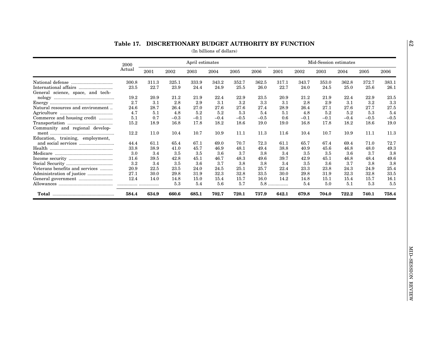<span id="page-43-0"></span>

|                                   | 2000    |       |            | April estimates |        |         |          |       |        |            | Mid-Session estimates |        |         |
|-----------------------------------|---------|-------|------------|-----------------|--------|---------|----------|-------|--------|------------|-----------------------|--------|---------|
|                                   | Actual  | 2001  | $\,2002\,$ | 2003            | 2004   | 2005    | 2006     | 2001  | 2002   | $\,2003\,$ | 2004                  | 2005   | 2006    |
|                                   | 300.8   | 311.3 | 325.1      | 333.9           | 343.2  | 352.7   | 362.5    | 317.1 | 343.7  | 353.0      | 362.8                 | 372.7  | 383.1   |
|                                   | 23.5    | 22.7  | 23.9       | 24.4            | 24.9   | 25.5    | 26.0     | 22.7  | 24.0   | 24.5       | 25.0                  | 25.6   | 26.1    |
| General science, space, and tech- |         |       |            |                 |        |         |          |       |        |            |                       |        |         |
|                                   | 19.2    | 20.9  | 21.2       | 21.9            | 22.4   | 22.9    | 23.5     | 20.9  | 21.2   | 21.9       | 22.4                  | 22.9   | 23.5    |
|                                   | 2.7     | 3.1   | 2.8        | 2.9             | 3.1    | $3.2\,$ | 3.3      | 3.1   | 2.8    | 2.9        | 3.1                   | 3.2    | $3.3\,$ |
| Natural resources and environment | 24.6    | 28.7  | 26.4       | 27.0            | 27.6   | 27.6    | 27.4     | 28.9  | 26.4   | 27.1       | 27.6                  | 27.7   | 27.5    |
|                                   | 4.7     | 5.1   | 4.8        | 5.2             | 5.2    | 5.3     | 5.4      | 5.1   | 4.8    | 5.2        | 5.2                   | 5.3    | 5.4     |
| Commerce and housing credit       | 5.1     | 0.7   | $-0.3$     | $-0.1$          | $-0.4$ | $-0.5$  | $-0.5$   | 0.6   | $-0.1$ | $-0.1$     | $-0.4$                | $-0.5$ | $-0.5$  |
|                                   | 15.2    | 18.9  | 16.8       | 17.8            | 18.2   | 18.6    | 19.0     | 19.0  | 16.8   | 17.8       | 18.2                  | 18.6   | 19.0    |
| Community and regional develop-   |         |       |            |                 |        |         |          |       |        |            |                       |        |         |
|                                   | 12.2    | 11.0  | 10.4       | 10.7            | 10.9   | 11.1    | $11.3\,$ | 11.6  | 10.4   | 10.7       | 10.9                  | 11.1   | 11.3    |
| Education, training, employment,  |         |       |            |                 |        |         |          |       |        |            |                       |        |         |
|                                   | 44.4    | 61.1  | 65.4       | 67.1            | 69.0   | 70.7    | 72.3     | 61.1  | 65.7   | 67.4       | 69.4                  | 71.0   | 72.7    |
|                                   | 33.8    | 38.9  | 41.0       | 45.7            | 46.9   | 48.1    | 49.4     | 38.8  | 40.9   | 45.6       | 46.8                  | 48.0   | 49.3    |
|                                   | 3.0     | 3.4   | $3.5\,$    | $3.5\,$         | 3.6    | 3.7     | 3.8      | 3.4   | 3.5    | 3.5        | 3.6                   | 3.7    | 3.8     |
|                                   | 31.6    | 39.5  | 42.8       | 45.1            | 46.7   | 48.3    | 49.6     | 39.7  | 42.9   | 45.1       | 46.8                  | 48.4   | 49.6    |
|                                   | $3.2\,$ | 3.4   | $3.5\,$    | $3.6\,$         | 3.7    | 3.8     | 3.8      | 3.4   | 3.5    | 3.6        | 3.7                   | 3.8    | 3.8     |
| Veterans benefits and services    | 20.9    | 22.5  | 23.5       | 24.0            | 24.5   | 25.1    | 25.7     | 22.4  | 23.3   | 23.8       | 24.3                  | 24.9   | 25.4    |
|                                   | 27.1    | 30.0  | 29.8       | 31.9            | 32.3   | 32.8    | 33.5     | 30.0  | 29.8   | 31.9       | 32.3                  | 32.8   | 33.5    |
|                                   | 12.4    | 14.0  | 14.8       | 15.0            | 15.4   | 15.7    | 16.0     | 14.2  | 14.8   | 15.1       | 15.4                  | 15.7   | 16.1    |
|                                   |         |       | 5.3        | 5.4             | 5.6    | 5.7     |          | $5.8$ | 5.4    | 5.0        | 5.1                   | 5.3    | 5.5     |
|                                   | 584.4   | 634.9 | 660.6      | 685.1           | 702.7  | 720.1   | 737.9    | 642.1 | 679.8  | 704.0      | 722.2                 | 740.1  | 758.4   |
|                                   |         |       |            |                 |        |         |          |       |        |            |                       |        |         |
|                                   |         |       |            |                 |        |         |          |       |        |            |                       |        |         |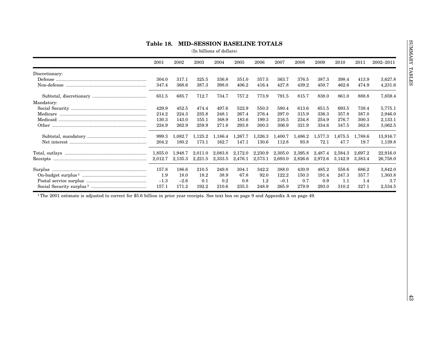<span id="page-44-0"></span>

| Discretionary:<br>304.0<br>317.1<br>325.5<br>336.8<br>351.0<br>357.5<br>363.7<br>376.5<br>387.3<br>398.4<br>413.9<br>3,627.8<br>347.4<br>368.6<br>387.3<br>398.0<br>406.2<br>416.4<br>427.8<br>439.2<br>450.7<br>462.6<br>474.9<br>4,231.6<br>651.5<br>685.7<br>712.7<br>734.7<br>757.2<br>773.9<br>791.5<br>815.7<br>838.0<br>861.0<br>888.8<br>7,859.4<br>429.9<br>497.6<br>522.9<br>580.4<br>613.6<br>693.5<br>738.4<br>5,775.1<br>452.5<br>474.4<br>550.3<br>651.5<br>235.8<br>267.4<br>276.4<br>297.0<br>336.3<br>2,946.0<br>214.2<br>224.3<br>248.1<br>315.9<br>357.8<br>387.0<br>183.6<br>2,133.1<br>130.3<br>143.0<br>155.1<br>168.9<br>199.3<br>216.5<br>234.8<br>254.9<br>276.7<br>300.3<br>224.9<br>262.9<br>259.9<br>271.8<br>293.8<br>300.3<br>306.9<br>321.9<br>334.6<br>347.5<br>3,062.5<br>362.8<br>999.3<br>1,082.7<br>1,125.2<br>1,186.4<br>1,267.7<br>1,326.3<br>1,400.7<br>1,486.2<br>1,577.3<br>1,675.5<br>1,788.6<br>204.2<br>180.2<br>173.1<br>162.7<br>147.1<br>130.6<br>112.8<br>93.8<br>72.1<br>47.7<br>19.7<br>1,855.0<br>1,948.7<br>2,011.0<br>2,083.8<br>2,172.0<br>2,230.9<br>2,305.0<br>2,395.8<br>2,697.2<br>2,487.4<br>2,584.3<br>2,012.7<br>2,135.3<br>2,221.5<br>2,333.5<br>2,476.1<br>2,573.1<br>2,693.0<br>2,826.6<br>2,972.6<br>3,142.9<br>3,383.4<br>157.8<br>186.6<br>210.5<br>249.8<br>304.1<br>342.2<br>388.0<br>430.9<br>485.2<br>558.6<br>686.2<br>1.9<br>18.0<br>18.2<br>38.9<br>67.8<br>92.0<br>122.2<br>150.3<br>191.4<br>247.3<br>357.7<br>$-1.3$<br>$-2.6$<br>$-0.1$<br>0.9<br>0.1<br>$0.2\,$<br>0.8<br>$1.2\,$<br>0.7<br>1.1<br>1.4<br>157.1<br>192.2<br>310.2<br>171.2<br>210.6<br>235.5<br>248.9<br>265.9<br>279.9<br>293.0<br>327.1<br><sup>1</sup> The 2001 estimate is adjusted to correct for \$5.6 billion in prior year receipts. See text box on page 9 and Appendix A on page 49. | 2001 | 2002 | 2003 | 2004 | 2005 | 2006 | 2007 | 2008 | 2009 | 2010 | 2011 | 2002-2011 |
|-----------------------------------------------------------------------------------------------------------------------------------------------------------------------------------------------------------------------------------------------------------------------------------------------------------------------------------------------------------------------------------------------------------------------------------------------------------------------------------------------------------------------------------------------------------------------------------------------------------------------------------------------------------------------------------------------------------------------------------------------------------------------------------------------------------------------------------------------------------------------------------------------------------------------------------------------------------------------------------------------------------------------------------------------------------------------------------------------------------------------------------------------------------------------------------------------------------------------------------------------------------------------------------------------------------------------------------------------------------------------------------------------------------------------------------------------------------------------------------------------------------------------------------------------------------------------------------------------------------------------------------------------------------------------------------------------------------------------------------------------------------------------------------------------------------------------------------------------|------|------|------|------|------|------|------|------|------|------|------|-----------|
| Mandatory:                                                                                                                                                                                                                                                                                                                                                                                                                                                                                                                                                                                                                                                                                                                                                                                                                                                                                                                                                                                                                                                                                                                                                                                                                                                                                                                                                                                                                                                                                                                                                                                                                                                                                                                                                                                                                                    |      |      |      |      |      |      |      |      |      |      |      |           |
|                                                                                                                                                                                                                                                                                                                                                                                                                                                                                                                                                                                                                                                                                                                                                                                                                                                                                                                                                                                                                                                                                                                                                                                                                                                                                                                                                                                                                                                                                                                                                                                                                                                                                                                                                                                                                                               |      |      |      |      |      |      |      |      |      |      |      |           |
|                                                                                                                                                                                                                                                                                                                                                                                                                                                                                                                                                                                                                                                                                                                                                                                                                                                                                                                                                                                                                                                                                                                                                                                                                                                                                                                                                                                                                                                                                                                                                                                                                                                                                                                                                                                                                                               |      |      |      |      |      |      |      |      |      |      |      |           |
|                                                                                                                                                                                                                                                                                                                                                                                                                                                                                                                                                                                                                                                                                                                                                                                                                                                                                                                                                                                                                                                                                                                                                                                                                                                                                                                                                                                                                                                                                                                                                                                                                                                                                                                                                                                                                                               |      |      |      |      |      |      |      |      |      |      |      |           |
|                                                                                                                                                                                                                                                                                                                                                                                                                                                                                                                                                                                                                                                                                                                                                                                                                                                                                                                                                                                                                                                                                                                                                                                                                                                                                                                                                                                                                                                                                                                                                                                                                                                                                                                                                                                                                                               |      |      |      |      |      |      |      |      |      |      |      |           |
|                                                                                                                                                                                                                                                                                                                                                                                                                                                                                                                                                                                                                                                                                                                                                                                                                                                                                                                                                                                                                                                                                                                                                                                                                                                                                                                                                                                                                                                                                                                                                                                                                                                                                                                                                                                                                                               |      |      |      |      |      |      |      |      |      |      |      |           |
|                                                                                                                                                                                                                                                                                                                                                                                                                                                                                                                                                                                                                                                                                                                                                                                                                                                                                                                                                                                                                                                                                                                                                                                                                                                                                                                                                                                                                                                                                                                                                                                                                                                                                                                                                                                                                                               |      |      |      |      |      |      |      |      |      |      |      |           |
| 13,916.7<br>1,139.8<br>22,916.0<br>26,758.0<br>3,842.0<br>1,303.8<br>3.7<br>2,534.5                                                                                                                                                                                                                                                                                                                                                                                                                                                                                                                                                                                                                                                                                                                                                                                                                                                                                                                                                                                                                                                                                                                                                                                                                                                                                                                                                                                                                                                                                                                                                                                                                                                                                                                                                           |      |      |      |      |      |      |      |      |      |      |      |           |
|                                                                                                                                                                                                                                                                                                                                                                                                                                                                                                                                                                                                                                                                                                                                                                                                                                                                                                                                                                                                                                                                                                                                                                                                                                                                                                                                                                                                                                                                                                                                                                                                                                                                                                                                                                                                                                               |      |      |      |      |      |      |      |      |      |      |      |           |
|                                                                                                                                                                                                                                                                                                                                                                                                                                                                                                                                                                                                                                                                                                                                                                                                                                                                                                                                                                                                                                                                                                                                                                                                                                                                                                                                                                                                                                                                                                                                                                                                                                                                                                                                                                                                                                               |      |      |      |      |      |      |      |      |      |      |      |           |
|                                                                                                                                                                                                                                                                                                                                                                                                                                                                                                                                                                                                                                                                                                                                                                                                                                                                                                                                                                                                                                                                                                                                                                                                                                                                                                                                                                                                                                                                                                                                                                                                                                                                                                                                                                                                                                               |      |      |      |      |      |      |      |      |      |      |      |           |
|                                                                                                                                                                                                                                                                                                                                                                                                                                                                                                                                                                                                                                                                                                                                                                                                                                                                                                                                                                                                                                                                                                                                                                                                                                                                                                                                                                                                                                                                                                                                                                                                                                                                                                                                                                                                                                               |      |      |      |      |      |      |      |      |      |      |      |           |
|                                                                                                                                                                                                                                                                                                                                                                                                                                                                                                                                                                                                                                                                                                                                                                                                                                                                                                                                                                                                                                                                                                                                                                                                                                                                                                                                                                                                                                                                                                                                                                                                                                                                                                                                                                                                                                               |      |      |      |      |      |      |      |      |      |      |      |           |
|                                                                                                                                                                                                                                                                                                                                                                                                                                                                                                                                                                                                                                                                                                                                                                                                                                                                                                                                                                                                                                                                                                                                                                                                                                                                                                                                                                                                                                                                                                                                                                                                                                                                                                                                                                                                                                               |      |      |      |      |      |      |      |      |      |      |      |           |
|                                                                                                                                                                                                                                                                                                                                                                                                                                                                                                                                                                                                                                                                                                                                                                                                                                                                                                                                                                                                                                                                                                                                                                                                                                                                                                                                                                                                                                                                                                                                                                                                                                                                                                                                                                                                                                               |      |      |      |      |      |      |      |      |      |      |      |           |
|                                                                                                                                                                                                                                                                                                                                                                                                                                                                                                                                                                                                                                                                                                                                                                                                                                                                                                                                                                                                                                                                                                                                                                                                                                                                                                                                                                                                                                                                                                                                                                                                                                                                                                                                                                                                                                               |      |      |      |      |      |      |      |      |      |      |      |           |
|                                                                                                                                                                                                                                                                                                                                                                                                                                                                                                                                                                                                                                                                                                                                                                                                                                                                                                                                                                                                                                                                                                                                                                                                                                                                                                                                                                                                                                                                                                                                                                                                                                                                                                                                                                                                                                               |      |      |      |      |      |      |      |      |      |      |      |           |
|                                                                                                                                                                                                                                                                                                                                                                                                                                                                                                                                                                                                                                                                                                                                                                                                                                                                                                                                                                                                                                                                                                                                                                                                                                                                                                                                                                                                                                                                                                                                                                                                                                                                                                                                                                                                                                               |      |      |      |      |      |      |      |      |      |      |      |           |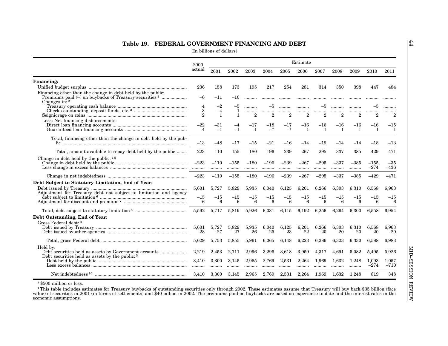<span id="page-45-0"></span>

|                                                                                | 2000                |                      |            |                    |                    |                    | Estimate           |                    |                  |                    |                  |                    |
|--------------------------------------------------------------------------------|---------------------|----------------------|------------|--------------------|--------------------|--------------------|--------------------|--------------------|------------------|--------------------|------------------|--------------------|
|                                                                                | actual              | 2001                 | 2002       | 2003               | 2004               | 2005               | 2006               | 2007               | 2008             | 2009               | 2010             | 2011               |
| <b>Financing:</b>                                                              |                     |                      |            |                    |                    |                    |                    |                    |                  |                    |                  |                    |
|                                                                                | 236                 | 158                  | 173        | 195                | 217                | 254                | 281                | 314                | 350              | 398                | 447              | 484                |
| Financing other than the change in debt held by the public:<br>Changes in: $2$ | $-6$                | $-11$                | $^{-10}$   |                    | .                  | .                  | .                  | .                  | .                | .                  |                  |                    |
|                                                                                | $\overline{4}$      | $^{-2}$              | -5         |                    | -5                 |                    |                    | -5                 |                  |                    | -5               |                    |
|                                                                                | 3<br>$\mathfrak{D}$ | $-4$<br>$\mathbf{1}$ | 1<br>1     | <br>$\overline{2}$ | <br>$\overline{2}$ | <br>$\overline{2}$ | <br>$\overline{2}$ | <br>$\overline{2}$ | <br>$\mathbf{2}$ | <br>$\overline{2}$ | <br>2            | <br>$\overline{2}$ |
| Less: Net financing disbursements:                                             |                     |                      |            |                    |                    |                    |                    |                    |                  |                    |                  |                    |
|                                                                                | $-22$               | -31                  | -4         | -17                | $^{-18}$           | $-17$              | $-16$              | $^{-16}$           | $-16$            | $-16$              | $^{-16}$         | $-15$              |
|                                                                                | $\overline{4}$      | $-1$                 | $-1$       | $\mathbf{1}$       | —*                 | $-$ *              | $\mathbf{1}$       | $\mathbf{1}$       | $\mathbf{1}$     | $\mathbf{1}$       | $\mathbf{1}$     | 1                  |
| Total, financing other than the change in debt held by the pub-                | $-13$               | $-48$                | $-17$      | $-15$              | $-21$              | $-16$              | $-14$              | $-19$              | $-14$            | $-14$              | $^{-18}$         | $-13$              |
| Total, amount available to repay debt held by the public                       | 223                 | 110                  | 155        | 180                | 196                | 239                | 267                | 295                | 337              | 385                | 429              | 471                |
| Change in debt held by the public: $45$                                        |                     | $-110$<br>           | $-155$<br> | $-180$             | $-196$<br>         | $-239$<br>         | $-267$<br>.        | $-295$<br>         | $-337$<br>.      | –385<br>           | $-155$<br>$-274$ | $-35$<br>$-436$    |
|                                                                                | $-223$              | $-110$               | $-155$     | $-180$             | $-196$             | $-239$             | $-267$             | $-295$             | $-337$           | $-385$             | $-429$           | $-471$             |
| Debt Subject to Statutory Limitation, End of Year:                             |                     |                      |            |                    |                    |                    |                    |                    |                  |                    |                  |                    |
|                                                                                | 5,601               | 5,727                | 5,829      | 5,935              | 6,040              | 6,125              | 6,201              | 6,266              | 6,303            | 6,310              | 6,568            | 6,963              |
|                                                                                | $-15$<br>6          | $^{-15}$<br>6        | $-15$      | $-15$<br>6         | $^{-15}$<br>6      | $-15$<br>6         | $-15$<br>6         | $^{-15}$<br>6      | $-15$<br>6       | $-15$              | $-15$<br>6       | $-15$              |
|                                                                                |                     |                      | 6          |                    |                    |                    |                    |                    |                  | 6                  |                  | 6                  |
|                                                                                | 5,592               | 5,717                | 5,819      | 5,926              | 6,031              | 6,115              | 6,192              | 6,256              | 6,294            | 6,300              | 6,558            | 6,954              |
| Debt Outstanding, End of Year:                                                 |                     |                      |            |                    |                    |                    |                    |                    |                  |                    |                  |                    |
| Gross Federal debt: 9                                                          | 5,601               | 5,727                | 5,829      | 5,935              | 6,040              | 6,125              | 6,201              | 6,266              | 6,303            | 6,310              | 6,568            | 6,963              |
|                                                                                | 28                  | 27                   | 27         | 26                 | 25                 | 23                 | 22                 | 20                 | 20               | 20                 | 20               | 20                 |
|                                                                                | 5,629               | 5,753                | 5,855      | 5,961              | 6,065              | 6,148              | 6,223              | 6,286              | 6,323            | 6,330              | 6,588            | 6,983              |
| Held by:                                                                       | 2,219               | 2,453                | 2,711      | 2,996              | 3,296              | 3,618              | 3,959              | 4,317              | 4,691            | 5,082              | 5,495            | 5,926              |
| Debt securities held as assets by the public: <sup>5</sup>                     | 3,410               | 3,300                | 3,145      | 2,965              | 2,769              | 2,531              | 2,264              | 1,969              | 1,632            | 1,248              | 1,093            | 1,057              |
|                                                                                |                     |                      |            |                    |                    |                    |                    |                    |                  |                    | $-274$           | $-710$             |
|                                                                                | 3.410               | 3,300                | 3,145      | 2,965              | 2,769              | 2,531              | 2,264              | 1,969              | 1,632            | 1,248              | 819              | 348                |

44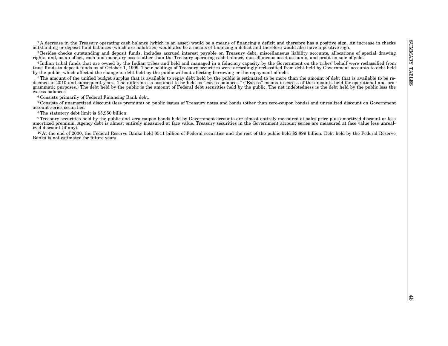. A degree in the Towards and Alegentia the state is the state of function of the state of the state of the state of the state of the state of the state of the state of the state of the state of the state of the state of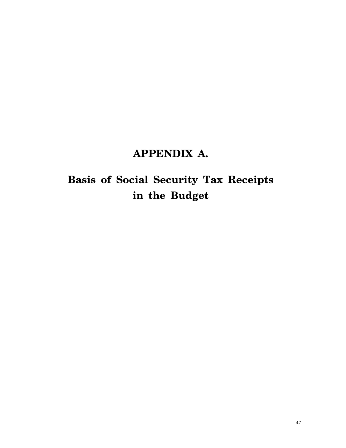## **APPENDIX A.**

## **Basis of Social Security Tax Receipts in the Budget**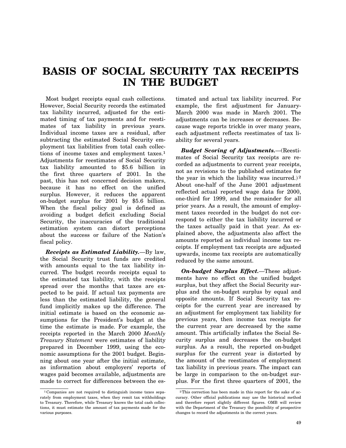## **BASIS OF SOCIAL SECURITY TAX RECEIPTS IN THE BUDGET**

Most budget receipts equal cash collections. However, Social Security records the estimated tax liability incurred, adjusted for the estimated timing of tax payments and for reestimates of tax liability in previous years. Individual income taxes are a residual, after subtracting the estimated Social Security employment tax liabilities from total cash collections of income taxes and employment taxes.1 Adjustments for reestimates of Social Security tax liability amounted to \$5.6 billion in the first three quarters of 2001. In the past, this has not concerned decision makers, because it has no effect on the unified surplus. However, it reduces the apparent on-budget surplus for 2001 by \$5.6 billion. When the fiscal policy goal is defined as avoiding a budget deficit excluding Social Security, the inaccuracies of the traditional estimation system can distort perceptions about the success or failure of the Nation's fiscal policy.

*Receipts as Estimated Liability.*—By law, the Social Security trust funds are credited with amounts equal to the tax liability incurred. The budget records receipts equal to the estimated tax liability, with the receipts spread over the months that taxes are expected to be paid. If actual tax payments are less than the estimated liability, the general fund implicitly makes up the difference. The initial estimate is based on the economic assumptions for the President's budget at the time the estimate is made. For example, the receipts reported in the March 2000 *Monthly Treasury Statement* were estimates of liability prepared in December 1999, using the economic assumptions for the 2001 budget. Beginning about one year after the initial estimate, as information about employers' reports of wages paid becomes available, adjustments are made to correct for differences between the es-

timated and actual tax liability incurred. For example, the first adjustment for January-March 2000 was made in March 2001. The adjustments can be increases or decreases. Because wage reports trickle in over many years, each adjustment reflects reestimates of tax liability for several years.

*Budget Scoring of Adjustments.*—(Reestimates of Social Security tax receipts are recorded as adjustments to current year receipts, not as revisions to the published estimates for the year in which the liability was incurred.) 2 About one-half of the June 2001 adjustment reflected actual reported wage data for 2000, one-third for 1999, and the remainder for all prior years. As a result, the amount of employment taxes recorded in the budget do not correspond to either the tax liability incurred or the taxes actually paid in that year. As explained above, the adjustments also affect the amounts reported as individual income tax receipts. If employment tax receipts are adjusted upwards, income tax receipts are automatically reduced by the same amount.

*On-budget Surplus Effect.*—These adjustments have no effect on the unified budget surplus, but they affect the Social Security surplus and the on-budget surplus by equal and opposite amounts. If Social Security tax receipts for the current year are increased by an adjustment for employment tax liability for previous years, then income tax receipts for the current year are decreased by the same amount. This artificially inflates the Social Security surplus and decreases the on-budget surplus. As a result, the reported on-budget surplus for the current year is distorted by the amount of the reestimates of employment tax liability in previous years. The impact can be large in comparison to the on-budget surplus. For the first three quarters of 2001, the

<sup>1</sup> Companies are not required to distinguish income taxes separately from employment taxes, when they remit tax withholdings to Treasury. Therefore, while Treasury knows the total cash collections, it must estimate the amount of tax payments made for the various purposes.

<sup>2</sup>This correction has been made in this report for the sake of accuracy. Other official publications may use the historical method and therefore report slightly different figures. OMB will review with the Department of the Treasury the possibility of prospective changes to record the adjustments in the correct years.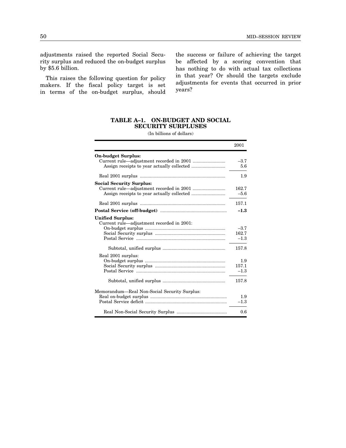<span id="page-49-0"></span>adjustments raised the reported Social Security surplus and reduced the on-budget surplus by \$5.6 billion.

This raises the following question for policy makers. If the fiscal policy target is set in terms of the on-budget surplus, should the success or failure of achieving the target be affected by a scoring convention that has nothing to do with actual tax collections in that year? Or should the targets exclude adjustments for events that occurred in prior years?

### **TABLE A–1. ON-BUDGET AND SOCIAL SECURITY SURPLUSES**

(In billions of dollars)

|                                              | 2001      |
|----------------------------------------------|-----------|
| On-budget Surplus:                           |           |
|                                              | $-3.7$    |
|                                              | 5.6       |
|                                              | 1.9       |
| <b>Social Security Surplus:</b>              |           |
|                                              | 162.7     |
|                                              | $-5.6$    |
|                                              | 157.1     |
|                                              | $-1.3$    |
| <b>Unified Surplus:</b>                      |           |
| Current rule—adjustment recorded in 2001:    |           |
|                                              | $-3.7$    |
|                                              | 162.7     |
|                                              | $-1.3$    |
|                                              | 157.8     |
| Real 2001 surplus:                           |           |
|                                              | 1.9       |
|                                              | 157.1     |
|                                              | $^{-1.3}$ |
|                                              | 157.8     |
| Memorandum-Real Non-Social Security Surplus: |           |
|                                              | 1.9       |
|                                              | $-1.3$    |
|                                              | 0.6       |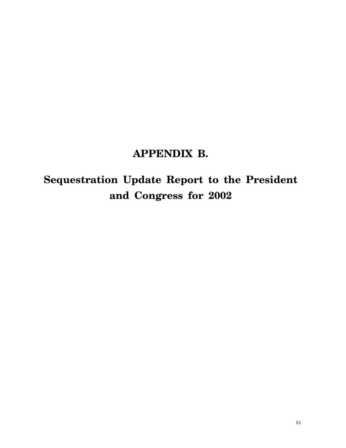## **APPENDIX B.**

## **Sequestration Update Report to the President and Congress for 2002**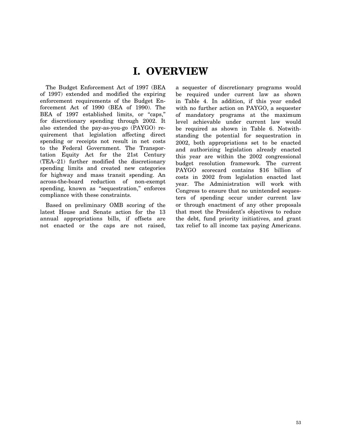## **I. OVERVIEW**

The Budget Enforcement Act of 1997 (BEA of 1997) extended and modified the expiring enforcement requirements of the Budget Enforcement Act of 1990 (BEA of 1990). The BEA of 1997 established limits, or "caps," for discretionary spending through 2002. It also extended the pay-as-you-go (PAYGO) requirement that legislation affecting direct spending or receipts not result in net costs to the Federal Government. The Transportation Equity Act for the 21st Century (TEA–21) further modified the discretionary spending limits and created new categories for highway and mass transit spending. An across-the-board reduction of non-exempt spending, known as "sequestration," enforces compliance with these constraints.

Based on preliminary OMB scoring of the latest House and Senate action for the 13 annual appropriations bills, if offsets are not enacted or the caps are not raised,

a sequester of discretionary programs would be required under current law as shown in Table 4. In addition, if this year ended with no further action on PAYGO, a sequester of mandatory programs at the maximum level achievable under current law would be required as shown in Table 6. Notwithstanding the potential for sequestration in 2002, both appropriations set to be enacted and authorizing legislation already enacted this year are within the 2002 congressional budget resolution framework. The current PAYGO scorecard contains \$16 billion of costs in 2002 from legislation enacted last year. The Administration will work with Congress to ensure that no unintended sequesters of spending occur under current law or through enactment of any other proposals that meet the President's objectives to reduce the debt, fund priority initiatives, and grant tax relief to all income tax paying Americans.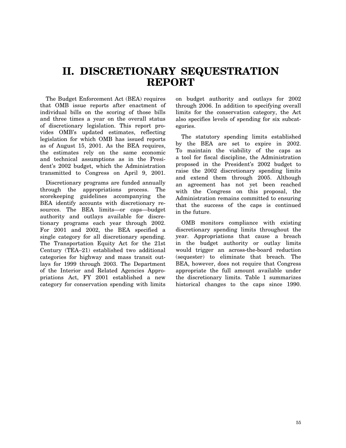## **II. DISCRETIONARY SEQUESTRATION REPORT**

The Budget Enforcement Act (BEA) requires that OMB issue reports after enactment of individual bills on the scoring of those bills and three times a year on the overall status of discretionary legislation. This report provides OMB's updated estimates, reflecting legislation for which OMB has issued reports as of August 15, 2001. As the BEA requires, the estimates rely on the same economic and technical assumptions as in the President's 2002 budget, which the Administration transmitted to Congress on April 9, 2001.

Discretionary programs are funded annually through the appropriations process. The scorekeeping guidelines accompanying the BEA identify accounts with discretionary resources. The BEA limits—or caps—budget authority and outlays available for discretionary programs each year through 2002. For 2001 and 2002, the BEA specified a single category for all discretionary spending. The Transportation Equity Act for the 21st Century (TEA–21) established two additional categories for highway and mass transit outlays for 1999 through 2003. The Department of the Interior and Related Agencies Appropriations Act, FY 2001 established a new category for conservation spending with limits on budget authority and outlays for 2002 through 2006. In addition to specifying overall limits for the conservation category, the Act also specifies levels of spending for six subcategories.

The statutory spending limits established by the BEA are set to expire in 2002. To maintain the viability of the caps as a tool for fiscal discipline, the Administration proposed in the President's 2002 budget to raise the 2002 discretionary spending limits and extend them through 2005. Although an agreement has not yet been reached with the Congress on this proposal, the Administration remains committed to ensuring that the success of the caps is continued in the future.

OMB monitors compliance with existing discretionary spending limits throughout the year. Appropriations that cause a breach in the budget authority or outlay limits would trigger an across-the-board reduction (sequester) to eliminate that breach. The BEA, however, does not require that Congress appropriate the full amount available under the discretionary limits. Table 1 summarizes historical changes to the caps since 1990.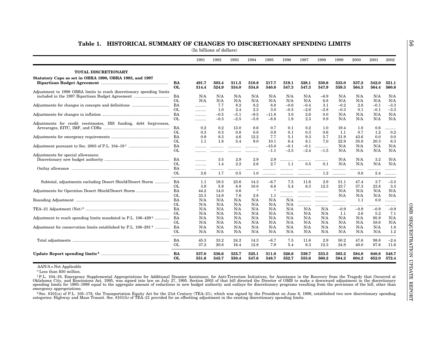<span id="page-53-0"></span>

| <b>TOTAL DISCRETIONARY</b><br>Statutory Caps as set in OBRA 1990, OBRA 1993, and 1997<br>BA<br><b>OL</b><br>Adjustment to 1998 OBRA limits to reach discretionary spending limits<br>BA<br>OL<br>BA<br>OL.<br>BA<br>OL<br>Adjustments for credit reestimates, IRS funding, debt forgiveness,<br>BA<br>OL.<br>BA<br>OL<br>BA<br>OL.<br>Adjustments for special allowances: | 491.7<br>514.4<br>N/A<br>N/A<br><br>.<br><br>.<br>0.2<br>0.3<br>0.9<br>1.1 | 503.4<br>524.9<br>N/A<br>N/A<br>7.7<br>1.0<br>$-0.5\,$<br>$-0.3\,$<br>0.2<br>0.3 | 511.5<br>534.0<br>N/A<br>N/A<br>8.2<br>2.4<br>$-5.1$<br>$-2.5$ | 510.8<br>534.8<br>N/A<br>N/A<br>8.2<br>2.3 | 517.7<br>540.8<br>N/A<br>N/A<br>8.8 | 519.1<br>547.3<br>N/A<br>N/A | 528.1<br>547.3<br>N/A<br>N/A | 530.6<br>547.9<br>$-6.9$ | 533.0<br>559.3<br>N/A | 537.2<br>564.3<br>N/A | 542.0<br>564.4   | 551.1<br>560.8 |
|---------------------------------------------------------------------------------------------------------------------------------------------------------------------------------------------------------------------------------------------------------------------------------------------------------------------------------------------------------------------------|----------------------------------------------------------------------------|----------------------------------------------------------------------------------|----------------------------------------------------------------|--------------------------------------------|-------------------------------------|------------------------------|------------------------------|--------------------------|-----------------------|-----------------------|------------------|----------------|
|                                                                                                                                                                                                                                                                                                                                                                           |                                                                            |                                                                                  |                                                                |                                            |                                     |                              |                              |                          |                       |                       |                  |                |
|                                                                                                                                                                                                                                                                                                                                                                           |                                                                            |                                                                                  |                                                                |                                            |                                     |                              |                              |                          |                       |                       |                  |                |
|                                                                                                                                                                                                                                                                                                                                                                           |                                                                            |                                                                                  |                                                                |                                            |                                     |                              |                              |                          |                       |                       |                  |                |
|                                                                                                                                                                                                                                                                                                                                                                           |                                                                            |                                                                                  |                                                                |                                            |                                     |                              |                              |                          |                       |                       |                  |                |
|                                                                                                                                                                                                                                                                                                                                                                           |                                                                            |                                                                                  |                                                                |                                            |                                     |                              |                              |                          |                       |                       |                  |                |
|                                                                                                                                                                                                                                                                                                                                                                           |                                                                            |                                                                                  |                                                                |                                            |                                     |                              |                              |                          |                       |                       | N/A              | N/A            |
|                                                                                                                                                                                                                                                                                                                                                                           |                                                                            |                                                                                  |                                                                |                                            |                                     |                              |                              | 6.8                      | N/A                   | N/A                   | N/A              | N/A            |
|                                                                                                                                                                                                                                                                                                                                                                           |                                                                            |                                                                                  |                                                                |                                            |                                     | $-0.6$                       | $-0.4$                       | 3.1                      | $-0.2$                | 2.8                   | $-0.1$           | $-3.3$         |
|                                                                                                                                                                                                                                                                                                                                                                           |                                                                            |                                                                                  |                                                                |                                            | 3.0                                 | $-0.5$                       | $-2.6$                       | $-2.8$                   | $-0.3$                | 0.1                   | $-0.1$           | $-3.3$         |
|                                                                                                                                                                                                                                                                                                                                                                           |                                                                            |                                                                                  |                                                                | $-9.5$                                     | $-11.8$                             | 3.0                          | 2.6                          | 0.0                      | N/A                   | N/A                   | N/A              | N/A            |
|                                                                                                                                                                                                                                                                                                                                                                           |                                                                            |                                                                                  |                                                                | $-5.8$                                     | $-8.8$                              | 1.8                          | 2.3                          | 0.9                      | N/A                   | N/A                   | N/A              | N/A            |
|                                                                                                                                                                                                                                                                                                                                                                           |                                                                            |                                                                                  |                                                                |                                            |                                     |                              |                              |                          |                       |                       |                  |                |
|                                                                                                                                                                                                                                                                                                                                                                           |                                                                            |                                                                                  | 13.0                                                           | 0.6                                        | 0.7                                 | 0.1                          | 0.2                          | 1.0                      | 19.4                  | 1.0                   | 0.6              | .              |
|                                                                                                                                                                                                                                                                                                                                                                           |                                                                            |                                                                                  | 0.8                                                            | 0.8                                        | 0.9                                 | 0.1                          | 0.3                          | 0.6                      | 1.1                   | 0.7                   | 1.2              | 0.2            |
|                                                                                                                                                                                                                                                                                                                                                                           |                                                                            | 8.3                                                                              | 4.6                                                            | 12.2                                       | 7.7                                 | 5.1                          | 9.3                          | 5.7                      | 31.9                  | 43.6                  | 0.0              | 0.0            |
|                                                                                                                                                                                                                                                                                                                                                                           |                                                                            | 1.8                                                                              | 5.4                                                            | 9.0                                        | 10.1                                | 6.4                          | 8.1                          | 7.0                      | 22.9                  | 35.8                  | 20.3             | 6.3            |
|                                                                                                                                                                                                                                                                                                                                                                           |                                                                            |                                                                                  |                                                                |                                            | $-15.0$                             | $-0.1$                       | $-0.1$                       | .                        | N/A                   | N/A                   | N/A              | N/A            |
|                                                                                                                                                                                                                                                                                                                                                                           |                                                                            |                                                                                  |                                                                |                                            | $-1.1$                              | $-3.5$                       | $-2.4$                       | $-1.5$                   | N/A                   | N/A                   | N/A              | N/A            |
|                                                                                                                                                                                                                                                                                                                                                                           |                                                                            |                                                                                  |                                                                |                                            |                                     |                              |                              |                          |                       |                       |                  |                |
|                                                                                                                                                                                                                                                                                                                                                                           |                                                                            | 3.5                                                                              | 2.9                                                            | 2.9                                        | 2.9                                 | .                            |                              |                          | N/A                   | N/A                   | $3.2\phantom{0}$ | N/A            |
| OL                                                                                                                                                                                                                                                                                                                                                                        | .                                                                          | 1.4                                                                              | 2.2                                                            | 2.6                                        | 2.7                                 | 1.1                          | 0.5                          | 0.1                      | N/A                   | N/A                   | N/A              | N/A            |
|                                                                                                                                                                                                                                                                                                                                                                           |                                                                            | .                                                                                | .                                                              | .                                          |                                     |                              |                              |                          |                       | .                     |                  |                |
| OL                                                                                                                                                                                                                                                                                                                                                                        | 2.6                                                                        | 1.7                                                                              | 0.5                                                            | $1.0\,$                                    |                                     |                              | .                            | $1.2\,$                  |                       | 0.8                   | 2.4              |                |
|                                                                                                                                                                                                                                                                                                                                                                           |                                                                            |                                                                                  |                                                                |                                            |                                     |                              |                              |                          |                       |                       |                  |                |
| Subtotal, adjustments excluding Desert Shield/Desert Storm  BA                                                                                                                                                                                                                                                                                                            | 1.1                                                                        | 19.3                                                                             | 23.6                                                           | 14.3                                       | $-6.7$                              | 7.5                          | 11.6                         | 2.9                      | 51.1                  | 47.4                  | 3.7              | $-3.3$         |
| OL                                                                                                                                                                                                                                                                                                                                                                        | 3.9                                                                        | 5.9                                                                              | 8.8                                                            | 10.0                                       | 6.8                                 | 5.4                          | 6.3                          | 12.3                     | 23.7                  | 37.3                  | 23.8             | 3.3            |
| - BA                                                                                                                                                                                                                                                                                                                                                                      | 44.2                                                                       | 14.0                                                                             | 0.6                                                            | $\ast$                                     | $\ast$                              |                              |                              |                          | N/A                   | N/A                   | N/A              | N/A            |
| OL.                                                                                                                                                                                                                                                                                                                                                                       | 33.3                                                                       | 14.9                                                                             | 7.6                                                            | 2.8                                        | 1.1                                 |                              |                              |                          | N/A                   | N/A                   | N/A              | N/A            |
|                                                                                                                                                                                                                                                                                                                                                                           | N/A                                                                        | N/A                                                                              | N/A                                                            | N/A                                        | N/A                                 | N/A                          | .                            |                          | .                     | 1.1                   | 0.0              |                |
| OL                                                                                                                                                                                                                                                                                                                                                                        | N/A                                                                        | N/A                                                                              | N/A                                                            | N/A                                        | N/A                                 | N/A                          | .                            |                          | .                     | .                     | .                | .              |
|                                                                                                                                                                                                                                                                                                                                                                           | N/A                                                                        | N/A                                                                              | N/A                                                            | N/A                                        | N/A                                 | N/A                          | N/A                          | N/A                      | $-0.9$                | $-0.9$                | $-0.9$           | $-0.9$         |
| OL.                                                                                                                                                                                                                                                                                                                                                                       | N/A                                                                        | N/A                                                                              | N/A                                                            | N/A                                        | N/A                                 | N/A                          | N/A                          | N/A                      | 1.1                   | 2.6                   | 5.2              | 7.1            |
| Adjustment to reach spending limits mandated in P.L. 106–429 <sup>3</sup> BA                                                                                                                                                                                                                                                                                              | N/A                                                                        | N/A                                                                              | N/A                                                            | N/A                                        | N/A                                 | N/A                          | N/A                          | N/A                      | N/A                   | N/A                   | 95.9             | N/A            |
| OL.                                                                                                                                                                                                                                                                                                                                                                       | N/A                                                                        | N/A                                                                              | N/A                                                            | N/A                                        | N/A                                 | N/A                          | N/A                          | N/A                      | N/A                   | N/A                   | 58.6             | N/A            |
| Adjustment for conservation limits established by P.L. 106-2914<br>BA                                                                                                                                                                                                                                                                                                     | N/A                                                                        | N/A                                                                              | N/A                                                            | N/A                                        | N/A                                 | N/A                          | N/A                          | N/A                      | N/A                   | N/A                   | N/A              | 1.8            |
| OL.                                                                                                                                                                                                                                                                                                                                                                       | N/A                                                                        | N/A                                                                              | N/A                                                            | N/A                                        | N/A                                 | N/A                          | N/A                          | N/A                      | N/A                   | N/A                   | N/A              | 1.2            |
| BA                                                                                                                                                                                                                                                                                                                                                                        |                                                                            | 33.2                                                                             | 24.2                                                           |                                            |                                     |                              | 11.6                         | 2.9                      |                       |                       | 98.8             | $-2.4$         |
| OL.                                                                                                                                                                                                                                                                                                                                                                       | 45.3<br>37.2                                                               | 20.8                                                                             | 16.4                                                           | 14.3<br>12.8                               | $-6.7$<br>7.9                       | 7.5<br>5.4                   | 6.3                          | 12.3                     | 50.2<br>24.9          | 47.6<br>40.0          | 87.6             | 11.6           |
|                                                                                                                                                                                                                                                                                                                                                                           |                                                                            |                                                                                  |                                                                |                                            |                                     |                              |                              |                          |                       |                       |                  |                |
|                                                                                                                                                                                                                                                                                                                                                                           | 537.0                                                                      | 536.6                                                                            | 535.7                                                          | 525.1                                      | 511.0                               | 526.6                        | 539.7                        | 533.5                    | 583.2                 | 584.8                 | 640.8            | 548.7          |
| <b>OL</b>                                                                                                                                                                                                                                                                                                                                                                 | 551.6                                                                      | 545.7                                                                            | 550.4                                                          | 547.6                                      | 548.7                               | 552.7                        | 553.6                        | 560.2                    | 584.2                 | 604.2                 | 652.0            | 572.4          |

56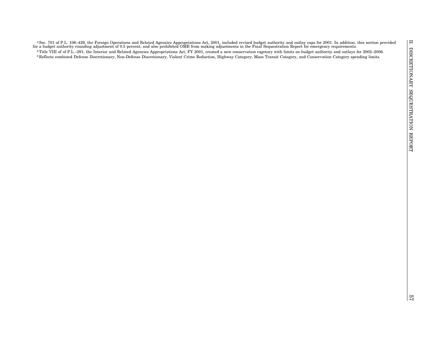| <sup>3</sup> Sec. 701 of P.L. 106–429, the Foreign Operations and Related Agencies Appropriations Act, 2001, included revised budget authority and outlay caps for 2001. In addition, this section provided |
|-------------------------------------------------------------------------------------------------------------------------------------------------------------------------------------------------------------|
| for a budget authority rounding adjustment of 0.5 percent, and also prohibited OMB from making adjustments in the Final Sequestration Report for emergency requirements.                                    |
| <sup>4</sup> Title VIII of of P.L.–291, the Interior and Related Agencies Appropriations Act, FY 2001, created a new conservation cagetory with limits on budget authority and outlays for 2002–2006.       |
| <sup>5</sup> Reflects combined Defense Discretionary, Non-Defense Discretionary, Violent Crime Reduction, Highway Category, Mass Transit Category, and Conservation Category spending limits.               |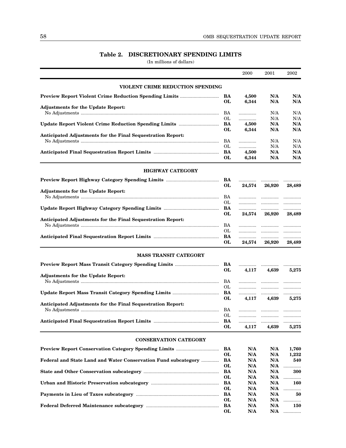### **Table 2. DISCRETIONARY SPENDING LIMITS**

(In millions of dollars)

<span id="page-55-0"></span>

|                                                                |           | 2000        | 2001       | 2002       |
|----------------------------------------------------------------|-----------|-------------|------------|------------|
| VIOLENT CRIME REDUCTION SPENDING                               |           |             |            |            |
|                                                                | BA        | 4,500       | N/A        | N/A        |
|                                                                | OL        | 6,344       | N/A        | N/A        |
| <b>Adjustments for the Update Report:</b>                      | BA        | .           | N/A        | N/A        |
|                                                                | ОL        | .           | N/A        | N/A        |
|                                                                | BA        | 4,500       | N/A        | N/A        |
|                                                                | OL        | 6,344       | N/A        | N/A        |
| Anticipated Adjustments for the Final Sequestration Report:    |           |             |            |            |
|                                                                | BA<br>OL  | .<br>.      | N/A<br>N/A | N/A<br>N/A |
|                                                                | BA        | 4,500       | N/A        | N/A        |
|                                                                | OL        | 6,344       | N/A        | N/A        |
| <b>HIGHWAY CATEGORY</b>                                        |           |             |            |            |
|                                                                | BA        |             |            |            |
|                                                                | OL        | 24,574      | 26,920     | 28,489     |
| <b>Adjustments for the Update Report:</b>                      |           |             |            |            |
|                                                                | BA        |             |            |            |
|                                                                | OL        |             |            |            |
|                                                                | BA<br>OL  | .<br>24,574 | 26,920     |            |
| Anticipated Adjustments for the Final Sequestration Report:    |           |             |            | 28,489     |
|                                                                | BA        |             |            |            |
|                                                                | OL        |             |            |            |
|                                                                | BA        |             |            |            |
|                                                                | OL        | 24,574      | 26,920     | 28,489     |
| <b>MASS TRANSIT CATEGORY</b>                                   |           |             |            |            |
|                                                                | BA        |             |            |            |
|                                                                | <b>OL</b> | 4,117       | 4,639      | 5,275      |
| <b>Adjustments for the Update Report:</b>                      |           |             |            |            |
|                                                                | BA        |             |            |            |
|                                                                | OL        |             |            |            |
| <b>Update Report Mass Transit Category Spending Limits </b>    | BA<br>OL  | .<br>4,117  | .<br>4,639 | .<br>5,275 |
| Anticipated Adjustments for the Final Sequestration Report:    |           |             |            |            |
|                                                                | BA        |             |            | .          |
|                                                                | ОL        |             |            |            |
| <b>Anticipated Final Sequestration Report Limits.</b>          | <b>BA</b> |             |            |            |
|                                                                | OL        | 4,117       | 4,639      | 5,275      |
| <b>CONSERVATION CATEGORY</b>                                   |           |             |            |            |
| <b>Preview Report Conservation Category Spending Limits </b>   | BA        | N/A         | N/A        | 1,760      |
|                                                                | OL        | N/A         | N/A        | 1,232      |
| Federal and State Land and Water Conservation Fund subcategory | BA        | N/A         | N/A        | 540        |
|                                                                | OL        | N/A         | N/A        |            |
|                                                                | BA<br>OL  | N/A<br>N/A  | N/A<br>N/A | 300        |
|                                                                | BA        | N/A         | N/A        | .<br>160   |
|                                                                | OL        | N/A         | N/A        |            |
|                                                                | BA        | N/A         | N/A        | 50         |
|                                                                | OL        | N/A         | N/A        | .          |
|                                                                | BA        | N/A         | N/A        | <b>150</b> |
|                                                                | OL        | N/A         | N/A        | .          |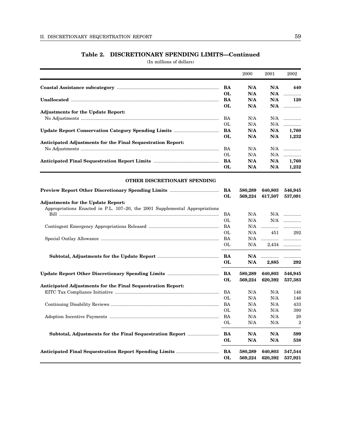### **Table 2. DISCRETIONARY SPENDING LIMITS—Continued**

(In millions of dollars)

|                                                                             |           | 2000    | 2001    | 2002           |
|-----------------------------------------------------------------------------|-----------|---------|---------|----------------|
|                                                                             | BA        | N/A     | N/A     | 440            |
|                                                                             | OL        | N/A     | N/A     | .              |
|                                                                             | <b>BA</b> | N/A     | N/A     | 120            |
|                                                                             | OL        | N/A     |         | N/A            |
| <b>Adjustments for the Update Report:</b>                                   |           |         |         |                |
|                                                                             | <b>BA</b> | N/A     | N/A     | .              |
|                                                                             | OL        | N/A     | N/A     | .              |
|                                                                             | <b>BA</b> | N/A     | N/A     | 1,760          |
|                                                                             | OL        | N/A     | N/A     | 1,232          |
| Anticipated Adjustments for the Final Sequestration Report:                 |           |         |         |                |
|                                                                             | <b>BA</b> | N/A     | N/A     | .              |
|                                                                             | OL        | N/A     | N/A     | .              |
|                                                                             | BA        | N/A     | N/A     | 1,760          |
|                                                                             | OL        | N/A     | N/A     | 1,232          |
|                                                                             |           |         |         |                |
| OTHER DISCRETIONARY SPENDING                                                |           |         |         |                |
|                                                                             | BA        | 580,289 | 640,803 | 546,945        |
|                                                                             | OL        | 569,224 | 617,507 | 537,091        |
| <b>Adjustments for the Update Report:</b>                                   |           |         |         |                |
| Appropriations Enacted in P.L. 107–20, the 2001 Supplemental Appropriations |           |         |         |                |
|                                                                             | BA        | N/A     |         | N/A            |
|                                                                             | OL        | N/A     |         | N/A            |
|                                                                             | BA        | N/A     |         |                |
|                                                                             | OL        | N/A     | 451     | 292            |
|                                                                             | <b>BA</b> | N/A     |         |                |
|                                                                             | OL        | N/A     | .       | .<br>2.434     |
|                                                                             |           |         |         |                |
|                                                                             | BA        | N/A     | .       |                |
|                                                                             | OL        | N/A     | 2,885   | 292            |
|                                                                             |           |         |         |                |
|                                                                             | <b>BA</b> | 580,289 | 640,803 | 546,945        |
|                                                                             | OL        | 569,224 | 620,392 | 537,383        |
| Anticipated Adjustments for the Final Sequestration Report:                 |           |         |         |                |
|                                                                             | BA        | N/A     | N/A     | 146            |
|                                                                             | OL        | N/A     | N/A     | 146            |
|                                                                             | BA        | N/A     | N/A     | 433            |
|                                                                             | OL        | N/A     | N/A     | 390            |
|                                                                             | BA        | N/A     | N/A     | 20             |
|                                                                             |           |         |         |                |
|                                                                             | OL        | N/A     | N/A     | $\overline{2}$ |
| Subtotal, Adjustments for the Final Sequestration Report                    | BA        | N/A     | N/A     | 599            |
|                                                                             | OL        | N/A     | N/A     | 538            |
|                                                                             |           |         |         |                |
|                                                                             | <b>BA</b> | 580,289 | 640,803 | 547,544        |
|                                                                             | OL        | 569,224 | 620,392 | 537,921        |
|                                                                             |           |         |         |                |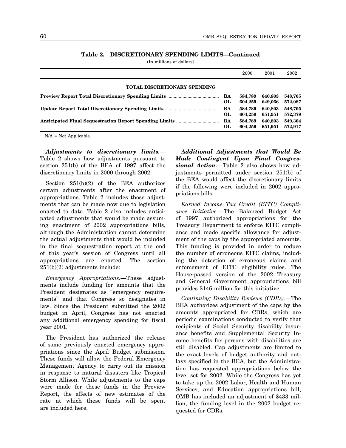### **Table 2. DISCRETIONARY SPENDING LIMITS—Continued**

(In millions of dollars)

| <b>TOTAL DISCRETIONARY SPENDING</b><br>BA<br>OL.<br>BA<br>OL.               | 2000               | 2001               | 2002               |
|-----------------------------------------------------------------------------|--------------------|--------------------|--------------------|
|                                                                             |                    |                    |                    |
|                                                                             | 584,789<br>604.259 | 640,803<br>649,066 | 548,705<br>572,087 |
|                                                                             | 584,789<br>604.259 | 640.803<br>651,951 | 548,705<br>572,379 |
| <b>Anticipated Final Sequestration Report Spending Limits </b><br>BA<br>OL. | 584,789<br>604.259 | 640,803<br>651,951 | 549,304<br>572,917 |

N/A = Not Applicable.

*Adjustments to discretionary limits.*— Table 2 shows how adjustments pursuant to section 251(b) of the BEA of 1997 affect the discretionary limits in 2000 through 2002.

Section 251(b)(2) of the BEA authorizes certain adjustments after the enactment of appropriations. Table 2 includes those adjustments that can be made now due to legislation enacted to date. Table 2 also includes anticipated adjustments that would be made assuming enactment of 2002 appropriations bills, although the Administration cannot determine the actual adjustments that would be included in the final sequestration report at the end of this year's session of Congress until all appropriations are enacted. The section 251(b)(2) adjustments include:

*Emergency Appropriations.*—These adjustments include funding for amounts that the President designates as "emergency requirements'' and that Congress so designates in law. Since the President submitted the 2002 budget in April, Congress has not enacted any additional emergency spending for fiscal year 2001.

The President has authorized the release of some previously enacted emergency appropriations since the April Budget submission. These funds will allow the Federal Emergency Management Agency to carry out its mission in response to natural disasters like Tropical Storm Allison. While adjustments to the caps were made for these funds in the Preview Report, the effects of new estimates of the rate at which these funds will be spent are included here.

*Additional Adjustments that Would Be Made Contingent Upon Final Congressional Action.*—Table 2 also shows how adjustments permitted under section 251(b) of the BEA would affect the discretionary limits if the following were included in 2002 appropriations bills.

*Earned Income Tax Credit (EITC) Compliance Initiative.*—The Balanced Budget Act of 1997 authorized appropriations for the Treasury Department to enforce EITC compliance and made specific allowance for adjustment of the caps by the appropriated amounts. This funding is provided in order to reduce the number of erroneous EITC claims, including the detection of erroneous claims and enforcement of EITC eligibility rules. The House-passed version of the 2002 Treasury and General Government appropriations bill provides \$146 million for this initiative.

*Continuing Disability Reviews (CDRs).*—The BEA authorizes adjustment of the caps by the amounts appropriated for CDRs, which are periodic examinations conducted to verify that recipients of Social Security disability insurance benefits and Supplemental Security Income benefits for persons with disabilities are still disabled. Cap adjustments are limited to the exact levels of budget authority and outlays specified in the BEA, but the Administration has requested appropriations below the level set for 2002. While the Congress has yet to take up the 2002 Labor, Health and Human Services, and Education appropriations bill, OMB has included an adjustment of \$433 million, the funding level in the 2002 budget requested for CDRs.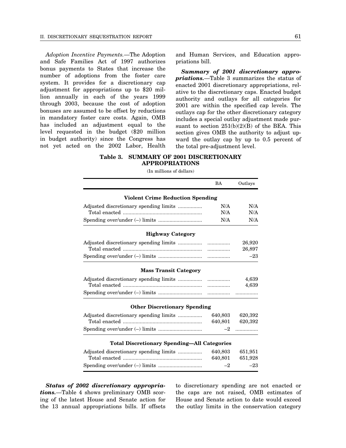<span id="page-58-0"></span>*Adoption Incentive Payments.*—The Adoption and Safe Families Act of 1997 authorizes bonus payments to States that increase the number of adoptions from the foster care system. It provides for a discretionary cap adjustment for appropriations up to \$20 million annually in each of the years 1999 through 2003, because the cost of adoption bonuses are assumed to be offset by reductions in mandatory foster care costs. Again, OMB has included an adjustment equal to the level requested in the budget (\$20 million in budget authority) since the Congress has not yet acted on the 2002 Labor, Health and Human Services, and Education appropriations bill.

*Summary of 2001 discretionary appropriations.*—Table 3 summarizes the status of enacted 2001 discretionary appropriations, relative to the discretionary caps. Enacted budget authority and outlays for all categories for 2001 are within the specified cap levels. The outlays cap for the other discretionary category includes a special outlay adjustment made pursuant to section  $251(b)(2)(B)$  of the BEA. This section gives OMB the authority to adjust upward the outlay cap by up to 0.5 percent of the total pre-adjustment level.

### **Table 3. SUMMARY OF 2001 DISCRETIONARY APPROPRIATIONS**

(In millions of dollars)

|                                                    | BA      | Outlays        |
|----------------------------------------------------|---------|----------------|
| <b>Violent Crime Reduction Spending</b>            |         |                |
| Adjusted discretionary spending limits             | N/A     | N/A            |
|                                                    | N/A     | N/A            |
|                                                    | N/A     | N/A            |
| <b>Highway Category</b>                            |         |                |
|                                                    |         | 26,920         |
|                                                    |         | 26,897         |
|                                                    |         | $-23$          |
| <b>Mass Transit Category</b>                       |         |                |
|                                                    |         | 4,639<br>4,639 |
|                                                    |         |                |
| <b>Other Discretionary Spending</b>                |         |                |
|                                                    | 640,803 | 620,392        |
|                                                    | 640,801 | 620,392        |
|                                                    |         | $-2$           |
| <b>Total Discretionary Spending—All Categories</b> |         |                |
| Adjusted discretionary spending limits             | 640,803 | 651,951        |
| $\label{thm:total} {\bf Total~enacted} \,\,\\$     | 640,801 | 651,928        |
|                                                    | $-2$    | $-23$          |

*Status of 2002 discretionary appropriations.*—Table 4 shows preliminary OMB scoring of the latest House and Senate action for the 13 annual appropriations bills. If offsets to discretionary spending are not enacted or the caps are not raised, OMB estimates of House and Senate action to date would exceed the outlay limits in the conservation category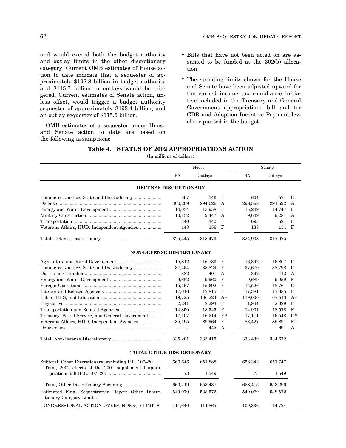<span id="page-59-0"></span>and would exceed both the budget authority and outlay limits in the other discretionary category. Current OMB estimates of House action to date indicate that a sequester of approximately \$192.8 billion in budget authority and \$115.7 billion in outlays would be triggered. Current estimates of Senate action, unless offset, would trigger a budget authority sequester of approximately \$192.4 billion, and an outlay sequester of \$115.5 billion.

OMB estimates of a sequester under House and Senate action to date are based on the following assumptions:

- Bills that have not been acted on are assumed to be funded at the 302(b) allocation.
- The spending limits shown for the House and Senate have been adjusted upward for the earned income tax compliance initiative included in the Treasury and General Government appropriations bill and for CDR and Adoption Incentive Payment levels requested in the budget.

| Table 4. STATUS OF 2002 APPROPRIATIONS ACTION |
|-----------------------------------------------|
|-----------------------------------------------|

(In millions of dollars)

|                                                                                                             | House         |         |                |                    | Senate  |                |
|-------------------------------------------------------------------------------------------------------------|---------------|---------|----------------|--------------------|---------|----------------|
|                                                                                                             | BA<br>Outlays |         | BA             | Outlays            |         |                |
| <b>DEFENSE DISCRETIONARY</b>                                                                                |               |         |                |                    |         |                |
|                                                                                                             | 567           | 546     | F              | 604                | 574     | C              |
|                                                                                                             | 300,209       | 294,026 | Α              | 298,568            | 291,692 | A              |
|                                                                                                             | 14,034        | 13,958  | F              | 15,249             | 14,747  | F              |
|                                                                                                             | 10,152        | 9,447   | A              | 9,649              | 9,284   | A              |
|                                                                                                             | 340           | 340     | F              | 695                | 624     | F              |
| Veterans Affairs, HUD, Independent Agencies                                                                 | 143           | 156     | F              | 138                | 154     | $_{\rm F}$     |
|                                                                                                             | 325,445       | 318,473 |                | 324,903<br>317,075 |         |                |
| <b>NON-DEFENSE DISCRETIONARY</b>                                                                            |               |         |                |                    |         |                |
|                                                                                                             | 15,812        | 16,733  | F              | 16,392             | 16,807  | C              |
|                                                                                                             | 37,454        | 38,829  | F              | 37,670             | 38,798  | C              |
|                                                                                                             | 382           | 401     | A              | 392                | 412     | A              |
|                                                                                                             | 9,652         | 9.960   | F              | 9.689              | 9,959   | F              |
|                                                                                                             | 15,167        | 15,692  | F              | 15,526             | 15,761  | C              |
|                                                                                                             | 17,616        | 17,815  | F              | 17,381             | 17,685  | F              |
|                                                                                                             | 119,725       | 106,224 | A <sup>1</sup> | 119,000            | 107,513 | A <sup>1</sup> |
|                                                                                                             | 2,241         | 2.293   | F              | 1,944              | 2.029   | F              |
|                                                                                                             | 14,850        | 18,545  | F              | 14,907             | 18,578  | F              |
| Treasury, Postal Service, and General Government                                                            | 17,107        | 16,514  | $_{\rm F2}$    | 17,111             | 16,548  | C <sub>2</sub> |
| Veterans Affairs, HUD, Independent Agencies                                                                 | 85,195        | 89,964  | $_{\rm F}$     | 83,427             | 89,891  | $\mathbf{F}^3$ |
|                                                                                                             |               | 445     | A              | .                  | 691     | A              |
|                                                                                                             | 335,201       | 333,415 |                | 333,439            | 334,672 |                |
| TOTAL OTHER DISCRETIONARY                                                                                   |               |         |                |                    |         |                |
| Subtotal, Other Discretionary, excluding P.L. 107-20<br>Total, 2002 effects of the 2001 supplemental appro- | 660,646       | 651,888 |                | 658,342            | 651,747 |                |
|                                                                                                             | 73            | 1,549   |                | 73                 | 1,549   |                |
|                                                                                                             | 660,719       | 653,437 |                | 658,415            | 653,296 |                |
| Estimated Final Sequestration Report Other Discre-<br>tionary Category Limits.                              | 549,079       | 538,572 |                | 549,079            | 538,572 |                |
| CONGRESSIONAL ACTION OVER/UNDER(-) LIMITS                                                                   | 111,640       | 114,865 |                | 109,336            | 114,724 |                |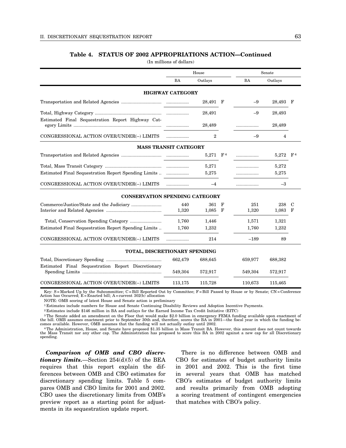### **Table 4. STATUS OF 2002 APPROPRIATIONS ACTION—Continued**

(In millions of dollars)

|                                                      | House                        |                      |  | Senate  |                      |   |
|------------------------------------------------------|------------------------------|----------------------|--|---------|----------------------|---|
|                                                      | BA                           | Outlays              |  | BA      | Outlays              |   |
|                                                      | <b>HIGHWAY CATEGORY</b>      |                      |  |         |                      |   |
|                                                      |                              | 28,491 F             |  | -9      | 28,493 F             |   |
|                                                      |                              | 28,491               |  | $-9$    | 28,493               |   |
| Estimated Final Sequestration Report Highway Cat-    |                              | 28,489               |  |         | 28,489               |   |
| CONGRESSIONAL ACTION OVER/UNDER(-) LIMITS            | .                            | $\overline{2}$       |  | -9      | 4                    |   |
|                                                      | <b>MASS TRANSIT CATEGORY</b> |                      |  |         |                      |   |
|                                                      |                              | 5,271 F <sup>4</sup> |  | .       | 5,272 F <sup>4</sup> |   |
|                                                      |                              | 5,271                |  |         | 5,272                |   |
| Estimated Final Sequestration Report Spending Limits |                              | 5,275                |  |         | 5,275                |   |
| CONGRESSIONAL ACTION OVER/UNDER(-) LIMITS            | .                            | $-4$                 |  | .       | $-3$                 |   |
| <b>CONSERVATION SPENDING CATEGORY</b>                |                              |                      |  |         |                      |   |
|                                                      | 440                          | 361 F                |  | 251     | 238                  | C |
|                                                      | 1,320                        | 1,085 F              |  | 1,320   | 1,083                | F |
|                                                      | 1,760                        | 1,446                |  | 1,571   | 1,321                |   |
| Estimated Final Sequestration Report Spending Limits | 1,760                        | 1,232                |  | 1,760   | 1,232                |   |
| CONGRESSIONAL ACTION OVER/UNDER(-) LIMITS            | .                            | 214                  |  | $-189$  | 89                   |   |
| TOTAL, DISCRETIONARY SPENDING                        |                              |                      |  |         |                      |   |
|                                                      | 662,479                      | 688,645              |  | 659,977 | 688,382              |   |
| Estimated Final Sequestration Report Discretionary   | 549,304                      | 572,917              |  | 549,304 | 572,917              |   |
| CONGRESSIONAL ACTION OVER/UNDER(-) LIMITS            | 113,175                      | 115,728              |  | 110,673 | 115,465              |   |

Key: S=Marked Up by the Subcommittee; C=Bill Reported Out by Committee; F=Bill Passed by House or by Senate; CN=Conference<br>Action has Occurred; E=Enacted bill; A=current 302(b) allocation

NOTE: OMB scoring of latest House and Senate action is preliminary

1 Estimates include numbers for House and Senate Continuing Disability Reviews and Adoption Incentive Payments.

2 Estimates include \$146 million in BA and outlays for the Earned Income Tax Credit Initiative (EITC)

 $3$  The Senate added an amendment on the Floor that would make \$2.0 billion in emergency FEMA funding available upon enactment of the bill. OMB assumes enactment prior to September 30th and, therefore, scores the BA in 20 comes available. However, OMB assumes that the funding will not actually outlay until 2002.

<sup>4</sup>The Administration, House, and Senate have proposed \$1.35 billion in Mass Transit BA. However, this amount does not count towards<br>the Mass Transit nor any other cap. The Administration has proposed to score this BA in 2 spending.

*Comparison of OMB and CBO discretionary limits.*—Section 254(d)(5) of the BEA requires that this report explain the differences between OMB and CBO estimates for discretionary spending limits. Table 5 compares OMB and CBO limits for 2001 and 2002. CBO uses the discretionary limits from OMB's preview report as a starting point for adjustments in its sequestration update report.

There is no difference between OMB and CBO for estimates of budget authority limits in 2001 and 2002. This is the first time in several years that OMB has matched CBO's estimates of budget authority limits and results primarily from OMB adopting a scoring treatment of contingent emergencies that matches with CBO's policy.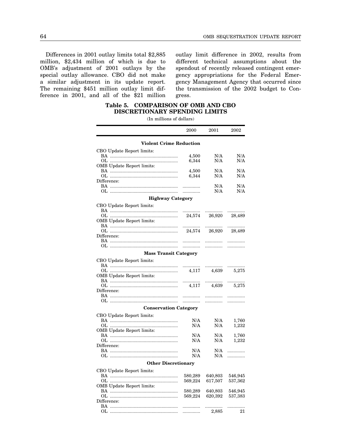<span id="page-61-0"></span>Differences in 2001 outlay limits total \$2,885 million, \$2,434 million of which is due to OMB's adjustment of 2001 outlays by the special outlay allowance. CBO did not make a similar adjustment in its update report. The remaining \$451 million outlay limit difference in 2001, and all of the \$21 million outlay limit difference in 2002, results from different technical assumptions about the spendout of recently released contingent emergency appropriations for the Federal Emergency Management Agency that occurred since the transmission of the 2002 budget to Congress.

### **Table 5. COMPARISON OF OMB AND CBO DISCRETIONARY SPENDING LIMITS**

(In millions of dollars)

|                                | 2000    | 2001       | 2002       |
|--------------------------------|---------|------------|------------|
| <b>Violent Crime Reduction</b> |         |            |            |
| CBO Update Report limits:      |         |            |            |
|                                | 4,500   | N/A        | N/A        |
|                                | 6,344   | N/A        | N/A        |
| OMB Update Report limits:      |         |            |            |
|                                | 4,500   | N/A        | N/A        |
|                                | 6,344   | N/A        | N/A        |
| Difference:                    |         |            |            |
| BA …………………………………………………         | .       | N/A        | N/A        |
|                                | .       | N/A        | N/A        |
| <b>Highway Category</b>        |         |            |            |
| CBO Update Report limits:      |         |            |            |
|                                | .       |            |            |
|                                | 24,574  | 26,920     | 28,489     |
| OMB Update Report limits:      |         |            |            |
|                                |         |            |            |
|                                | 24,574  | 26,920     | 28,489     |
| Difference:                    |         |            |            |
|                                | .       | .          | .          |
|                                | .       | .          | .          |
| <b>Mass Transit Category</b>   |         |            |            |
| CBO Update Report limits:      |         |            |            |
| BA …………………………………………………         | .       | .          |            |
|                                | 4,117   | 4,639      | .<br>5,275 |
| OMB Update Report limits:      |         |            |            |
|                                | .       | .          |            |
|                                | 4,117   | 4,639      | 5,275      |
| Difference:                    |         |            |            |
|                                | .       | .          |            |
|                                | .       | .          | .          |
| <b>Conservation Category</b>   |         |            |            |
| CBO Update Report limits:      |         |            |            |
|                                | N/A     | N/A        | 1,760      |
|                                | N/A     | N/A        | 1,232      |
| OMB Update Report limits:      |         |            |            |
|                                | N/A     | N/A        | 1,760      |
|                                | N/A     | N/A        | 1,232      |
| Difference:                    |         |            |            |
|                                | N/A     | N/A        | .          |
|                                | N/A     | N/A        | .          |
| <b>Other Discretionary</b>     |         |            |            |
|                                |         |            |            |
| CBO Update Report limits:      |         |            |            |
|                                | 580,289 | 640,803    | 546,945    |
|                                | 569,224 | 617,507    | 537,362    |
| OMB Update Report limits:      |         |            |            |
|                                | 580,289 | 640,803    | 546,945    |
| Difference:                    | 569,224 | 620,392    | 537,383    |
|                                |         |            |            |
|                                |         | .<br>2,885 | .<br>21    |
|                                | .       |            |            |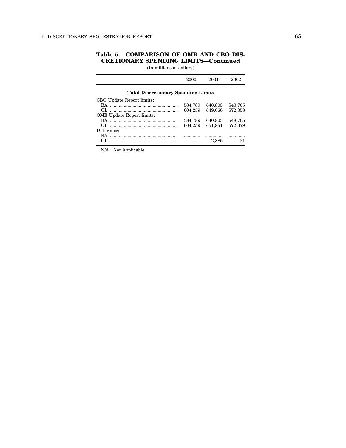### **Table 5. COMPARISON OF OMB AND CBO DIS-CRETIONARY SPENDING LIMITS—Continued**

(In millions of dollars)

|                                            | 2000    | 2001    | 2002    |
|--------------------------------------------|---------|---------|---------|
| <b>Total Discretionary Spending Limits</b> |         |         |         |
| CBO Update Report limits:                  |         |         |         |
|                                            | 584,789 | 640,803 | 548,705 |
|                                            | 604,259 | 649.066 | 572.358 |
| <b>OMB</b> Update Report limits:           |         |         |         |
|                                            | 584,789 | 640,803 | 548,705 |
|                                            | 604,259 | 651,951 | 572.379 |
| Difference:                                |         |         |         |
|                                            |         |         |         |
| OL.                                        |         | 2.885   | 21      |

N/A = Not Applicable.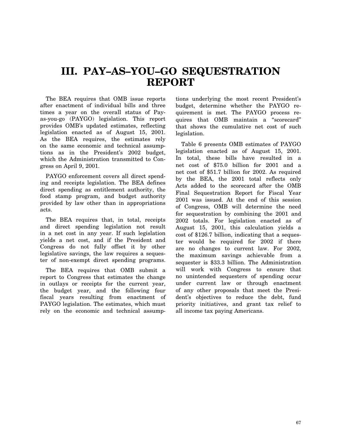## **III. PAY–AS–YOU–GO SEQUESTRATION REPORT**

The BEA requires that OMB issue reports after enactment of individual bills and three times a year on the overall status of Payas-you-go (PAYGO) legislation. This report provides OMB's updated estimates, reflecting legislation enacted as of August 15, 2001. As the BEA requires, the estimates rely on the same economic and technical assumptions as in the President's 2002 budget, which the Administration transmitted to Congress on April 9, 2001.

PAYGO enforcement covers all direct spending and receipts legislation. The BEA defines direct spending as entitlement authority, the food stamp program, and budget authority provided by law other than in appropriations acts.

The BEA requires that, in total, receipts and direct spending legislation not result in a net cost in any year. If such legislation yields a net cost, and if the President and Congress do not fully offset it by other legislative savings, the law requires a sequester of non-exempt direct spending programs.

The BEA requires that OMB submit a report to Congress that estimates the change in outlays or receipts for the current year, the budget year, and the following four fiscal years resulting from enactment of PAYGO legislation. The estimates, which must rely on the economic and technical assump-

tions underlying the most recent President's budget, determine whether the PAYGO requirement is met. The PAYGO process requires that OMB maintain a ''scorecard'' that shows the cumulative net cost of such legislation.

Table 6 presents OMB estimates of PAYGO legislation enacted as of August 15, 2001. In total, these bills have resulted in a net cost of \$75.0 billion for 2001 and a net cost of \$51.7 billion for 2002. As required by the BEA, the 2001 total reflects only Acts added to the scorecard after the OMB Final Sequestration Report for Fiscal Year 2001 was issued. At the end of this session of Congress, OMB will determine the need for sequestration by combining the 2001 and 2002 totals. For legislation enacted as of August 15, 2001, this calculation yields a cost of \$126.7 billion, indicating that a sequester would be required for 2002 if there are no changes to current law. For 2002, the maximum savings achievable from a sequester is \$33.3 billion. The Administration will work with Congress to ensure that no unintended sequesters of spending occur under current law or through enactment of any other proposals that meet the President's objectives to reduce the debt, fund priority initiatives, and grant tax relief to all income tax paying Americans.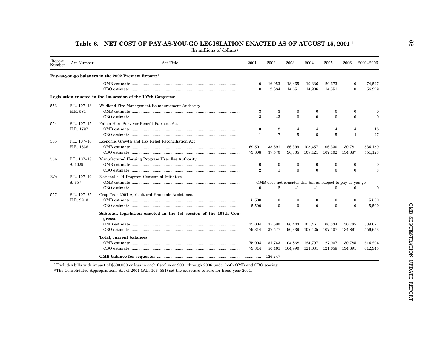<span id="page-64-0"></span>

| Number | Act Number               | Act Title                                                                     | 2001                               | 2002                               | 2003                                                                   | 2004                 | 2005                         | 2006                             | 2001-2006             |
|--------|--------------------------|-------------------------------------------------------------------------------|------------------------------------|------------------------------------|------------------------------------------------------------------------|----------------------|------------------------------|----------------------------------|-----------------------|
|        |                          | Pay-as-you-go balances in the 2002 Preview Report: <sup>2</sup>               |                                    |                                    |                                                                        |                      |                              |                                  |                       |
|        |                          |                                                                               | $\bf{0}$<br>$\Omega$               | 16,053<br>12,884                   | 18,465<br>14,651                                                       | 19,336<br>14,206     | 20,673<br>14,551             | 0<br>$\mathbf{0}$                | 74,527<br>56,292      |
|        |                          | Legislation enacted in the 1st session of the 107th Congress:                 |                                    |                                    |                                                                        |                      |                              |                                  |                       |
| 553    | P.L. 107-13<br>H.R. 581  | Wildland Fire Management Reimbursement Authority                              | 3<br>3                             | $-3$<br>$-3$                       | $\mathbf{0}$<br>$\theta$                                               | $\bf{0}$<br>$\theta$ | $\mathbf{0}$<br>$\mathbf{0}$ | $\mathbf{0}$<br>$\mathbf{0}$     | $\bf{0}$<br>$\theta$  |
| 554    | P.L. 107-15<br>H.R. 1727 | Fallen Hero Survivor Benefit Fairness Act                                     | $\bf{0}$<br>$\mathbf{1}$           | $\boldsymbol{2}$<br>$\overline{7}$ | 4<br>5                                                                 | $\overline{4}$<br>5  | $\overline{4}$<br>5          | $\overline{4}$<br>$\overline{4}$ | 18<br>27              |
| 555    | P.L. 107-16<br>H.R. 1836 | Economic Growth and Tax Relief Reconciliation Act                             | 69,501<br>73,808                   | 35,691<br>37,570                   | 86,399<br>90,335                                                       | 105,457<br>107,421   | 106,330<br>107,102           | 130,781<br>134,887               | 534,159<br>551,123    |
| 556    | P.L. 107-18<br>S. 1029   | Manufactured Housing Program User Fee Authority                               | $\boldsymbol{0}$<br>$\overline{2}$ | $\Omega$<br>$\mathbf{1}$           | 0<br>$\Omega$                                                          | $\bf{0}$<br>$\theta$ | $\mathbf{0}$<br>$\Omega$     | $\overline{0}$<br>$\Omega$       | $\boldsymbol{0}$<br>3 |
| N/A    | P.L. 107-19<br>S. 657    | National 4–H Program Centennial Initiative                                    | $\mathbf{0}$                       | $\,2$                              | OMB does not consider this bill as subject to pay-as-you-go<br>$^{-1}$ | $-1$                 | $\theta$                     | $\mathbf{0}$                     | $\boldsymbol{0}$      |
| 557    | P.L. 107-25<br>H.R. 2213 | Crop Year 2001 Agricultural Economic Assistance.                              | 5,500<br>5,500                     | $\bf{0}$<br>$\theta$               | $\bf{0}$<br>$\Omega$                                                   | $\bf{0}$<br>$\theta$ | $\bf{0}$<br>$\Omega$         | $\bf{0}$<br>$\theta$             | 5,500<br>5.500        |
|        |                          | Subtotal, legislation enacted in the 1st session of the 107th Con-<br>gress:. | 75,004                             | 35,690                             | 86,403                                                                 | 105,461              | $106{,}334$                  | 130,785                          | 539,677               |
|        |                          | Total, current balances:.                                                     | 79,314<br>75,004                   | 37,577<br>51,743                   | 90,339<br>104,868                                                      | 107,425              | 107,107<br>124,797 127,007   | 134,891<br>130,785               | 556,653<br>614,204    |
|        |                          |                                                                               | 79,314                             | 50,461                             | 104,990                                                                |                      | 121,631 121,658 134,891      |                                  | 612,945               |

68